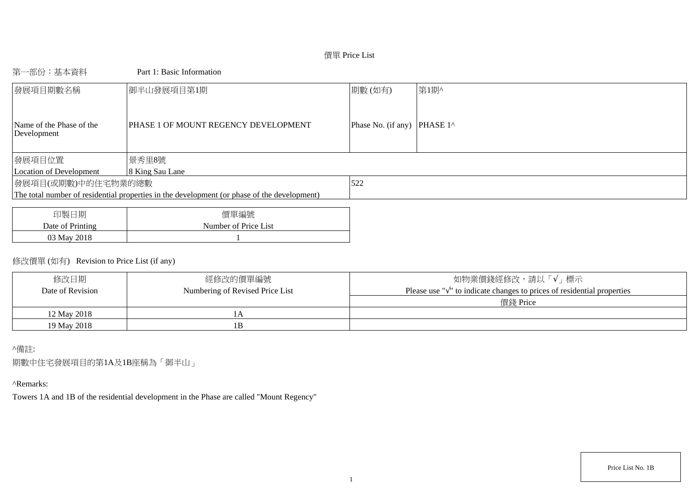# 價單 Price List

# 第一部份:基本資料 Part 1: Basic Information

| 發展項目期數名稱                                | 御半山發展項目第1期                                                                                  | 期數(如有)                                | 第1期^ |
|-----------------------------------------|---------------------------------------------------------------------------------------------|---------------------------------------|------|
| Name of the Phase of the<br>Development | PHASE 1 OF MOUNT REGENCY DEVELOPMENT                                                        | Phase No. (if any) PHASE $1^{\wedge}$ |      |
| 發展項目位置                                  | 景秀里8號                                                                                       |                                       |      |
| Location of Development                 | 8 King Sau Lane                                                                             |                                       |      |
| 發展項目(或期數)中的住宅物業的總數                      |                                                                                             | 522                                   |      |
|                                         | The total number of residential properties in the development (or phase of the development) |                                       |      |
|                                         |                                                                                             |                                       |      |
|                                         |                                                                                             |                                       |      |

| 印製日期             | 價單編號                 |
|------------------|----------------------|
| Date of Printing | Number of Price List |
| 03 May 2018      |                      |

# 修改價單 (如有) Revision to Price List (if any)

| 修改日期<br>Date of Revision | 經修改的價單編號<br>Numbering of Revised Price List | 如物業價錢經修改,請以「√」標示<br>Please use " $\sqrt{ }$ " to indicate changes to prices of residential properties |
|--------------------------|---------------------------------------------|-------------------------------------------------------------------------------------------------------|
|                          |                                             | 價錢 Price                                                                                              |
| 12 May 2018              |                                             |                                                                                                       |
| 19 May 2018              |                                             |                                                                                                       |

# ^備註:

期數中住宅發展項目的第1A及1B座稱為「御半山」

## ^Remarks:

Towers 1A and 1B of the residential development in the Phase are called "Mount Regency"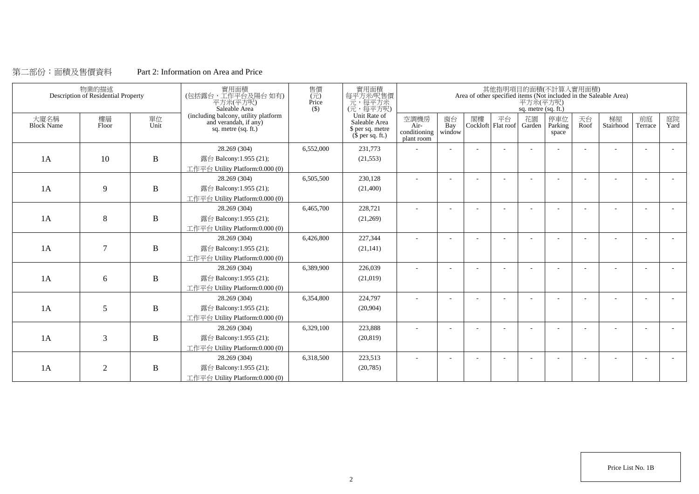# 第二部份:面積及售價資料 Part 2: Information on Area and Price

|                           | 物業的描述<br>Description of Residential Property |              | 實用面積<br>(包括露台,工作平台及陽台如有)<br>平方米(平方呎)<br>Saleable Area                                | 售價<br>$(\vec{\pi})$<br>Price<br>$($)$ | 實用面積<br>每平方米/呎售價<br>元,每平方米<br>(元,每平方呎)                                        |                                              |                          |    |    | 平方米(平方呎)<br>sq. metre (sq. ft.) | 其他指明項目的面積(不計算入實用面積)     |            | Area of other specified items (Not included in the Saleable Area) |                          |            |
|---------------------------|----------------------------------------------|--------------|--------------------------------------------------------------------------------------|---------------------------------------|-------------------------------------------------------------------------------|----------------------------------------------|--------------------------|----|----|---------------------------------|-------------------------|------------|-------------------------------------------------------------------|--------------------------|------------|
| 大廈名稱<br><b>Block Name</b> | 樓層<br>Floor                                  | 單位<br>Unit   | (including balcony, utility platform<br>and verandah, if any)<br>sq. metre (sq. ft.) |                                       | Unit Rate of<br>Saleable Area<br>\$ per sq. metre<br>$(\bar{\S}$ per sq. ft.) | 空調機房<br>$Air-$<br>conditioning<br>plant room | 窗台<br>Bay<br>window      | 閣樓 | 平台 | 花園<br>Cockloft Flat roof Garden | 停車位<br>Parking<br>space | 天台<br>Roof | 梯屋<br>Stairhood                                                   | 前庭<br>Terrace            | 庭院<br>Yard |
|                           |                                              |              | 28.269 (304)                                                                         | 6,552,000                             | 231,773                                                                       |                                              |                          |    |    |                                 |                         |            |                                                                   |                          |            |
| 1A                        | 10                                           | $\bf{B}$     | 露台 Balcony:1.955 (21);                                                               |                                       | (21, 553)                                                                     |                                              |                          |    |    |                                 |                         |            |                                                                   |                          |            |
|                           |                                              |              | 工作平台 Utility Platform:0.000 (0)                                                      |                                       |                                                                               |                                              |                          |    |    |                                 |                         |            |                                                                   |                          |            |
|                           |                                              |              | 28.269 (304)                                                                         | 6,505,500                             | 230,128                                                                       | $\sim$                                       | $\overline{\phantom{a}}$ |    |    |                                 |                         | ÷          |                                                                   | $\overline{\phantom{a}}$ |            |
| 1A                        | 9                                            | $\, {\bf B}$ | 露台 Balcony:1.955 (21);                                                               |                                       | (21,400)                                                                      |                                              |                          |    |    |                                 |                         |            |                                                                   |                          |            |
|                           |                                              |              | 工作平台 Utility Platform:0.000 (0)                                                      |                                       |                                                                               |                                              |                          |    |    |                                 |                         |            |                                                                   |                          |            |
|                           |                                              |              | 28.269 (304)                                                                         | 6,465,700                             | 228,721                                                                       |                                              |                          |    |    |                                 |                         |            |                                                                   |                          |            |
| 1A                        | 8                                            | $\, {\bf B}$ | 露台 Balcony:1.955 (21);                                                               |                                       | (21,269)                                                                      |                                              |                          |    |    |                                 |                         |            |                                                                   |                          |            |
|                           |                                              |              | 工作平台 Utility Platform:0.000 (0)                                                      |                                       |                                                                               |                                              |                          |    |    |                                 |                         |            |                                                                   |                          |            |
|                           |                                              |              | 28.269 (304)                                                                         | 6,426,800                             | 227,344                                                                       |                                              |                          |    |    |                                 |                         |            |                                                                   |                          |            |
| 1A                        | $\overline{7}$                               | $\, {\bf B}$ | 露台 Balcony:1.955 (21);                                                               |                                       | (21, 141)                                                                     |                                              |                          |    |    |                                 |                         |            |                                                                   |                          |            |
|                           |                                              |              | 工作平台 Utility Platform:0.000 (0)                                                      |                                       |                                                                               |                                              |                          |    |    |                                 |                         |            |                                                                   |                          |            |
|                           |                                              |              | 28.269 (304)                                                                         | 6,389,900                             | 226,039                                                                       | $\overline{\phantom{a}}$                     |                          |    |    |                                 |                         |            |                                                                   |                          |            |
| 1A                        | 6                                            | $\, {\bf B}$ | 露台 Balcony:1.955 (21);                                                               |                                       | (21,019)                                                                      |                                              |                          |    |    |                                 |                         |            |                                                                   |                          |            |
|                           |                                              |              | 工作平台 Utility Platform:0.000 (0)                                                      |                                       |                                                                               |                                              |                          |    |    |                                 |                         |            |                                                                   |                          |            |
|                           |                                              |              | 28.269 (304)                                                                         | 6,354,800                             | 224,797                                                                       |                                              |                          |    |    |                                 |                         |            |                                                                   |                          |            |
| 1A                        | 5                                            | $\, {\bf B}$ | 露台 Balcony:1.955 (21);                                                               |                                       | (20,904)                                                                      |                                              |                          |    |    |                                 |                         |            |                                                                   |                          |            |
|                           |                                              |              | 工作平台 Utility Platform: 0.000 (0)                                                     |                                       |                                                                               |                                              |                          |    |    |                                 |                         |            |                                                                   |                          |            |
|                           |                                              |              | 28.269 (304)                                                                         | 6,329,100                             | 223,888                                                                       |                                              |                          |    |    |                                 |                         |            |                                                                   |                          |            |
| 1A                        | 3                                            | $\, {\bf B}$ | 露台 Balcony:1.955 (21);                                                               |                                       | (20, 819)                                                                     |                                              |                          |    |    |                                 |                         |            |                                                                   |                          |            |
|                           |                                              |              | 工作平台 Utility Platform:0.000 (0)                                                      |                                       |                                                                               |                                              |                          |    |    |                                 |                         |            |                                                                   |                          |            |
|                           |                                              |              | 28.269 (304)                                                                         | 6,318,500                             | 223,513                                                                       |                                              |                          |    |    |                                 |                         |            |                                                                   |                          |            |
| 1A                        | $\overline{2}$                               | B            | 露台 Balcony:1.955 (21);                                                               |                                       | (20, 785)                                                                     |                                              |                          |    |    |                                 |                         |            |                                                                   |                          |            |
|                           |                                              |              | 工作平台 Utility Platform:0.000 (0)                                                      |                                       |                                                                               |                                              |                          |    |    |                                 |                         |            |                                                                   |                          |            |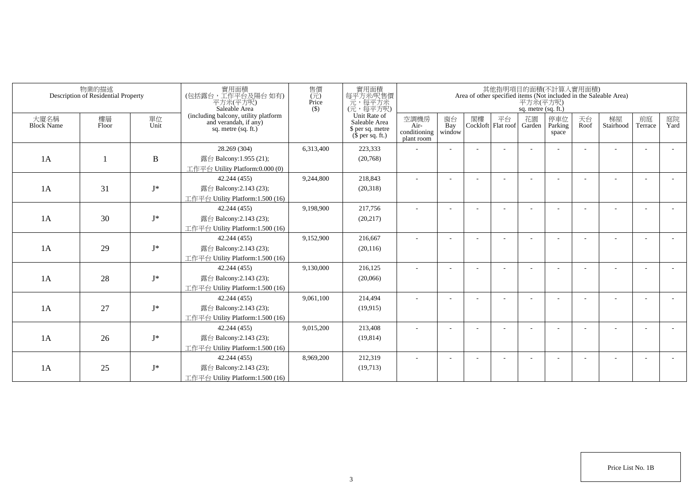|                           | 物業的描述<br>Description of Residential Property |              | 實用面積<br>(包括露台,工作平台及陽台如有)<br>平方米(平方呎)<br>Saleable Area                                  | 售價<br>$(\vec{\pi})$<br>Price<br>$($ \$) | 實用面積<br>每平方米/呎售價<br>一元,每平方米<br>(元,每平方呎)                               |                                            |                          |    |                          | 平方米(平方呎)<br>sq. metre (sq. ft.) | 其他指明項目的面積(不計算入實用面積)     |            | Area of other specified items (Not included in the Saleable Area) |                          |            |
|---------------------------|----------------------------------------------|--------------|----------------------------------------------------------------------------------------|-----------------------------------------|-----------------------------------------------------------------------|--------------------------------------------|--------------------------|----|--------------------------|---------------------------------|-------------------------|------------|-------------------------------------------------------------------|--------------------------|------------|
| 大廈名稱<br><b>Block Name</b> | 樓層<br>Floor                                  | 單位<br>Unit   | (including balcony, utility platform<br>and verandah, if any)<br>sq. metre $(sq, ft.)$ |                                         | Unit Rate of<br>Saleable Area<br>\$ per sq. metre<br>$$$ per sq. ft.) | 空調機房<br>Air-<br>conditioning<br>plant room | 窗台<br>Bay<br>window      | 閣樓 | 平台<br>Cockloft Flat roof | 花園<br>Garden                    | 停車位<br>Parking<br>space | 天台<br>Roof | 梯屋<br>Stairhood                                                   | 前庭<br>Terrace            | 庭院<br>Yard |
|                           |                                              |              | 28.269 (304)                                                                           | 6,313,400                               | 223,333                                                               |                                            |                          |    |                          |                                 |                         |            |                                                                   |                          |            |
| 1A                        |                                              | $\, {\bf B}$ | 露台 Balcony:1.955 (21);                                                                 |                                         | (20,768)                                                              |                                            |                          |    |                          |                                 |                         |            |                                                                   |                          |            |
|                           |                                              |              | 工作平台 Utility Platform:0.000 (0)                                                        |                                         |                                                                       |                                            |                          |    |                          |                                 |                         |            |                                                                   |                          |            |
|                           |                                              |              | 42.244 (455)                                                                           | 9,244,800                               | 218,843                                                               |                                            |                          |    |                          |                                 |                         |            |                                                                   |                          |            |
| 1A                        | 31                                           | $I^*$        | 露台 Balcony:2.143 (23);                                                                 |                                         | (20,318)                                                              |                                            |                          |    |                          |                                 |                         |            |                                                                   |                          |            |
|                           |                                              |              | 工作平台 Utility Platform:1.500 (16)                                                       |                                         |                                                                       |                                            |                          |    |                          |                                 |                         |            |                                                                   |                          |            |
|                           |                                              |              | 42.244 (455)                                                                           | 9,198,900                               | 217,756                                                               | ٠                                          | $\overline{\phantom{a}}$ |    |                          |                                 |                         |            |                                                                   |                          |            |
| 1A                        | 30                                           | $J^*$        | 露台 Balcony:2.143 (23);                                                                 |                                         | (20, 217)                                                             |                                            |                          |    |                          |                                 |                         |            |                                                                   |                          |            |
|                           |                                              |              | 工作平台 Utility Platform: 1.500 (16)                                                      |                                         |                                                                       |                                            |                          |    |                          |                                 |                         |            |                                                                   |                          |            |
|                           |                                              |              | 42.244 (455)                                                                           | 9,152,900                               | 216,667                                                               |                                            |                          |    |                          |                                 |                         |            |                                                                   |                          |            |
| 1A                        | 29                                           | $J^*$        | 露台 Balcony:2.143 (23);                                                                 |                                         | (20, 116)                                                             |                                            |                          |    |                          |                                 |                         |            |                                                                   |                          |            |
|                           |                                              |              | 工作平台 Utility Platform:1.500 (16)                                                       |                                         |                                                                       |                                            |                          |    |                          |                                 |                         |            |                                                                   |                          |            |
|                           |                                              |              | 42.244 (455)                                                                           | 9,130,000                               | 216,125                                                               |                                            |                          |    |                          |                                 |                         |            |                                                                   |                          |            |
| 1A                        | 28                                           | $J^*$        | 露台 Balcony:2.143 (23);                                                                 |                                         | (20,066)                                                              |                                            |                          |    |                          |                                 |                         |            |                                                                   |                          |            |
|                           |                                              |              | 工作平台 Utility Platform: 1.500 (16)                                                      |                                         |                                                                       |                                            |                          |    |                          |                                 |                         |            |                                                                   |                          |            |
|                           |                                              |              | 42.244 (455)                                                                           | 9,061,100                               | 214,494                                                               |                                            |                          |    |                          |                                 |                         |            |                                                                   |                          |            |
| 1A                        | 27                                           | $J^*$        | 露台 Balcony:2.143 (23);                                                                 |                                         | (19, 915)                                                             |                                            |                          |    |                          |                                 |                         |            |                                                                   |                          |            |
|                           |                                              |              | 工作平台 Utility Platform:1.500 (16)                                                       |                                         |                                                                       |                                            |                          |    |                          |                                 |                         |            |                                                                   |                          |            |
|                           |                                              |              | 42.244 (455)                                                                           | 9,015,200                               | 213,408                                                               |                                            |                          |    |                          |                                 |                         |            |                                                                   | $\overline{\phantom{a}}$ |            |
| 1A                        | 26                                           | $J^*$        | 露台 Balcony:2.143 (23);                                                                 |                                         | (19, 814)                                                             |                                            |                          |    |                          |                                 |                         |            |                                                                   |                          |            |
|                           |                                              |              | 工作平台 Utility Platform: 1.500 (16)                                                      |                                         |                                                                       |                                            |                          |    |                          |                                 |                         |            |                                                                   |                          |            |
|                           |                                              |              | 42.244 (455)                                                                           | 8,969,200                               | 212,319                                                               |                                            |                          |    |                          |                                 |                         |            |                                                                   |                          |            |
| 1A                        | 25                                           | $J^*$        | 露台 Balcony:2.143 (23);                                                                 |                                         | (19,713)                                                              |                                            |                          |    |                          |                                 |                         |            |                                                                   |                          |            |
|                           |                                              |              | 工作平台 Utility Platform:1.500 (16)                                                       |                                         |                                                                       |                                            |                          |    |                          |                                 |                         |            |                                                                   |                          |            |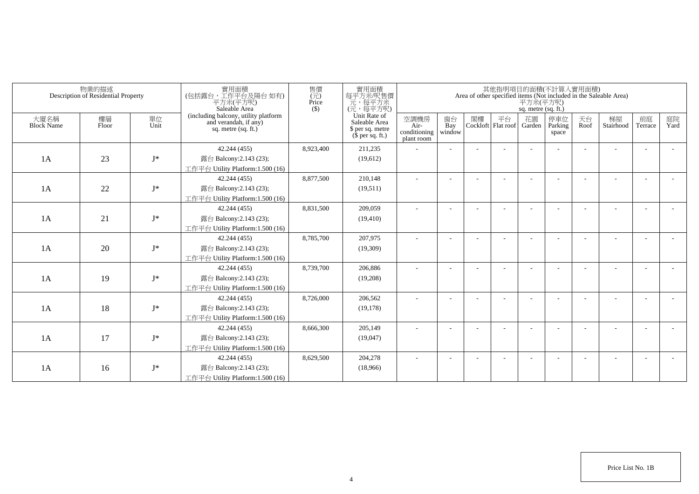|                           | 物業的描述<br>Description of Residential Property |            | 實用面積<br>(包括露台,工作平台及陽台如有)<br>平方米(平方呎)<br>Saleable Area                                  | 售價<br>$(\vec{\pi})$<br>Price<br>$($ \$) | 實用面積<br>每平方米/呎售價<br>一元,每平方米<br>(元,每平方呎)                               |                                            |                          |    |                          | 平方米(平方呎)<br>sq. metre (sq. ft.) | 其他指明項目的面積(不計算入實用面積)     |            | Area of other specified items (Not included in the Saleable Area) |                          |            |
|---------------------------|----------------------------------------------|------------|----------------------------------------------------------------------------------------|-----------------------------------------|-----------------------------------------------------------------------|--------------------------------------------|--------------------------|----|--------------------------|---------------------------------|-------------------------|------------|-------------------------------------------------------------------|--------------------------|------------|
| 大廈名稱<br><b>Block Name</b> | 樓層<br>Floor                                  | 單位<br>Unit | (including balcony, utility platform<br>and verandah, if any)<br>sq. metre $(sq, ft.)$ |                                         | Unit Rate of<br>Saleable Area<br>\$ per sq. metre<br>$$$ per sq. ft.) | 空調機房<br>Air-<br>conditioning<br>plant room | 窗台<br>Bay<br>window      | 閣樓 | 平台<br>Cockloft Flat roof | 花園<br>Garden                    | 停車位<br>Parking<br>space | 天台<br>Roof | 梯屋<br>Stairhood                                                   | 前庭<br>Terrace            | 庭院<br>Yard |
|                           |                                              |            | 42.244 (455)                                                                           | 8,923,400                               | 211,235                                                               |                                            |                          |    |                          |                                 |                         |            |                                                                   |                          |            |
| 1A                        | 23                                           | $I^*$      | 露台 Balcony:2.143 (23);                                                                 |                                         | (19,612)                                                              |                                            |                          |    |                          |                                 |                         |            |                                                                   |                          |            |
|                           |                                              |            | 工作平台 Utility Platform:1.500 (16)                                                       |                                         |                                                                       |                                            |                          |    |                          |                                 |                         |            |                                                                   |                          |            |
|                           |                                              |            | 42.244 (455)                                                                           | 8,877,500                               | 210,148                                                               |                                            |                          |    |                          |                                 |                         |            |                                                                   |                          |            |
| 1A                        | 22                                           | $I^*$      | 露台 Balcony:2.143 (23);                                                                 |                                         | (19,511)                                                              |                                            |                          |    |                          |                                 |                         |            |                                                                   |                          |            |
|                           |                                              |            | 工作平台 Utility Platform:1.500 (16)                                                       |                                         |                                                                       |                                            |                          |    |                          |                                 |                         |            |                                                                   |                          |            |
|                           |                                              |            | 42.244 (455)                                                                           | 8,831,500                               | 209,059                                                               | ٠                                          | $\overline{\phantom{a}}$ |    |                          |                                 |                         |            |                                                                   |                          |            |
| 1A                        | 21                                           | $J^*$      | 露台 Balcony:2.143 (23);                                                                 |                                         | (19, 410)                                                             |                                            |                          |    |                          |                                 |                         |            |                                                                   |                          |            |
|                           |                                              |            | 工作平台 Utility Platform: 1.500 (16)                                                      |                                         |                                                                       |                                            |                          |    |                          |                                 |                         |            |                                                                   |                          |            |
|                           |                                              |            | 42.244 (455)                                                                           | 8,785,700                               | 207,975                                                               |                                            |                          |    |                          |                                 |                         |            |                                                                   |                          |            |
| 1A                        | 20                                           | $J^*$      | 露台 Balcony:2.143 (23);                                                                 |                                         | (19,309)                                                              |                                            |                          |    |                          |                                 |                         |            |                                                                   |                          |            |
|                           |                                              |            | 工作平台 Utility Platform:1.500 (16)                                                       |                                         |                                                                       |                                            |                          |    |                          |                                 |                         |            |                                                                   |                          |            |
|                           |                                              |            | 42.244 (455)                                                                           | 8,739,700                               | 206,886                                                               |                                            |                          |    |                          |                                 |                         |            |                                                                   |                          |            |
| 1A                        | 19                                           | $J^*$      | 露台 Balcony:2.143 (23);                                                                 |                                         | (19,208)                                                              |                                            |                          |    |                          |                                 |                         |            |                                                                   |                          |            |
|                           |                                              |            | 工作平台 Utility Platform: 1.500 (16)                                                      |                                         |                                                                       |                                            |                          |    |                          |                                 |                         |            |                                                                   |                          |            |
|                           |                                              |            | 42.244 (455)                                                                           | 8,726,000                               | 206,562                                                               |                                            |                          |    |                          |                                 |                         |            |                                                                   |                          |            |
| 1A                        | 18                                           | $J^*$      | 露台 Balcony:2.143 (23);                                                                 |                                         | (19, 178)                                                             |                                            |                          |    |                          |                                 |                         |            |                                                                   |                          |            |
|                           |                                              |            | 工作平台 Utility Platform:1.500 (16)                                                       |                                         |                                                                       |                                            |                          |    |                          |                                 |                         |            |                                                                   |                          |            |
|                           |                                              |            | 42.244 (455)                                                                           | 8,666,300                               | 205,149                                                               |                                            |                          |    |                          |                                 |                         |            |                                                                   | $\overline{\phantom{a}}$ |            |
| 1A                        | 17                                           | $J^*$      | 露台 Balcony:2.143 (23);                                                                 |                                         | (19,047)                                                              |                                            |                          |    |                          |                                 |                         |            |                                                                   |                          |            |
|                           |                                              |            | 工作平台 Utility Platform:1.500 (16)                                                       |                                         |                                                                       |                                            |                          |    |                          |                                 |                         |            |                                                                   |                          |            |
|                           |                                              |            | 42.244 (455)                                                                           | 8,629,500                               | 204,278                                                               |                                            |                          |    |                          |                                 |                         |            |                                                                   | <b>.</b>                 |            |
| 1A                        | 16                                           | $J^*$      | 露台 Balcony:2.143 (23);                                                                 |                                         | (18,966)                                                              |                                            |                          |    |                          |                                 |                         |            |                                                                   |                          |            |
|                           |                                              |            | 工作平台 Utility Platform:1.500 (16)                                                       |                                         |                                                                       |                                            |                          |    |                          |                                 |                         |            |                                                                   |                          |            |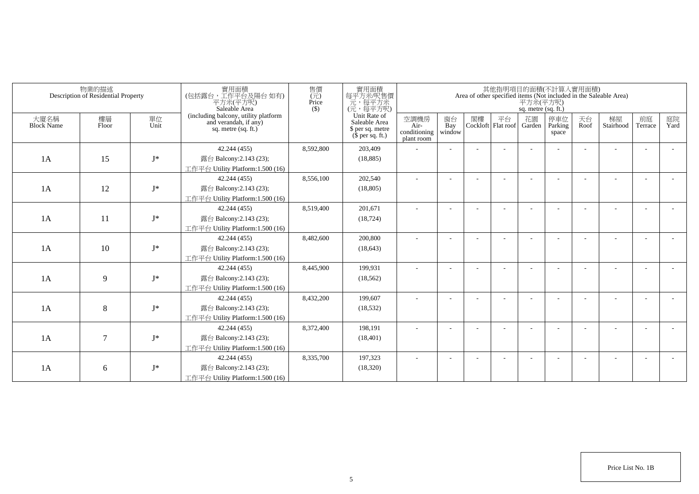|                           | 物業的描述<br>Description of Residential Property |            | 實用面積<br>(包括露台,工作平台及陽台如有)<br>平方米(平方呎)<br>Saleable Area                                  | 售價<br>(元)<br>Price<br>$($ \$) | 實用面積<br>每平方米呎售價<br>一元<br>(元,每平方米)<br>(元,每平方呎)                         |                                            |                     |    | 其他指明項目的面積(不計算入實用面積)      | 平方米(平方呎)<br>sq. metre (sq. ft.) |                         |            | Area of other specified items (Not included in the Saleable Area) |                          |            |
|---------------------------|----------------------------------------------|------------|----------------------------------------------------------------------------------------|-------------------------------|-----------------------------------------------------------------------|--------------------------------------------|---------------------|----|--------------------------|---------------------------------|-------------------------|------------|-------------------------------------------------------------------|--------------------------|------------|
| 大廈名稱<br><b>Block Name</b> | 樓層<br>Floor                                  | 單位<br>Unit | (including balcony, utility platform<br>and verandah, if any)<br>sq. metre $(sq, ft.)$ |                               | Unit Rate of<br>Saleable Area<br>\$ per sq. metre<br>$$$ per sq. ft.) | 空調機房<br>Air-<br>conditioning<br>plant room | 窗台<br>Bay<br>window | 閣樓 | 平台<br>Cockloft Flat roof | 花園<br>Garden                    | 停車位<br>Parking<br>space | 天台<br>Roof | 梯屋<br>Stairhood                                                   | 前庭<br>Terrace            | 庭院<br>Yard |
|                           |                                              |            | 42.244 (455)                                                                           | 8,592,800                     | 203,409                                                               |                                            |                     |    |                          |                                 |                         |            |                                                                   |                          |            |
| 1A                        | 15                                           | $J^*$      | 露台 Balcony:2.143 (23);                                                                 |                               | (18, 885)                                                             |                                            |                     |    |                          |                                 |                         |            |                                                                   |                          |            |
|                           |                                              |            | 工作平台 Utility Platform:1.500 (16)                                                       |                               |                                                                       |                                            |                     |    |                          |                                 |                         |            |                                                                   |                          |            |
|                           |                                              |            | 42.244 (455)                                                                           | 8,556,100                     | 202,540                                                               |                                            |                     |    |                          |                                 |                         |            |                                                                   |                          |            |
| 1A                        | 12                                           | $J^*$      | 露台 Balcony:2.143 (23);                                                                 |                               | (18, 805)                                                             |                                            |                     |    |                          |                                 |                         |            |                                                                   |                          |            |
|                           |                                              |            | 工作平台 Utility Platform: 1.500 (16)                                                      |                               |                                                                       |                                            |                     |    |                          |                                 |                         |            |                                                                   |                          |            |
|                           |                                              |            | 42.244 (455)                                                                           | 8,519,400                     | 201,671                                                               |                                            |                     |    |                          |                                 |                         |            |                                                                   |                          |            |
| 1A                        | 11                                           | $J^*$      | 露台 Balcony:2.143 (23);                                                                 |                               | (18, 724)                                                             |                                            |                     |    |                          |                                 |                         |            |                                                                   |                          |            |
|                           |                                              |            | 工作平台 Utility Platform: 1.500 (16)                                                      |                               |                                                                       |                                            |                     |    |                          |                                 |                         |            |                                                                   |                          |            |
|                           |                                              |            | 42.244 (455)                                                                           | 8,482,600                     | 200,800                                                               |                                            |                     |    |                          |                                 |                         |            |                                                                   |                          |            |
| 1A                        | 10                                           | $J^*$      | 露台 Balcony:2.143 (23);                                                                 |                               | (18, 643)                                                             |                                            |                     |    |                          |                                 |                         |            |                                                                   |                          |            |
|                           |                                              |            | 工作平台 Utility Platform:1.500 (16)                                                       |                               |                                                                       |                                            |                     |    |                          |                                 |                         |            |                                                                   |                          |            |
|                           |                                              |            | 42.244 (455)                                                                           | 8,445,900                     | 199,931                                                               | ٠                                          |                     |    |                          |                                 |                         |            |                                                                   | $\overline{\phantom{a}}$ |            |
| 1A                        | 9                                            | $J^*$      | 露台 Balcony:2.143 (23);                                                                 |                               | (18, 562)                                                             |                                            |                     |    |                          |                                 |                         |            |                                                                   |                          |            |
|                           |                                              |            | 工作平台 Utility Platform:1.500 (16)                                                       |                               |                                                                       |                                            |                     |    |                          |                                 |                         |            |                                                                   |                          |            |
|                           |                                              |            | 42.244 (455)                                                                           | 8,432,200                     | 199.607                                                               |                                            |                     |    |                          |                                 |                         |            |                                                                   |                          |            |
| 1A                        | 8                                            | $J^*$      | 露台 Balcony: 2.143 (23);                                                                |                               | (18, 532)                                                             |                                            |                     |    |                          |                                 |                         |            |                                                                   |                          |            |
|                           |                                              |            | 工作平台 Utility Platform:1.500 (16)                                                       |                               |                                                                       |                                            |                     |    |                          |                                 |                         |            |                                                                   |                          |            |
|                           |                                              |            | 42.244 (455)                                                                           | 8,372,400                     | 198,191                                                               |                                            |                     |    |                          |                                 |                         |            |                                                                   | ٠                        |            |
| 1A                        | $\overline{7}$                               | $J^*$      | 露台 Balcony:2.143 (23);                                                                 |                               | (18, 401)                                                             |                                            |                     |    |                          |                                 |                         |            |                                                                   |                          |            |
|                           |                                              |            | 工作平台 Utility Platform:1.500 (16)                                                       |                               |                                                                       |                                            |                     |    |                          |                                 |                         |            |                                                                   |                          |            |
|                           |                                              |            | 42.244 (455)                                                                           | 8,335,700                     | 197,323                                                               |                                            |                     |    |                          |                                 |                         |            |                                                                   | ۰.                       |            |
| 1A                        | 6                                            | $J^*$      | 露台 Balcony:2.143 (23);                                                                 |                               | (18,320)                                                              |                                            |                     |    |                          |                                 |                         |            |                                                                   |                          |            |
|                           |                                              |            | 工作平台 Utility Platform:1.500 (16)                                                       |                               |                                                                       |                                            |                     |    |                          |                                 |                         |            |                                                                   |                          |            |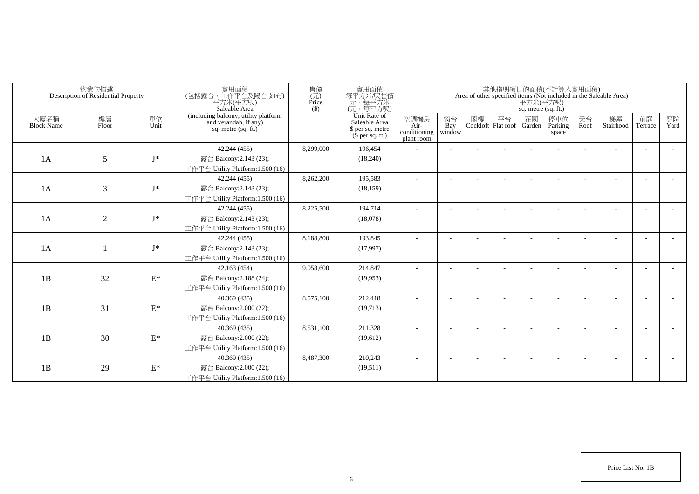|                           | 物業的描述<br>Description of Residential Property |                 | 實用面積<br>(包括露台,工作平台及陽台如有)<br>平方米(平方呎)<br>Saleable Area                                  | 售價<br>$(\vec{\pi})$<br>Price<br>$($ \$) | 實用面積<br>每平方米/呎售價<br>一元,每平方米<br>(元,每平方呎)                               |                                            |                          |    |                          | 平方米(平方呎)<br>sq. metre (sq. ft.) | 其他指明項目的面積(不計算入實用面積)     |            | Area of other specified items (Not included in the Saleable Area) |                          |            |
|---------------------------|----------------------------------------------|-----------------|----------------------------------------------------------------------------------------|-----------------------------------------|-----------------------------------------------------------------------|--------------------------------------------|--------------------------|----|--------------------------|---------------------------------|-------------------------|------------|-------------------------------------------------------------------|--------------------------|------------|
| 大廈名稱<br><b>Block Name</b> | 樓層<br>Floor                                  | 單位<br>Unit      | (including balcony, utility platform<br>and verandah, if any)<br>sq. metre $(sq, ft.)$ |                                         | Unit Rate of<br>Saleable Area<br>\$ per sq. metre<br>$$$ per sq. ft.) | 空調機房<br>Air-<br>conditioning<br>plant room | 窗台<br>Bay<br>window      | 閣樓 | 平台<br>Cockloft Flat roof | 花園<br>Garden                    | 停車位<br>Parking<br>space | 天台<br>Roof | 梯屋<br>Stairhood                                                   | 前庭<br>Terrace            | 庭院<br>Yard |
|                           |                                              |                 | 42.244 (455)                                                                           | 8,299,000                               | 196,454                                                               |                                            |                          |    |                          |                                 |                         |            |                                                                   |                          |            |
| 1A                        | 5                                            | $I^*$           | 露台 Balcony:2.143 (23);                                                                 |                                         | (18,240)                                                              |                                            |                          |    |                          |                                 |                         |            |                                                                   |                          |            |
|                           |                                              |                 | 工作平台 Utility Platform:1.500 (16)                                                       |                                         |                                                                       |                                            |                          |    |                          |                                 |                         |            |                                                                   |                          |            |
|                           |                                              |                 | 42.244 (455)                                                                           | 8,262,200                               | 195,583                                                               |                                            |                          |    |                          |                                 |                         |            |                                                                   |                          |            |
| 1A                        | 3                                            | $I^*$           | 露台 Balcony:2.143 (23);                                                                 |                                         | (18, 159)                                                             |                                            |                          |    |                          |                                 |                         |            |                                                                   |                          |            |
|                           |                                              |                 | 工作平台 Utility Platform:1.500 (16)                                                       |                                         |                                                                       |                                            |                          |    |                          |                                 |                         |            |                                                                   |                          |            |
|                           |                                              |                 | 42.244 (455)                                                                           | 8,225,500                               | 194,714                                                               | ٠                                          | $\overline{\phantom{a}}$ |    |                          |                                 |                         |            |                                                                   |                          |            |
| 1A                        | $\overline{2}$                               | $J^*$           | 露台 Balcony:2.143 (23);                                                                 |                                         | (18,078)                                                              |                                            |                          |    |                          |                                 |                         |            |                                                                   |                          |            |
|                           |                                              |                 | 工作平台 Utility Platform: 1.500 (16)                                                      |                                         |                                                                       |                                            |                          |    |                          |                                 |                         |            |                                                                   |                          |            |
|                           |                                              |                 | 42.244 (455)                                                                           | 8,188,800                               | 193,845                                                               |                                            |                          |    |                          |                                 |                         |            |                                                                   |                          |            |
| 1A                        |                                              | $J^*$           | 露台 Balcony:2.143 (23);                                                                 |                                         | (17,997)                                                              |                                            |                          |    |                          |                                 |                         |            |                                                                   |                          |            |
|                           |                                              |                 | 工作平台 Utility Platform:1.500 (16)                                                       |                                         |                                                                       |                                            |                          |    |                          |                                 |                         |            |                                                                   |                          |            |
|                           |                                              |                 | 42.163 (454)                                                                           | 9,058,600                               | 214,847                                                               |                                            |                          |    |                          |                                 |                         |            |                                                                   |                          |            |
| 1B                        | 32                                           | $\mathcal{E}^*$ | 露台 Balcony: 2.188 (24);                                                                |                                         | (19,953)                                                              |                                            |                          |    |                          |                                 |                         |            |                                                                   |                          |            |
|                           |                                              |                 | 工作平台 Utility Platform: 1.500 (16)                                                      |                                         |                                                                       |                                            |                          |    |                          |                                 |                         |            |                                                                   |                          |            |
|                           |                                              |                 | 40.369 (435)                                                                           | 8,575,100                               | 212,418                                                               |                                            |                          |    |                          |                                 |                         |            |                                                                   |                          |            |
| 1B                        | 31                                           | $\mathcal{E}^*$ | 露台 Balcony:2.000 (22);                                                                 |                                         | (19,713)                                                              |                                            |                          |    |                          |                                 |                         |            |                                                                   |                          |            |
|                           |                                              |                 | 工作平台 Utility Platform: 1.500 (16)                                                      |                                         |                                                                       |                                            |                          |    |                          |                                 |                         |            |                                                                   |                          |            |
|                           |                                              |                 | 40.369 (435)                                                                           | 8,531,100                               | 211,328                                                               |                                            |                          |    |                          |                                 |                         |            |                                                                   | $\overline{\phantom{a}}$ |            |
| 1B                        | 30                                           | $\mathcal{E}^*$ | 露台 Balcony:2.000 (22);                                                                 |                                         | (19,612)                                                              |                                            |                          |    |                          |                                 |                         |            |                                                                   |                          |            |
|                           |                                              |                 | 工作平台 Utility Platform: 1.500 (16)                                                      |                                         |                                                                       |                                            |                          |    |                          |                                 |                         |            |                                                                   |                          |            |
|                           |                                              |                 | 40.369 (435)                                                                           | 8,487,300                               | 210,243                                                               |                                            |                          |    |                          |                                 |                         |            |                                                                   |                          |            |
| 1B                        | 29                                           | $\mathcal{E}^*$ | 露台 Balcony:2.000 (22);                                                                 |                                         | (19,511)                                                              |                                            |                          |    |                          |                                 |                         |            |                                                                   |                          |            |
|                           |                                              |                 | 工作平台 Utility Platform:1.500 (16)                                                       |                                         |                                                                       |                                            |                          |    |                          |                                 |                         |            |                                                                   |                          |            |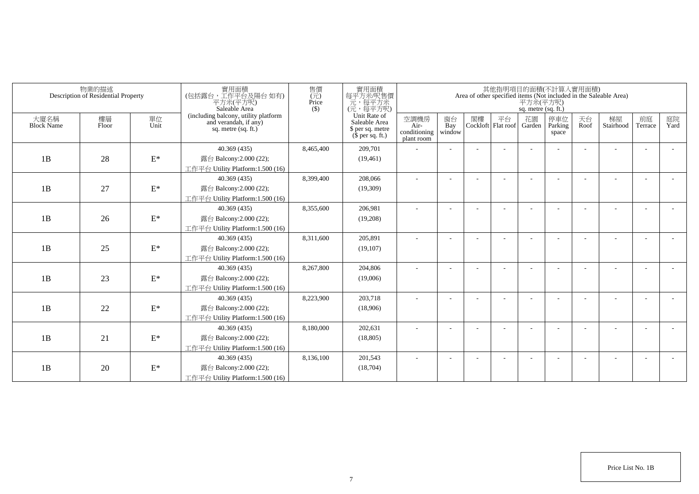|                           | 物業的描述<br>Description of Residential Property |                 | 實用面積<br>(包括露台,工作平台及陽台如有)<br>平方米(平方呎)<br>Saleable Area                                  | 售價<br>$(\vec{\pi})$<br>Price<br>$($ \$) | 實用面積<br>每平方米吧售價<br>元,每平方米<br>(元,每平方呎)                                 |                                            |                          |    |                          | 平方米(平方呎)<br>sq. metre (sq. ft.) | 其他指明項目的面積(不計算入實用面積)     |            | Area of other specified items (Not included in the Saleable Area) |                          |            |
|---------------------------|----------------------------------------------|-----------------|----------------------------------------------------------------------------------------|-----------------------------------------|-----------------------------------------------------------------------|--------------------------------------------|--------------------------|----|--------------------------|---------------------------------|-------------------------|------------|-------------------------------------------------------------------|--------------------------|------------|
| 大廈名稱<br><b>Block Name</b> | 樓層<br>Floor                                  | 單位<br>Unit      | (including balcony, utility platform<br>and verandah, if any)<br>sq. metre $(sq, ft.)$ |                                         | Unit Rate of<br>Saleable Area<br>\$ per sq. metre<br>$$$ per sq. ft.) | 空調機房<br>Air-<br>conditioning<br>plant room | 窗台<br>Bay<br>window      | 閣樓 | 平台<br>Cockloft Flat roof | 花園<br>Garden                    | 停車位<br>Parking<br>space | 天台<br>Roof | 梯屋<br>Stairhood                                                   | 前庭<br>Terrace            | 庭院<br>Yard |
|                           |                                              |                 | 40.369 (435)                                                                           | 8,465,400                               | 209,701                                                               |                                            |                          |    |                          |                                 |                         |            |                                                                   |                          |            |
| 1B                        | 28                                           | $\mathcal{E}^*$ | 露台 Balcony:2.000 (22);                                                                 |                                         | (19, 461)                                                             |                                            |                          |    |                          |                                 |                         |            |                                                                   |                          |            |
|                           |                                              |                 | 工作平台 Utility Platform:1.500 (16)                                                       |                                         |                                                                       |                                            |                          |    |                          |                                 |                         |            |                                                                   |                          |            |
|                           |                                              |                 | 40.369 (435)                                                                           | 8,399,400                               | 208,066                                                               |                                            |                          |    |                          |                                 |                         |            |                                                                   |                          |            |
| 1B                        | 27                                           | $\mathbf{E}^*$  | 露台 Balcony:2.000 (22);                                                                 |                                         | (19,309)                                                              |                                            |                          |    |                          |                                 |                         |            |                                                                   |                          |            |
|                           |                                              |                 | 工作平台 Utility Platform:1.500 (16)                                                       |                                         |                                                                       |                                            |                          |    |                          |                                 |                         |            |                                                                   |                          |            |
|                           |                                              |                 | 40.369 (435)                                                                           | 8,355,600                               | 206,981                                                               | $\sim$                                     | $\overline{\phantom{a}}$ |    |                          |                                 |                         |            |                                                                   |                          |            |
| 1B                        | 26                                           | $\mathcal{E}^*$ | 露台 Balcony:2.000 (22);                                                                 |                                         | (19,208)                                                              |                                            |                          |    |                          |                                 |                         |            |                                                                   |                          |            |
|                           |                                              |                 | 工作平台 Utility Platform: 1.500 (16)                                                      |                                         |                                                                       |                                            |                          |    |                          |                                 |                         |            |                                                                   |                          |            |
|                           |                                              |                 | 40.369 (435)                                                                           | 8,311,600                               | 205,891                                                               |                                            |                          |    |                          |                                 |                         |            |                                                                   |                          |            |
| 1B                        | 25                                           | $\mathbf{E}^*$  | 露台 Balcony:2.000 (22);                                                                 |                                         | (19,107)                                                              |                                            |                          |    |                          |                                 |                         |            |                                                                   |                          |            |
|                           |                                              |                 | 工作平台 Utility Platform:1.500 (16)                                                       |                                         |                                                                       |                                            |                          |    |                          |                                 |                         |            |                                                                   |                          |            |
|                           |                                              |                 | 40.369 (435)                                                                           | 8,267,800                               | 204,806                                                               |                                            |                          |    |                          |                                 |                         |            |                                                                   |                          |            |
| 1B                        | 23                                           | $\mathcal{E}^*$ | 露台 Balcony:2.000 (22);                                                                 |                                         | (19,006)                                                              |                                            |                          |    |                          |                                 |                         |            |                                                                   |                          |            |
|                           |                                              |                 | 工作平台 Utility Platform: 1.500 (16)                                                      |                                         |                                                                       |                                            |                          |    |                          |                                 |                         |            |                                                                   |                          |            |
|                           |                                              |                 | 40.369 (435)                                                                           | 8,223,900                               | 203,718                                                               |                                            |                          |    |                          |                                 |                         |            |                                                                   |                          |            |
| 1B                        | 22                                           | $\mathcal{E}^*$ | 露台 Balcony:2.000 (22);                                                                 |                                         | (18,906)                                                              |                                            |                          |    |                          |                                 |                         |            |                                                                   |                          |            |
|                           |                                              |                 | 工作平台 Utility Platform:1.500 (16)                                                       |                                         |                                                                       |                                            |                          |    |                          |                                 |                         |            |                                                                   |                          |            |
|                           |                                              |                 | 40.369 (435)                                                                           | 8,180,000                               | 202,631                                                               |                                            |                          |    |                          |                                 |                         |            |                                                                   | $\overline{\phantom{a}}$ |            |
| 1B                        | 21                                           | $\mathcal{E}^*$ | 露台 Balcony:2.000 (22);                                                                 |                                         | (18, 805)                                                             |                                            |                          |    |                          |                                 |                         |            |                                                                   |                          |            |
|                           |                                              |                 | 工作平台 Utility Platform: 1.500 (16)                                                      |                                         |                                                                       |                                            |                          |    |                          |                                 |                         |            |                                                                   |                          |            |
|                           |                                              |                 | 40.369(435)                                                                            | 8,136,100                               | 201,543                                                               |                                            |                          |    |                          |                                 |                         |            |                                                                   |                          |            |
| 1B                        | 20                                           | $\mathcal{E}^*$ | 露台 Balcony:2.000 (22);                                                                 |                                         | (18,704)                                                              |                                            |                          |    |                          |                                 |                         |            |                                                                   |                          |            |
|                           |                                              |                 | 工作平台 Utility Platform:1.500 (16)                                                       |                                         |                                                                       |                                            |                          |    |                          |                                 |                         |            |                                                                   |                          |            |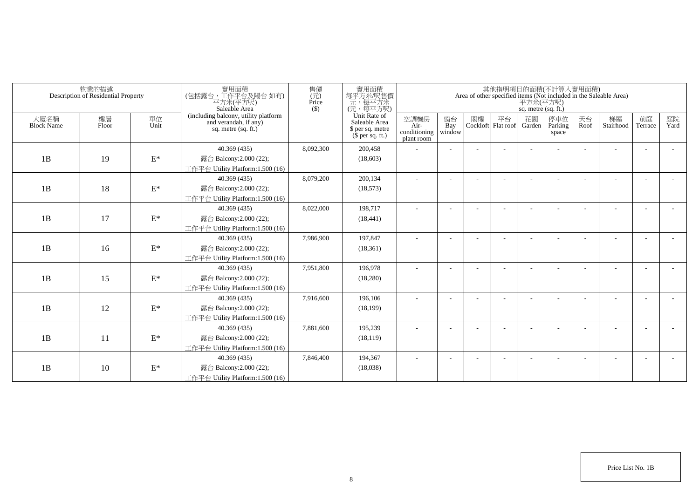|                           | 物業的描述<br>Description of Residential Property |                 | 實用面積<br>(包括露台,工作平台及陽台如有)<br>平方米(平方呎)<br>Saleable Area                                  | 售價<br>$\overline{(\overline{\tau}\overline{\tau})}$<br>Price<br>$($ \$ | 實用面積<br>每平方米/呎售價<br>元,每平方米<br>(元,每平方呎)                                |                                            |                          |    |                                 | 平方米(平方呎)<br>sq. metre (sq. ft.) | 其他指明項目的面積(不計算入實用面積)      |            | Area of other specified items (Not included in the Saleable Area) |                          |            |
|---------------------------|----------------------------------------------|-----------------|----------------------------------------------------------------------------------------|------------------------------------------------------------------------|-----------------------------------------------------------------------|--------------------------------------------|--------------------------|----|---------------------------------|---------------------------------|--------------------------|------------|-------------------------------------------------------------------|--------------------------|------------|
| 大廈名稱<br><b>Block Name</b> | 樓層<br>Floor                                  | 單位<br>Unit      | (including balcony, utility platform<br>and verandah, if any)<br>sq. metre $(sq, ft.)$ |                                                                        | Unit Rate of<br>Saleable Area<br>\$ per sq. metre<br>$$$ per sq. ft.) | 空調機房<br>Air-<br>conditioning<br>plant room | 窗台<br>Bay<br>window      | 閣樓 | 平台<br>Cockloft Flat roof Garden | 花園                              | 停車位<br>Parking<br>space  | 天台<br>Roof | 梯屋<br>Stairhood                                                   | 前庭<br>Terrace            | 庭院<br>Yard |
|                           |                                              |                 | 40.369 (435)                                                                           | 8,092,300                                                              | 200,458                                                               |                                            |                          |    |                                 |                                 |                          |            |                                                                   | ÷                        |            |
| 1B                        | 19                                           | $\mathcal{E}^*$ | 露台 Balcony:2.000 (22);                                                                 |                                                                        | (18,603)                                                              |                                            |                          |    |                                 |                                 |                          |            |                                                                   |                          |            |
|                           |                                              |                 | 工作平台 Utility Platform:1.500 (16)                                                       |                                                                        |                                                                       |                                            |                          |    |                                 |                                 |                          |            |                                                                   |                          |            |
|                           |                                              |                 | 40.369(435)                                                                            | 8,079,200                                                              | 200,134                                                               | ٠                                          | $\overline{\phantom{a}}$ |    |                                 |                                 | $\overline{\phantom{a}}$ |            |                                                                   | $\overline{\phantom{a}}$ |            |
| 1B                        | 18                                           | $\mathbf{E}^*$  | 露台 Balcony:2.000 (22);                                                                 |                                                                        | (18, 573)                                                             |                                            |                          |    |                                 |                                 |                          |            |                                                                   |                          |            |
|                           |                                              |                 | 工作平台 Utility Platform:1.500 (16)                                                       |                                                                        |                                                                       |                                            |                          |    |                                 |                                 |                          |            |                                                                   |                          |            |
|                           |                                              |                 | 40.369 (435)                                                                           | 8,022,000                                                              | 198,717                                                               | ٠                                          |                          |    |                                 |                                 |                          |            |                                                                   |                          |            |
| 1B                        | 17                                           | $\mathbf{E}^*$  | 露台 Balcony:2.000 (22);                                                                 |                                                                        | (18, 441)                                                             |                                            |                          |    |                                 |                                 |                          |            |                                                                   |                          |            |
|                           |                                              |                 | 工作平台 Utility Platform: 1.500 (16)                                                      |                                                                        |                                                                       |                                            |                          |    |                                 |                                 |                          |            |                                                                   |                          |            |
|                           |                                              |                 | 40.369(435)                                                                            | 7,986,900                                                              | 197,847                                                               |                                            |                          |    |                                 |                                 |                          |            |                                                                   |                          |            |
| 1B                        | 16                                           | $E^*$           | 露台 Balcony:2.000 (22);                                                                 |                                                                        | (18, 361)                                                             |                                            |                          |    |                                 |                                 |                          |            |                                                                   |                          |            |
|                           |                                              |                 | 工作平台 Utility Platform:1.500 (16)                                                       |                                                                        |                                                                       |                                            |                          |    |                                 |                                 |                          |            |                                                                   |                          |            |
|                           |                                              |                 | 40.369(435)                                                                            | 7,951,800                                                              | 196,978                                                               | ÷                                          |                          |    |                                 |                                 |                          |            |                                                                   | $\overline{\phantom{a}}$ |            |
| 1B                        | 15                                           | $\mathcal{E}^*$ | 露台 Balcony:2.000 (22);                                                                 |                                                                        | (18,280)                                                              |                                            |                          |    |                                 |                                 |                          |            |                                                                   |                          |            |
|                           |                                              |                 | 工作平台 Utility Platform:1.500 (16)                                                       |                                                                        |                                                                       |                                            |                          |    |                                 |                                 |                          |            |                                                                   |                          |            |
|                           |                                              |                 | 40.369 (435)                                                                           | 7,916,600                                                              | 196,106                                                               |                                            |                          |    |                                 |                                 |                          |            |                                                                   |                          |            |
| 1B                        | 12                                           | $\mathcal{E}^*$ | 露台 Balcony:2.000 (22);                                                                 |                                                                        | (18, 199)                                                             |                                            |                          |    |                                 |                                 |                          |            |                                                                   |                          |            |
|                           |                                              |                 | 工作平台 Utility Platform: 1.500 (16)                                                      |                                                                        |                                                                       |                                            |                          |    |                                 |                                 |                          |            |                                                                   |                          |            |
|                           |                                              |                 | 40.369 (435)                                                                           | 7,881,600                                                              | 195,239                                                               |                                            |                          |    |                                 |                                 |                          |            |                                                                   |                          |            |
| 1B                        | 11                                           | $\mathcal{E}^*$ | 露台 Balcony:2.000 (22);                                                                 |                                                                        | (18, 119)                                                             |                                            |                          |    |                                 |                                 |                          |            |                                                                   |                          |            |
|                           |                                              |                 | 工作平台 Utility Platform: 1.500 (16)                                                      |                                                                        |                                                                       |                                            |                          |    |                                 |                                 |                          |            |                                                                   |                          |            |
|                           |                                              |                 | 40.369(435)                                                                            | 7,846,400                                                              | 194,367                                                               |                                            |                          |    |                                 |                                 |                          |            |                                                                   | ٠                        |            |
| 1B                        | 10                                           | $\mathcal{E}^*$ | 露台 Balcony:2.000 (22);                                                                 |                                                                        | (18,038)                                                              |                                            |                          |    |                                 |                                 |                          |            |                                                                   |                          |            |
|                           |                                              |                 | 工作平台 Utility Platform:1.500 (16)                                                       |                                                                        |                                                                       |                                            |                          |    |                                 |                                 |                          |            |                                                                   |                          |            |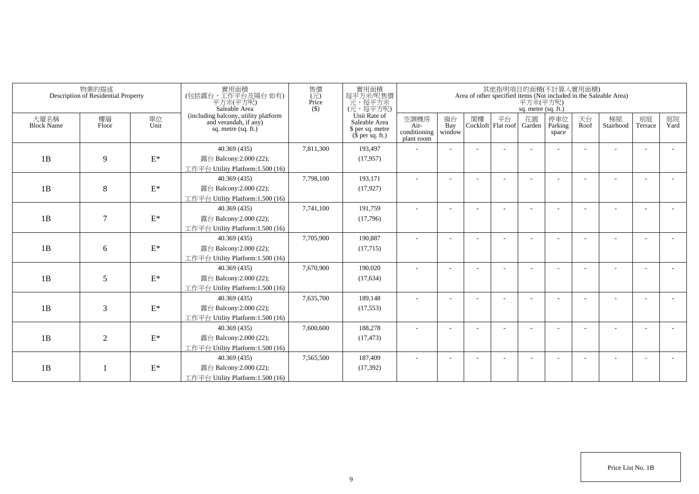|                           | 物業的描述<br>Description of Residential Property |                 | 實用面積<br>(包括露台,工作平台及陽台如有)<br>平方米(平方呎)<br>Saleable Area                                  | 售價<br>(元)<br>Price<br>$($ \$) | 實用面積<br>每平方米吧售價<br>元,每平方米<br>(元,每平方呎)                                 |                                            |                          |    |                          | 平方米(平方呎)<br>sq. metre (sq. ft.) | 其他指明項目的面積(不計算入實用面積)     |            | Area of other specified items (Not included in the Saleable Area) |               |            |
|---------------------------|----------------------------------------------|-----------------|----------------------------------------------------------------------------------------|-------------------------------|-----------------------------------------------------------------------|--------------------------------------------|--------------------------|----|--------------------------|---------------------------------|-------------------------|------------|-------------------------------------------------------------------|---------------|------------|
| 大廈名稱<br><b>Block Name</b> | 樓層<br>Floor                                  | 單位<br>Unit      | (including balcony, utility platform<br>and verandah, if any)<br>sq. metre $(sq, ft.)$ |                               | Unit Rate of<br>Saleable Area<br>\$ per sq. metre<br>$$$ per sq. ft.) | 空調機房<br>Air-<br>conditioning<br>plant room | 窗台<br>Bay<br>window      | 閣樓 | 平台<br>Cockloft Flat roof | 花園<br>Garden                    | 停車位<br>Parking<br>space | 天台<br>Roof | 梯屋<br>Stairhood                                                   | 前庭<br>Terrace | 庭院<br>Yard |
|                           |                                              |                 | 40.369 (435)                                                                           | 7,811,300                     | 193,497                                                               |                                            |                          |    |                          |                                 |                         |            |                                                                   |               |            |
| 1B                        | 9                                            | $\mathcal{E}^*$ | 露台 Balcony:2.000 (22);                                                                 |                               | (17, 957)                                                             |                                            |                          |    |                          |                                 |                         |            |                                                                   |               |            |
|                           |                                              |                 | 工作平台 Utility Platform:1.500 (16)                                                       |                               |                                                                       |                                            |                          |    |                          |                                 |                         |            |                                                                   |               |            |
|                           |                                              |                 | 40.369(435)                                                                            | 7,798,100                     | 193,171                                                               |                                            |                          |    |                          |                                 |                         |            |                                                                   |               |            |
| 1B                        | 8                                            | $\mathbf{E}^*$  | 露台 Balcony:2.000 (22);                                                                 |                               | (17, 927)                                                             |                                            |                          |    |                          |                                 |                         |            |                                                                   |               |            |
|                           |                                              |                 | 工作平台 Utility Platform:1.500 (16)                                                       |                               |                                                                       |                                            |                          |    |                          |                                 |                         |            |                                                                   |               |            |
|                           |                                              |                 | 40.369 (435)                                                                           | 7,741,100                     | 191,759                                                               | $\sim$                                     | $\overline{\phantom{a}}$ |    |                          |                                 |                         |            |                                                                   |               |            |
| 1B                        | $\tau$                                       | $\mathcal{E}^*$ | 露台 Balcony: 2.000 (22);                                                                |                               | (17,796)                                                              |                                            |                          |    |                          |                                 |                         |            |                                                                   |               |            |
|                           |                                              |                 | 工作平台 Utility Platform: 1.500 (16)                                                      |                               |                                                                       |                                            |                          |    |                          |                                 |                         |            |                                                                   |               |            |
|                           |                                              |                 | 40.369(435)                                                                            | 7,705,900                     | 190,887                                                               |                                            |                          |    |                          |                                 |                         |            |                                                                   |               |            |
| 1B                        | 6                                            | $\mathbf{E}^*$  | 露台 Balcony:2.000 (22);                                                                 |                               | (17,715)                                                              |                                            |                          |    |                          |                                 |                         |            |                                                                   |               |            |
|                           |                                              |                 | 工作平台 Utility Platform:1.500 (16)                                                       |                               |                                                                       |                                            |                          |    |                          |                                 |                         |            |                                                                   |               |            |
|                           |                                              |                 | 40.369 (435)                                                                           | 7,670,900                     | 190,020                                                               |                                            |                          |    |                          |                                 |                         |            |                                                                   |               |            |
| 1B                        | 5                                            | $\mathcal{E}^*$ | 露台 Balcony:2.000 (22);                                                                 |                               | (17, 634)                                                             |                                            |                          |    |                          |                                 |                         |            |                                                                   |               |            |
|                           |                                              |                 | 工作平台 Utility Platform: 1.500 (16)                                                      |                               |                                                                       |                                            |                          |    |                          |                                 |                         |            |                                                                   |               |            |
|                           |                                              |                 | 40.369 (435)                                                                           | 7,635,700                     | 189,148                                                               |                                            |                          |    |                          |                                 |                         |            |                                                                   |               |            |
| 1B                        | 3                                            | $\mathcal{E}^*$ | 露台 Balcony:2.000 (22);                                                                 |                               | (17, 553)                                                             |                                            |                          |    |                          |                                 |                         |            |                                                                   |               |            |
|                           |                                              |                 | 工作平台 Utility Platform:1.500 (16)                                                       |                               |                                                                       |                                            |                          |    |                          |                                 |                         |            |                                                                   |               |            |
|                           |                                              |                 | 40.369 (435)                                                                           | 7,600,600                     | 188,278                                                               |                                            |                          |    |                          |                                 |                         |            |                                                                   |               |            |
| 1B                        | $\overline{2}$                               | $\mathcal{E}^*$ | 露台 Balcony:2.000 (22);                                                                 |                               | (17, 473)                                                             |                                            |                          |    |                          |                                 |                         |            |                                                                   |               |            |
|                           |                                              |                 | 工作平台 Utility Platform: 1.500 (16)                                                      |                               |                                                                       |                                            |                          |    |                          |                                 |                         |            |                                                                   |               |            |
|                           |                                              |                 | 40.369 (435)                                                                           | 7,565,500                     | 187,409                                                               |                                            |                          |    |                          |                                 |                         |            |                                                                   |               |            |
| 1B                        |                                              | $\mathbf{E}^*$  | 露台 Balcony:2.000 (22);                                                                 |                               | (17, 392)                                                             |                                            |                          |    |                          |                                 |                         |            |                                                                   |               |            |
|                           |                                              |                 | 工作平台 Utility Platform:1.500 (16)                                                       |                               |                                                                       |                                            |                          |    |                          |                                 |                         |            |                                                                   |               |            |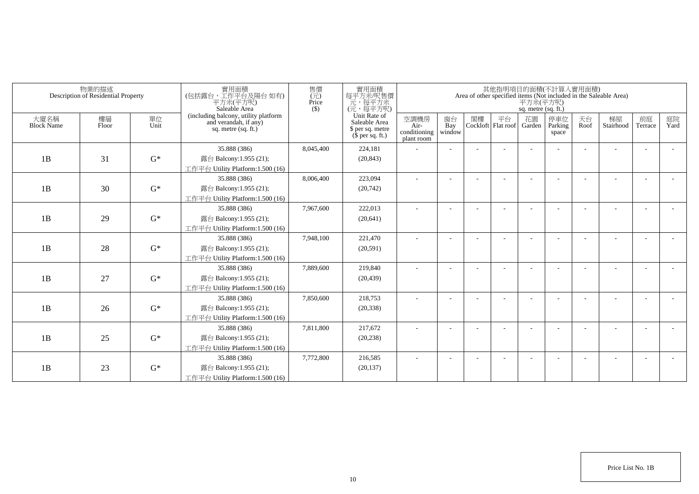| (including balcony, utility platform<br>and verandah, if any)<br>Unit Rate of<br>花園<br>天台<br>樓層<br>空調機房<br>窗台<br>閣樓<br>平台<br>停車位<br>梯屋<br>前庭<br>大廈名稱<br>單位<br>Unit<br>Saleable Area<br><b>Block Name</b><br>Bay<br>Parking<br>Stairhood<br>Floor<br>Cockloft Flat roof<br>Roof<br>Air-<br>Garden<br>Terrace<br>sq. metre $(sq, ft.)$<br>\$ per sq. metre<br>conditioning<br>window<br>space<br>$$$ per sq. ft.)<br>plant room<br>35.888 (386)<br>224,181<br>8,045,400<br>$G^*$<br>1B<br>31<br>露台 Balcony:1.955 (21);<br>(20, 843)<br>工作平台 Utility Platform:1.500 (16)<br>223,094<br>35.888 (386)<br>8,006,400<br>$G^*$<br>1B<br>30<br>露台 Balcony:1.955 (21);<br>(20, 742)<br>工作平台 Utility Platform:1.500 (16)<br>35.888 (386)<br>7,967,600<br>222,013<br>$\sim$<br>$\overline{\phantom{a}}$<br>$\overline{\phantom{a}}$<br>1B<br>29<br>$G^*$<br>露台 Balcony:1.955 (21);<br>(20, 641)<br>工作平台 Utility Platform:1.500 (16) |            | Area of other specified items (Not included in the Saleable Area) |  | 平方米(平方呎)<br>sq. metre (sq. ft.) | 其他指明項目的面積(不計算入實用面積) |  | 實用面積<br>每平方米吧售價<br>元,每平方米<br>(元,每平方呎) | 售價<br>$(\vec{\pi})$<br>Price<br>$($ \$ | 實用面積<br>(包括露台,工作平台及陽台如有)<br>平方米(平方呎)<br>Saleable Area | 物業的描述<br>Description of Residential Property |  |
|-------------------------------------------------------------------------------------------------------------------------------------------------------------------------------------------------------------------------------------------------------------------------------------------------------------------------------------------------------------------------------------------------------------------------------------------------------------------------------------------------------------------------------------------------------------------------------------------------------------------------------------------------------------------------------------------------------------------------------------------------------------------------------------------------------------------------------------------------------------------------------------------------------------------------|------------|-------------------------------------------------------------------|--|---------------------------------|---------------------|--|---------------------------------------|----------------------------------------|-------------------------------------------------------|----------------------------------------------|--|
|                                                                                                                                                                                                                                                                                                                                                                                                                                                                                                                                                                                                                                                                                                                                                                                                                                                                                                                         | 庭院<br>Yard |                                                                   |  |                                 |                     |  |                                       |                                        |                                                       |                                              |  |
|                                                                                                                                                                                                                                                                                                                                                                                                                                                                                                                                                                                                                                                                                                                                                                                                                                                                                                                         |            |                                                                   |  |                                 |                     |  |                                       |                                        |                                                       |                                              |  |
|                                                                                                                                                                                                                                                                                                                                                                                                                                                                                                                                                                                                                                                                                                                                                                                                                                                                                                                         |            |                                                                   |  |                                 |                     |  |                                       |                                        |                                                       |                                              |  |
|                                                                                                                                                                                                                                                                                                                                                                                                                                                                                                                                                                                                                                                                                                                                                                                                                                                                                                                         |            |                                                                   |  |                                 |                     |  |                                       |                                        |                                                       |                                              |  |
|                                                                                                                                                                                                                                                                                                                                                                                                                                                                                                                                                                                                                                                                                                                                                                                                                                                                                                                         |            |                                                                   |  |                                 |                     |  |                                       |                                        |                                                       |                                              |  |
|                                                                                                                                                                                                                                                                                                                                                                                                                                                                                                                                                                                                                                                                                                                                                                                                                                                                                                                         |            |                                                                   |  |                                 |                     |  |                                       |                                        |                                                       |                                              |  |
|                                                                                                                                                                                                                                                                                                                                                                                                                                                                                                                                                                                                                                                                                                                                                                                                                                                                                                                         |            |                                                                   |  |                                 |                     |  |                                       |                                        |                                                       |                                              |  |
|                                                                                                                                                                                                                                                                                                                                                                                                                                                                                                                                                                                                                                                                                                                                                                                                                                                                                                                         |            |                                                                   |  |                                 |                     |  |                                       |                                        |                                                       |                                              |  |
|                                                                                                                                                                                                                                                                                                                                                                                                                                                                                                                                                                                                                                                                                                                                                                                                                                                                                                                         |            |                                                                   |  |                                 |                     |  |                                       |                                        |                                                       |                                              |  |
|                                                                                                                                                                                                                                                                                                                                                                                                                                                                                                                                                                                                                                                                                                                                                                                                                                                                                                                         |            |                                                                   |  |                                 |                     |  |                                       |                                        |                                                       |                                              |  |
| 7,948,100<br>221,470<br>35.888 (386)                                                                                                                                                                                                                                                                                                                                                                                                                                                                                                                                                                                                                                                                                                                                                                                                                                                                                    |            |                                                                   |  |                                 |                     |  |                                       |                                        |                                                       |                                              |  |
| $G^*$<br>1B<br>28<br>露台 Balcony:1.955 (21);<br>(20,591)                                                                                                                                                                                                                                                                                                                                                                                                                                                                                                                                                                                                                                                                                                                                                                                                                                                                 |            |                                                                   |  |                                 |                     |  |                                       |                                        |                                                       |                                              |  |
| 工作平台 Utility Platform:1.500 (16)                                                                                                                                                                                                                                                                                                                                                                                                                                                                                                                                                                                                                                                                                                                                                                                                                                                                                        |            |                                                                   |  |                                 |                     |  |                                       |                                        |                                                       |                                              |  |
| 35.888 (386)<br>7,889,600<br>219,840                                                                                                                                                                                                                                                                                                                                                                                                                                                                                                                                                                                                                                                                                                                                                                                                                                                                                    |            |                                                                   |  |                                 |                     |  |                                       |                                        |                                                       |                                              |  |
| $G^*$<br>1B<br>27<br>露台 Balcony:1.955 (21);<br>(20, 439)                                                                                                                                                                                                                                                                                                                                                                                                                                                                                                                                                                                                                                                                                                                                                                                                                                                                |            |                                                                   |  |                                 |                     |  |                                       |                                        |                                                       |                                              |  |
| 工作平台 Utility Platform: 1.500 (16)                                                                                                                                                                                                                                                                                                                                                                                                                                                                                                                                                                                                                                                                                                                                                                                                                                                                                       |            |                                                                   |  |                                 |                     |  |                                       |                                        |                                                       |                                              |  |
| 7,850,600<br>35.888 (386)<br>218,753                                                                                                                                                                                                                                                                                                                                                                                                                                                                                                                                                                                                                                                                                                                                                                                                                                                                                    |            |                                                                   |  |                                 |                     |  |                                       |                                        |                                                       |                                              |  |
| 1B<br>$G^*$<br>26<br>露台 Balcony:1.955 (21);<br>(20, 338)                                                                                                                                                                                                                                                                                                                                                                                                                                                                                                                                                                                                                                                                                                                                                                                                                                                                |            |                                                                   |  |                                 |                     |  |                                       |                                        |                                                       |                                              |  |
| 工作平台 Utility Platform:1.500 (16)                                                                                                                                                                                                                                                                                                                                                                                                                                                                                                                                                                                                                                                                                                                                                                                                                                                                                        |            |                                                                   |  |                                 |                     |  |                                       |                                        |                                                       |                                              |  |
| 35.888 (386)<br>7,811,800<br>217,672<br>$\overline{\phantom{a}}$                                                                                                                                                                                                                                                                                                                                                                                                                                                                                                                                                                                                                                                                                                                                                                                                                                                        |            |                                                                   |  |                                 |                     |  |                                       |                                        |                                                       |                                              |  |
| 1B<br>$G^*$<br>25<br>露台 Balcony:1.955 (21);<br>(20, 238)                                                                                                                                                                                                                                                                                                                                                                                                                                                                                                                                                                                                                                                                                                                                                                                                                                                                |            |                                                                   |  |                                 |                     |  |                                       |                                        |                                                       |                                              |  |
| 工作平台 Utility Platform: 1.500 (16)                                                                                                                                                                                                                                                                                                                                                                                                                                                                                                                                                                                                                                                                                                                                                                                                                                                                                       |            |                                                                   |  |                                 |                     |  |                                       |                                        |                                                       |                                              |  |
| 7,772,800<br>216,585<br>35.888 (386)                                                                                                                                                                                                                                                                                                                                                                                                                                                                                                                                                                                                                                                                                                                                                                                                                                                                                    |            |                                                                   |  |                                 |                     |  |                                       |                                        |                                                       |                                              |  |
| $G^*$<br>1B<br>23<br>露台 Balcony:1.955 (21);<br>(20, 137)<br>工作平台 Utility Platform:1.500 (16)                                                                                                                                                                                                                                                                                                                                                                                                                                                                                                                                                                                                                                                                                                                                                                                                                            |            |                                                                   |  |                                 |                     |  |                                       |                                        |                                                       |                                              |  |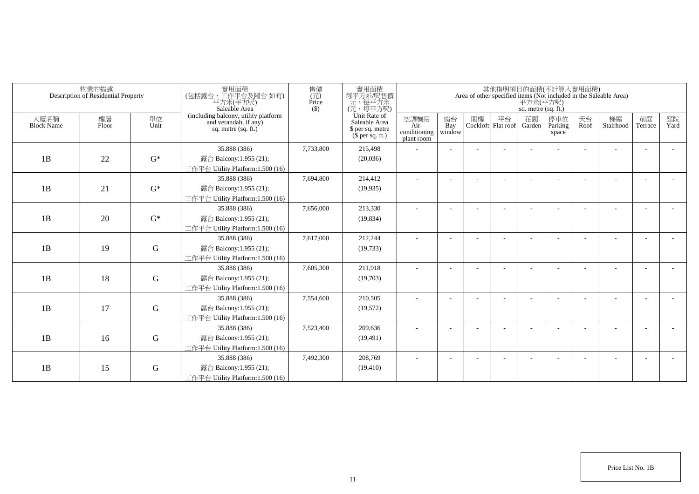|                           | 物業的描述<br>Description of Residential Property |             | 實用面積<br>(包括露台,工作平台及陽台 如有)<br>平方米(平方呎)<br>Saleable Area                                 | 售價<br>(元)<br>Price<br>$($ \$) | 實用面積<br>每平方米/呎售價<br>一元,每平方米<br>(元,每平方呎)                               |                                            |                          |    |                          | 平方米(平方呎)<br>sq. metre (sq. ft.) | 其他指明項目的面積(不計算入實用面積)     |            | Area of other specified items (Not included in the Saleable Area) |                          |            |
|---------------------------|----------------------------------------------|-------------|----------------------------------------------------------------------------------------|-------------------------------|-----------------------------------------------------------------------|--------------------------------------------|--------------------------|----|--------------------------|---------------------------------|-------------------------|------------|-------------------------------------------------------------------|--------------------------|------------|
| 大廈名稱<br><b>Block Name</b> | 樓層<br>Floor                                  | 單位<br>Unit  | (including balcony, utility platform<br>and verandah, if any)<br>sq. metre $(sq, ft.)$ |                               | Unit Rate of<br>Saleable Area<br>\$ per sq. metre<br>$$$ per sq. ft.) | 空調機房<br>Air-<br>conditioning<br>plant room | 窗台<br>Bay<br>window      | 閣樓 | 平台<br>Cockloft Flat roof | 花園<br>Garden                    | 停車位<br>Parking<br>space | 天台<br>Roof | 梯屋<br>Stairhood                                                   | 前庭<br>Terrace            | 庭院<br>Yard |
|                           |                                              |             | 35.888 (386)                                                                           | 7,733,800                     | 215,498                                                               |                                            |                          |    |                          |                                 |                         |            |                                                                   |                          |            |
| 1B                        | 22                                           | $G^*$       | 露台 Balcony:1.955 (21);                                                                 |                               | (20,036)                                                              |                                            |                          |    |                          |                                 |                         |            |                                                                   |                          |            |
|                           |                                              |             | 工作平台 Utility Platform:1.500 (16)                                                       |                               |                                                                       |                                            |                          |    |                          |                                 |                         |            |                                                                   |                          |            |
|                           |                                              |             | 35.888 (386)                                                                           | 7,694,800                     | 214,412                                                               |                                            |                          |    |                          |                                 |                         |            |                                                                   |                          |            |
| 1B                        | 21                                           | $G^*$       | 露台 Balcony:1.955 (21);                                                                 |                               | (19, 935)                                                             |                                            |                          |    |                          |                                 |                         |            |                                                                   |                          |            |
|                           |                                              |             | 工作平台 Utility Platform:1.500 (16)                                                       |                               |                                                                       |                                            |                          |    |                          |                                 |                         |            |                                                                   |                          |            |
|                           |                                              |             | 35.888 (386)                                                                           | 7,656,000                     | 213,330                                                               | ٠                                          | $\overline{\phantom{a}}$ |    |                          |                                 |                         |            |                                                                   |                          |            |
| 1B                        | 20                                           | $G^*$       | 露台 Balcony:1.955 (21);                                                                 |                               | (19, 834)                                                             |                                            |                          |    |                          |                                 |                         |            |                                                                   |                          |            |
|                           |                                              |             | 工作平台 Utility Platform: 1.500 (16)                                                      |                               |                                                                       |                                            |                          |    |                          |                                 |                         |            |                                                                   |                          |            |
|                           |                                              |             | 35.888 (386)                                                                           | 7,617,000                     | 212,244                                                               |                                            |                          |    |                          |                                 |                         |            |                                                                   |                          |            |
| 1B                        | 19                                           | G           | 露台 Balcony:1.955 (21);                                                                 |                               | (19, 733)                                                             |                                            |                          |    |                          |                                 |                         |            |                                                                   |                          |            |
|                           |                                              |             | 工作平台 Utility Platform:1.500 (16)                                                       |                               |                                                                       |                                            |                          |    |                          |                                 |                         |            |                                                                   |                          |            |
|                           |                                              |             | 35.888 (386)                                                                           | 7,605,300                     | 211,918                                                               |                                            |                          |    |                          |                                 |                         |            |                                                                   |                          |            |
| 1B                        | 18                                           | $\mathbf G$ | 露台 Balcony:1.955 (21);                                                                 |                               | (19,703)                                                              |                                            |                          |    |                          |                                 |                         |            |                                                                   |                          |            |
|                           |                                              |             | 工作平台 Utility Platform: 1.500 (16)                                                      |                               |                                                                       |                                            |                          |    |                          |                                 |                         |            |                                                                   |                          |            |
|                           |                                              |             | 35.888 (386)                                                                           | 7,554,600                     | 210,505                                                               |                                            |                          |    |                          |                                 |                         |            |                                                                   |                          |            |
| 1B                        | 17                                           | G           | 露台 Balcony:1.955 (21);                                                                 |                               | (19,572)                                                              |                                            |                          |    |                          |                                 |                         |            |                                                                   |                          |            |
|                           |                                              |             | 工作平台 Utility Platform: 1.500 (16)                                                      |                               |                                                                       |                                            |                          |    |                          |                                 |                         |            |                                                                   |                          |            |
|                           |                                              |             | 35.888 (386)                                                                           | 7,523,400                     | 209,636                                                               |                                            |                          |    |                          |                                 |                         |            |                                                                   | $\overline{\phantom{a}}$ |            |
| 1B                        | 16                                           | ${\bf G}$   | 露台 Balcony:1.955 (21);                                                                 |                               | (19, 491)                                                             |                                            |                          |    |                          |                                 |                         |            |                                                                   |                          |            |
|                           |                                              |             | 工作平台 Utility Platform: 1.500 (16)<br>35.888 (386)                                      | 7,492,300                     | 208,769                                                               |                                            |                          |    |                          |                                 |                         |            |                                                                   |                          |            |
| 1B                        | 15                                           | G           | 露台 Balcony:1.955 (21);                                                                 |                               | (19, 410)                                                             |                                            |                          |    |                          |                                 |                         |            |                                                                   |                          |            |
|                           |                                              |             | 工作平台 Utility Platform:1.500 (16)                                                       |                               |                                                                       |                                            |                          |    |                          |                                 |                         |            |                                                                   |                          |            |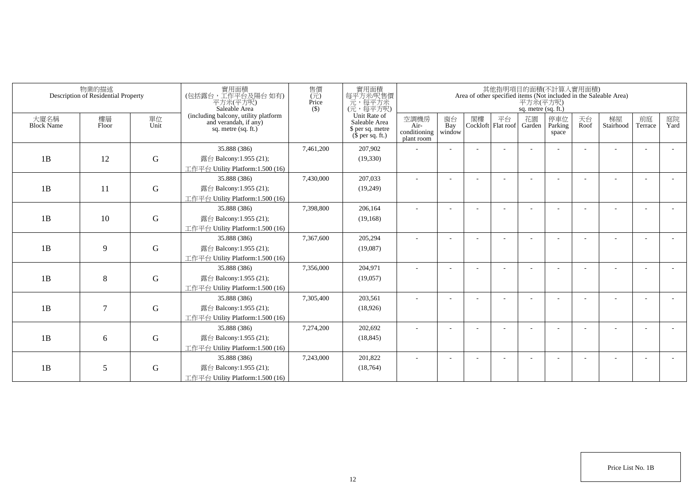|                           | 物業的描述<br>Description of Residential Property |             | 實用面積<br>(包括露台,工作平台及陽台 如有)<br>平方米(平方呎)<br>Saleable Area                                 | 售價<br>(元)<br>Price<br>$($ \$) | 實用面積<br>每平方米/呎售價<br>一元,每平方米<br>(元,每平方呎)                               |                                            |                          |    |                          | 平方米(平方呎)<br>sq. metre (sq. ft.) | 其他指明項目的面積(不計算入實用面積)     |            | Area of other specified items (Not included in the Saleable Area) |               |            |
|---------------------------|----------------------------------------------|-------------|----------------------------------------------------------------------------------------|-------------------------------|-----------------------------------------------------------------------|--------------------------------------------|--------------------------|----|--------------------------|---------------------------------|-------------------------|------------|-------------------------------------------------------------------|---------------|------------|
| 大廈名稱<br><b>Block Name</b> | 樓層<br>Floor                                  | 單位<br>Unit  | (including balcony, utility platform<br>and verandah, if any)<br>sq. metre $(sq, ft.)$ |                               | Unit Rate of<br>Saleable Area<br>\$ per sq. metre<br>$$$ per sq. ft.) | 空調機房<br>Air-<br>conditioning<br>plant room | 窗台<br>Bay<br>window      | 閣樓 | 平台<br>Cockloft Flat roof | 花園<br>Garden                    | 停車位<br>Parking<br>space | 天台<br>Roof | 梯屋<br>Stairhood                                                   | 前庭<br>Terrace | 庭院<br>Yard |
|                           |                                              |             | 35.888 (386)                                                                           | 7,461,200                     | 207,902                                                               |                                            |                          |    |                          |                                 |                         |            |                                                                   |               |            |
| 1B                        | 12                                           | $\mathbf G$ | 露台 Balcony:1.955 (21);                                                                 |                               | (19,330)                                                              |                                            |                          |    |                          |                                 |                         |            |                                                                   |               |            |
|                           |                                              |             | 工作平台 Utility Platform:1.500 (16)                                                       |                               |                                                                       |                                            |                          |    |                          |                                 |                         |            |                                                                   |               |            |
|                           |                                              |             | 35.888 (386)                                                                           | 7,430,000                     | 207,033                                                               |                                            |                          |    |                          |                                 |                         |            |                                                                   |               |            |
| 1B                        | 11                                           | $\mathbf G$ | 露台 Balcony:1.955 (21);                                                                 |                               | (19,249)                                                              |                                            |                          |    |                          |                                 |                         |            |                                                                   |               |            |
|                           |                                              |             | 工作平台 Utility Platform:1.500 (16)                                                       |                               |                                                                       |                                            |                          |    |                          |                                 |                         |            |                                                                   |               |            |
|                           |                                              |             | 35.888 (386)                                                                           | 7,398,800                     | 206,164                                                               | ٠                                          | $\overline{\phantom{a}}$ |    |                          |                                 |                         |            |                                                                   |               |            |
| 1B                        | 10                                           | $\mathbf G$ | 露台 Balcony:1.955 (21);                                                                 |                               | (19, 168)                                                             |                                            |                          |    |                          |                                 |                         |            |                                                                   |               |            |
|                           |                                              |             | 工作平台 Utility Platform: 1.500 (16)                                                      |                               |                                                                       |                                            |                          |    |                          |                                 |                         |            |                                                                   |               |            |
|                           |                                              |             | 35.888 (386)                                                                           | 7,367,600                     | 205,294                                                               |                                            |                          |    |                          |                                 |                         |            |                                                                   |               |            |
| 1B                        | 9                                            | G           | 露台 Balcony:1.955 (21);                                                                 |                               | (19,087)                                                              |                                            |                          |    |                          |                                 |                         |            |                                                                   |               |            |
|                           |                                              |             | 工作平台 Utility Platform:1.500 (16)                                                       |                               |                                                                       |                                            |                          |    |                          |                                 |                         |            |                                                                   |               |            |
|                           |                                              |             | 35.888 (386)                                                                           | 7,356,000                     | 204,971                                                               |                                            |                          |    |                          |                                 |                         |            |                                                                   |               |            |
| 1B                        | 8                                            | $\mathbf G$ | 露台 Balcony:1.955 (21);                                                                 |                               | (19,057)                                                              |                                            |                          |    |                          |                                 |                         |            |                                                                   |               |            |
|                           |                                              |             | 工作平台 Utility Platform: 1.500 (16)<br>35.888 (386)                                      | 7,305,400                     | 203,561                                                               |                                            |                          |    |                          |                                 |                         |            |                                                                   |               |            |
| 1B                        | 7                                            | G           | 露台 Balcony:1.955 (21);                                                                 |                               | (18,926)                                                              |                                            |                          |    |                          |                                 |                         |            |                                                                   |               |            |
|                           |                                              |             | 工作平台 Utility Platform:1.500 (16)                                                       |                               |                                                                       |                                            |                          |    |                          |                                 |                         |            |                                                                   |               |            |
|                           |                                              |             | 35.888 (386)                                                                           | 7,274,200                     | 202,692                                                               |                                            |                          |    |                          |                                 |                         |            |                                                                   |               |            |
| 1B                        | 6                                            | ${\bf G}$   | 露台 Balcony:1.955 (21);                                                                 |                               | (18, 845)                                                             |                                            |                          |    |                          |                                 |                         |            |                                                                   |               |            |
|                           |                                              |             | 工作平台 Utility Platform: 1.500 (16)                                                      |                               |                                                                       |                                            |                          |    |                          |                                 |                         |            |                                                                   |               |            |
|                           |                                              |             | 35.888 (386)                                                                           | 7,243,000                     | 201,822                                                               |                                            |                          |    |                          |                                 |                         |            |                                                                   |               |            |
| 1B                        | 5                                            | G           | 露台 Balcony:1.955 (21);                                                                 |                               | (18, 764)                                                             |                                            |                          |    |                          |                                 |                         |            |                                                                   |               |            |
|                           |                                              |             | 工作平台 Utility Platform:1.500 (16)                                                       |                               |                                                                       |                                            |                          |    |                          |                                 |                         |            |                                                                   |               |            |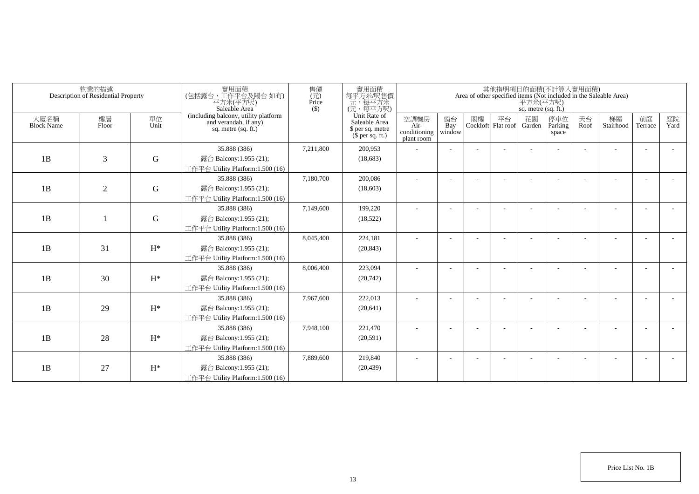|                           | 物業的描述<br>Description of Residential Property |                | 實用面積<br>(包括露台,工作平台及陽台如有)<br>平方米(平方呎)<br>Saleable Area                                  | 售價<br>(元)<br>Price<br>$(\$)$ | 實用面積<br>每平方米/呎售價<br>元,每平方米<br>(元,每平方呎)                                |                                            |                     |    |                            | 平方米(平方呎)<br>sq. metre (sq. ft.) | 其他指明項目的面積(不計算入實用面積)     |            | Area of other specified items (Not included in the Saleable Area) |               |            |
|---------------------------|----------------------------------------------|----------------|----------------------------------------------------------------------------------------|------------------------------|-----------------------------------------------------------------------|--------------------------------------------|---------------------|----|----------------------------|---------------------------------|-------------------------|------------|-------------------------------------------------------------------|---------------|------------|
| 大廈名稱<br><b>Block Name</b> | 樓層<br>Floor                                  | 單位<br>Unit     | (including balcony, utility platform<br>and verandah, if any)<br>sq. metre $(sq. ft.)$ |                              | Unit Rate of<br>Saleable Area<br>\$ per sq. metre<br>$$$ per sq. ft.) | 空調機房<br>Air-<br>conditioning<br>plant room | 窗台<br>Bay<br>window | 閣樓 | 平台<br>Cockloft   Flat roof | 花園<br>Garden                    | 停車位<br>Parking<br>space | 天台<br>Roof | 梯屋<br>Stairhood                                                   | 前庭<br>Terrace | 庭院<br>Yard |
|                           |                                              |                | 35.888 (386)                                                                           | 7,211,800                    | 200,953                                                               |                                            |                     |    |                            |                                 |                         |            |                                                                   |               |            |
| 1B                        | 3                                            | $\mathbf G$    | 露台 Balcony:1.955 (21);                                                                 |                              | (18,683)                                                              |                                            |                     |    |                            |                                 |                         |            |                                                                   |               |            |
|                           |                                              |                | 工作平台 Utility Platform:1.500 (16)                                                       |                              |                                                                       |                                            |                     |    |                            |                                 |                         |            |                                                                   |               |            |
|                           |                                              |                | 35.888 (386)                                                                           | 7,180,700                    | 200,086                                                               |                                            |                     |    |                            |                                 |                         |            |                                                                   |               |            |
| 1B                        | $\overline{2}$                               | G              | 露台 Balcony:1.955 (21);                                                                 |                              | (18,603)                                                              |                                            |                     |    |                            |                                 |                         |            |                                                                   |               |            |
|                           |                                              |                | 工作平台 Utility Platform:1.500 (16)                                                       |                              |                                                                       |                                            |                     |    |                            |                                 |                         |            |                                                                   |               |            |
|                           |                                              |                | 35.888 (386)                                                                           | 7,149,600                    | 199,220                                                               |                                            |                     |    |                            |                                 |                         |            |                                                                   |               |            |
| 1B                        |                                              | $\mathbf G$    | 露台 Balcony:1.955 (21);                                                                 |                              | (18, 522)                                                             |                                            |                     |    |                            |                                 |                         |            |                                                                   |               |            |
|                           |                                              |                | 工作平台 Utility Platform:1.500 (16)                                                       |                              |                                                                       |                                            |                     |    |                            |                                 |                         |            |                                                                   |               |            |
|                           |                                              |                | 35.888 (386)                                                                           | 8,045,400                    | 224,181                                                               |                                            |                     |    |                            |                                 |                         |            |                                                                   |               |            |
| 1B                        | 31                                           | $H^*$          | 露台 Balcony:1.955 (21);                                                                 |                              | (20, 843)                                                             |                                            |                     |    |                            |                                 |                         |            |                                                                   |               |            |
|                           |                                              |                | 工作平台 Utility Platform: $1.500(16)$                                                     |                              |                                                                       |                                            |                     |    |                            |                                 |                         |            |                                                                   |               |            |
|                           |                                              |                | 35.888 (386)                                                                           | 8,006,400                    | 223,094                                                               |                                            |                     |    |                            |                                 |                         |            |                                                                   |               |            |
| 1B                        | 30                                           | $\mathrm{H}^*$ | 露台 Balcony:1.955 (21);                                                                 |                              | (20,742)                                                              |                                            |                     |    |                            |                                 |                         |            |                                                                   |               |            |
|                           |                                              |                | 工作平台 Utility Platform: 1.500 (16)                                                      |                              |                                                                       |                                            |                     |    |                            |                                 |                         |            |                                                                   |               |            |
|                           |                                              |                | 35.888 (386)                                                                           | 7,967,600                    | 222,013                                                               |                                            |                     |    |                            |                                 |                         |            |                                                                   |               |            |
| 1B                        | 29                                           | $H^*$          | 露台 Balcony:1.955 (21);                                                                 |                              | (20, 641)                                                             |                                            |                     |    |                            |                                 |                         |            |                                                                   |               |            |
|                           |                                              |                | 工作平台 Utility Platform:1.500 (16)                                                       |                              |                                                                       |                                            |                     |    |                            |                                 |                         |            |                                                                   |               |            |
|                           |                                              |                | 35.888 (386)                                                                           | 7,948,100                    | 221,470                                                               |                                            |                     |    |                            |                                 |                         |            |                                                                   |               |            |
| 1B                        | 28                                           | $H^*$          | 露台 Balcony:1.955 (21);                                                                 |                              | (20,591)                                                              |                                            |                     |    |                            |                                 |                         |            |                                                                   |               |            |
|                           |                                              |                | 工作平台 Utility Platform: 1.500 (16)                                                      |                              |                                                                       |                                            |                     |    |                            |                                 |                         |            |                                                                   |               |            |
|                           |                                              |                | 35.888 (386)                                                                           | 7,889,600                    | 219,840                                                               |                                            |                     |    |                            |                                 |                         |            |                                                                   |               |            |
| 1B                        | 27                                           | $H^*$          | 露台 Balcony:1.955 (21);                                                                 |                              | (20, 439)                                                             |                                            |                     |    |                            |                                 |                         |            |                                                                   |               |            |
|                           |                                              |                | 工作平台 Utility Platform:1.500 (16)                                                       |                              |                                                                       |                                            |                     |    |                            |                                 |                         |            |                                                                   |               |            |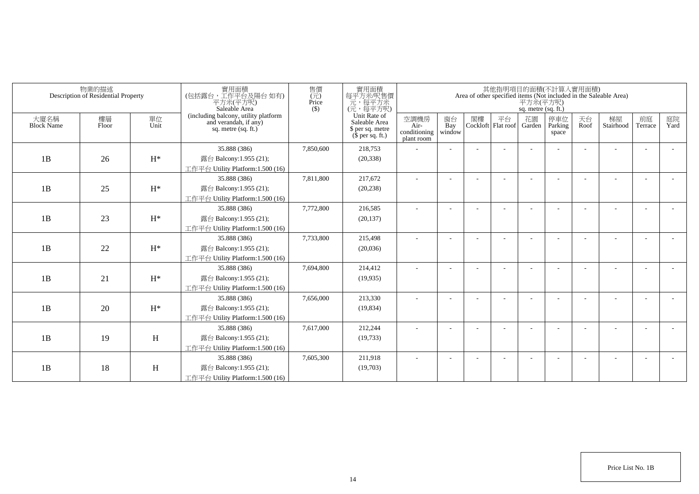|                           | 物業的描述<br>Description of Residential Property |                | 實用面積<br>(包括露台,工作平台及陽台如有)<br>平方米(平方呎)<br>Saleable Area                                  | 售價<br>$(\vec{\pi})$<br>Price<br>$($ \$) | 實用面積<br>每平方米/呎售價<br>一元,每平方米<br>(元,每平方呎)                               |                                            |                          |    |                          | 平方米(平方呎)<br>sq. metre (sq. ft.) | 其他指明項目的面積(不計算入實用面積)     |            | Area of other specified items (Not included in the Saleable Area) |                          |            |
|---------------------------|----------------------------------------------|----------------|----------------------------------------------------------------------------------------|-----------------------------------------|-----------------------------------------------------------------------|--------------------------------------------|--------------------------|----|--------------------------|---------------------------------|-------------------------|------------|-------------------------------------------------------------------|--------------------------|------------|
| 大廈名稱<br><b>Block Name</b> | 樓層<br>Floor                                  | 單位<br>Unit     | (including balcony, utility platform<br>and verandah, if any)<br>sq. metre $(sq, ft.)$ |                                         | Unit Rate of<br>Saleable Area<br>\$ per sq. metre<br>$$$ per sq. ft.) | 空調機房<br>Air-<br>conditioning<br>plant room | 窗台<br>Bay<br>window      | 閣樓 | 平台<br>Cockloft Flat roof | 花園<br>Garden                    | 停車位<br>Parking<br>space | 天台<br>Roof | 梯屋<br>Stairhood                                                   | 前庭<br>Terrace            | 庭院<br>Yard |
|                           |                                              |                | 35.888 (386)                                                                           | 7,850,600                               | 218,753                                                               |                                            |                          |    |                          |                                 |                         |            |                                                                   |                          |            |
| 1B                        | 26                                           | $\mathrm{H}^*$ | 露台 Balcony:1.955 (21);                                                                 |                                         | (20, 338)                                                             |                                            |                          |    |                          |                                 |                         |            |                                                                   |                          |            |
|                           |                                              |                | 工作平台 Utility Platform:1.500 (16)                                                       |                                         |                                                                       |                                            |                          |    |                          |                                 |                         |            |                                                                   |                          |            |
|                           |                                              |                | 35.888 (386)                                                                           | 7,811,800                               | 217,672                                                               |                                            |                          |    |                          |                                 |                         |            |                                                                   |                          |            |
| 1B                        | 25                                           | $H^*$          | 露台 Balcony:1.955 (21);                                                                 |                                         | (20, 238)                                                             |                                            |                          |    |                          |                                 |                         |            |                                                                   |                          |            |
|                           |                                              |                | 工作平台 Utility Platform:1.500 (16)                                                       |                                         |                                                                       |                                            |                          |    |                          |                                 |                         |            |                                                                   |                          |            |
|                           |                                              |                | 35.888 (386)                                                                           | 7,772,800                               | 216,585                                                               | ٠                                          | $\overline{\phantom{a}}$ |    |                          |                                 |                         |            |                                                                   | $\overline{\phantom{a}}$ |            |
| 1B                        | 23                                           | $H^*$          | 露台 Balcony:1.955 (21);                                                                 |                                         | (20, 137)                                                             |                                            |                          |    |                          |                                 |                         |            |                                                                   |                          |            |
|                           |                                              |                | 工作平台 Utility Platform:1.500 (16)                                                       |                                         |                                                                       |                                            |                          |    |                          |                                 |                         |            |                                                                   |                          |            |
|                           |                                              |                | 35.888 (386)                                                                           | 7,733,800                               | 215,498                                                               |                                            |                          |    |                          |                                 |                         |            |                                                                   |                          |            |
| 1B                        | 22                                           | $H^*$          | 露台 Balcony:1.955 (21);                                                                 |                                         | (20,036)                                                              |                                            |                          |    |                          |                                 |                         |            |                                                                   |                          |            |
|                           |                                              |                | 工作平台 Utility Platform:1.500 (16)                                                       |                                         |                                                                       |                                            |                          |    |                          |                                 |                         |            |                                                                   |                          |            |
|                           |                                              |                | 35.888 (386)                                                                           | 7,694,800                               | 214,412                                                               | ä,                                         |                          |    |                          |                                 |                         |            |                                                                   |                          |            |
| 1B                        | 21                                           | $H^*$          | 露台 Balcony:1.955 (21);                                                                 |                                         | (19, 935)                                                             |                                            |                          |    |                          |                                 |                         |            |                                                                   |                          |            |
|                           |                                              |                | 工作平台 Utility Platform: 1.500 (16)                                                      |                                         |                                                                       |                                            |                          |    |                          |                                 |                         |            |                                                                   |                          |            |
|                           |                                              |                | 35.888 (386)                                                                           | 7,656,000                               | 213,330                                                               |                                            |                          |    |                          |                                 |                         |            |                                                                   |                          |            |
| 1B                        | 20                                           | $H^*$          | 露台 Balcony:1.955 (21);                                                                 |                                         | (19, 834)                                                             |                                            |                          |    |                          |                                 |                         |            |                                                                   |                          |            |
|                           |                                              |                | 工作平台 Utility Platform:1.500 (16)                                                       |                                         |                                                                       |                                            |                          |    |                          |                                 |                         |            |                                                                   |                          |            |
|                           |                                              |                | 35.888 (386)                                                                           | 7,617,000                               | 212,244                                                               |                                            |                          |    |                          |                                 |                         |            |                                                                   | $\overline{\phantom{a}}$ |            |
| 1B                        | 19                                           | H              | 露台 Balcony:1.955 (21);                                                                 |                                         | (19, 733)                                                             |                                            |                          |    |                          |                                 |                         |            |                                                                   |                          |            |
|                           |                                              |                | 工作平台 Utility Platform: 1.500 (16)                                                      |                                         |                                                                       |                                            |                          |    |                          |                                 |                         |            |                                                                   |                          |            |
|                           |                                              |                | 35.888 (386)                                                                           | 7,605,300                               | 211,918                                                               |                                            |                          |    |                          |                                 |                         |            |                                                                   | <b>.</b>                 |            |
| 1B                        | 18                                           | H              | 露台 Balcony:1.955 (21);<br>工作平台 Utility Platform:1.500 (16)                             |                                         | (19,703)                                                              |                                            |                          |    |                          |                                 |                         |            |                                                                   |                          |            |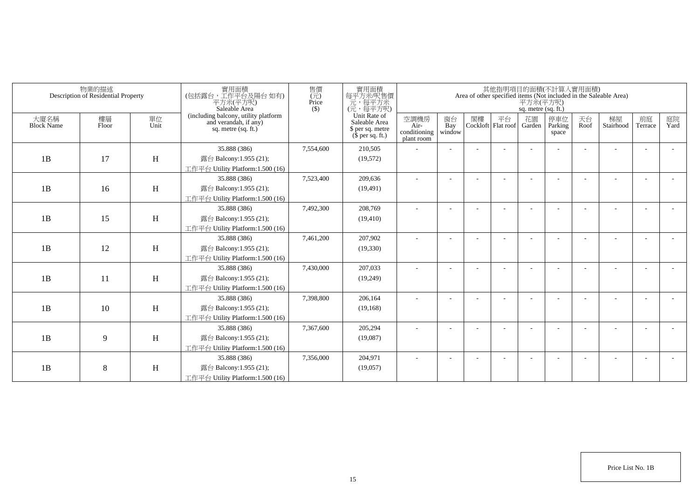| Area of other specified items (Not included in the Saleable Area) | 平方米(平方呎)<br>sq. metre (sq. ft.) | 其他指明項目的面積(不計算入實用面積)      |    |                          |                                            | 實用面積<br>每平方米/呎售價                                                                                                                                        | 售價<br>$(\vec{\pi})$<br>Price<br>$($ \$)                       | 實用面積<br>(包括露台,工作平台及陽台 如有)<br>平方米(平方呎)<br>Saleable Area                                                                                                                                                                                                                                                                                                                                                                                                                                                                                        |                            | 物業的描述<br>Description of Residential Property |                                        |
|-------------------------------------------------------------------|---------------------------------|--------------------------|----|--------------------------|--------------------------------------------|---------------------------------------------------------------------------------------------------------------------------------------------------------|---------------------------------------------------------------|-----------------------------------------------------------------------------------------------------------------------------------------------------------------------------------------------------------------------------------------------------------------------------------------------------------------------------------------------------------------------------------------------------------------------------------------------------------------------------------------------------------------------------------------------|----------------------------|----------------------------------------------|----------------------------------------|
| 天台<br>停車位<br>Parking<br>Roof<br>space                             | 花園<br>Garden                    | 平台<br>Cockloft Flat roof | 閣樓 | 窗台<br>Bay<br>window      | 空調機房<br>Air-<br>conditioning<br>plant room | Saleable Area<br>\$ per sq. metre<br>$$$ per sq. ft.)                                                                                                   |                                                               | sq. metre $(sq, ft.)$                                                                                                                                                                                                                                                                                                                                                                                                                                                                                                                         | 單位<br>Unit                 | 樓層<br>Floor                                  | 大廈名稱<br><b>Block Name</b>              |
|                                                                   |                                 |                          |    |                          |                                            | 210,505                                                                                                                                                 | 7,554,600                                                     | 35.888 (386)                                                                                                                                                                                                                                                                                                                                                                                                                                                                                                                                  |                            |                                              |                                        |
|                                                                   |                                 |                          |    |                          |                                            | (19, 572)                                                                                                                                               |                                                               | 露台 Balcony:1.955 (21);                                                                                                                                                                                                                                                                                                                                                                                                                                                                                                                        | H                          | 17                                           | 1B                                     |
|                                                                   |                                 |                          |    |                          |                                            |                                                                                                                                                         |                                                               | 工作平台 Utility Platform:1.500 (16)                                                                                                                                                                                                                                                                                                                                                                                                                                                                                                              |                            |                                              |                                        |
|                                                                   |                                 |                          |    |                          |                                            | 209,636                                                                                                                                                 | 7,523,400                                                     | 35.888 (386)                                                                                                                                                                                                                                                                                                                                                                                                                                                                                                                                  |                            |                                              |                                        |
|                                                                   |                                 |                          |    |                          |                                            | (19, 491)                                                                                                                                               |                                                               | 露台 Balcony:1.955 (21);                                                                                                                                                                                                                                                                                                                                                                                                                                                                                                                        | H                          | 16                                           |                                        |
|                                                                   |                                 |                          |    |                          |                                            |                                                                                                                                                         |                                                               |                                                                                                                                                                                                                                                                                                                                                                                                                                                                                                                                               |                            |                                              |                                        |
|                                                                   |                                 |                          |    | $\overline{\phantom{a}}$ | ٠                                          | 208,769                                                                                                                                                 | 7,492,300                                                     | 35.888 (386)                                                                                                                                                                                                                                                                                                                                                                                                                                                                                                                                  |                            |                                              |                                        |
|                                                                   |                                 |                          |    |                          |                                            | (19, 410)                                                                                                                                               |                                                               | 露台 Balcony:1.955 (21);                                                                                                                                                                                                                                                                                                                                                                                                                                                                                                                        |                            |                                              |                                        |
|                                                                   |                                 |                          |    |                          |                                            |                                                                                                                                                         |                                                               |                                                                                                                                                                                                                                                                                                                                                                                                                                                                                                                                               |                            |                                              |                                        |
|                                                                   |                                 |                          |    |                          |                                            |                                                                                                                                                         |                                                               |                                                                                                                                                                                                                                                                                                                                                                                                                                                                                                                                               |                            |                                              |                                        |
|                                                                   |                                 |                          |    |                          |                                            |                                                                                                                                                         |                                                               |                                                                                                                                                                                                                                                                                                                                                                                                                                                                                                                                               |                            |                                              |                                        |
|                                                                   |                                 |                          |    |                          |                                            |                                                                                                                                                         |                                                               |                                                                                                                                                                                                                                                                                                                                                                                                                                                                                                                                               |                            |                                              |                                        |
|                                                                   |                                 |                          |    |                          |                                            |                                                                                                                                                         |                                                               |                                                                                                                                                                                                                                                                                                                                                                                                                                                                                                                                               |                            |                                              |                                        |
|                                                                   |                                 |                          |    |                          |                                            |                                                                                                                                                         |                                                               |                                                                                                                                                                                                                                                                                                                                                                                                                                                                                                                                               |                            |                                              |                                        |
|                                                                   |                                 |                          |    |                          |                                            |                                                                                                                                                         |                                                               |                                                                                                                                                                                                                                                                                                                                                                                                                                                                                                                                               |                            |                                              |                                        |
|                                                                   |                                 |                          |    |                          |                                            |                                                                                                                                                         |                                                               |                                                                                                                                                                                                                                                                                                                                                                                                                                                                                                                                               |                            |                                              |                                        |
|                                                                   |                                 |                          |    |                          |                                            |                                                                                                                                                         |                                                               |                                                                                                                                                                                                                                                                                                                                                                                                                                                                                                                                               |                            |                                              |                                        |
|                                                                   |                                 |                          |    |                          |                                            |                                                                                                                                                         |                                                               |                                                                                                                                                                                                                                                                                                                                                                                                                                                                                                                                               |                            |                                              |                                        |
|                                                                   |                                 |                          |    |                          |                                            |                                                                                                                                                         |                                                               |                                                                                                                                                                                                                                                                                                                                                                                                                                                                                                                                               |                            |                                              |                                        |
|                                                                   |                                 |                          |    |                          |                                            |                                                                                                                                                         |                                                               |                                                                                                                                                                                                                                                                                                                                                                                                                                                                                                                                               |                            |                                              |                                        |
|                                                                   |                                 |                          |    |                          |                                            |                                                                                                                                                         |                                                               |                                                                                                                                                                                                                                                                                                                                                                                                                                                                                                                                               |                            |                                              |                                        |
|                                                                   |                                 |                          |    |                          |                                            |                                                                                                                                                         |                                                               |                                                                                                                                                                                                                                                                                                                                                                                                                                                                                                                                               |                            |                                              |                                        |
|                                                                   |                                 |                          |    |                          |                                            |                                                                                                                                                         |                                                               |                                                                                                                                                                                                                                                                                                                                                                                                                                                                                                                                               |                            |                                              |                                        |
|                                                                   |                                 |                          |    |                          |                                            | 一元,每平方米<br>(元,每平方呎)<br>Unit Rate of<br>207,902<br>(19,330)<br>207,033<br>(19,249)<br>206,164<br>(19, 168)<br>205,294<br>(19,087)<br>204,971<br>(19,057) | 7,461,200<br>7,430,000<br>7,398,800<br>7,367,600<br>7,356,000 | (including balcony, utility platform<br>and verandah, if any)<br>工作平台 Utility Platform:1.500 (16)<br>工作平台 Utility Platform:1.500 (16)<br>35.888 (386)<br>露台 Balcony:1.955 (21);<br>工作平台 Utility Platform:1.500 (16)<br>35.888 (386)<br>露台 Balcony:1.955 (21);<br>工作平台 Utility Platform: 1.500 (16)<br>35.888 (386)<br>露台 Balcony:1.955 (21);<br>工作平台 Utility Platform:1.500 (16)<br>35.888 (386)<br>露台 Balcony:1.955 (21);<br>工作平台 Utility Platform: 1.500 (16)<br>35.888 (386)<br>露台 Balcony:1.955 (21);<br>工作平台 Utility Platform:1.500 (16) | H<br>H<br>H<br>H<br>H<br>H | 15<br>12<br>11<br>10<br>9<br>8               | 1B<br>1B<br>1B<br>1B<br>1B<br>1B<br>1B |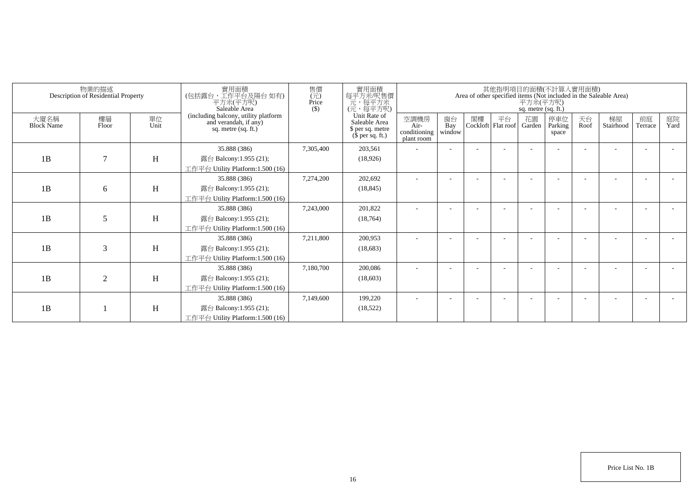|                           | 物業的描述<br>Description of Residential Property |            | 實用面積<br>(包括露台,工作平台及陽台如有)<br>平方米(平方呎)<br>Saleable Area                                | 售價<br>(元)<br>Price<br>$($ \$) | 實用面積<br>每平方米/呎售價<br>一元, 每平方米<br>(元, 每平方呎)                             |                                            |                          |    |                          | 平方米(平方呎)<br>sq. metre (sq. ft.) | 其他指明項目的面積(不計算入實用面積)     |            | Area of other specified items (Not included in the Saleable Area) |               |            |
|---------------------------|----------------------------------------------|------------|--------------------------------------------------------------------------------------|-------------------------------|-----------------------------------------------------------------------|--------------------------------------------|--------------------------|----|--------------------------|---------------------------------|-------------------------|------------|-------------------------------------------------------------------|---------------|------------|
| 大廈名稱<br><b>Block Name</b> | 樓層<br>Floor                                  | 單位<br>Unit | (including balcony, utility platform<br>and verandah, if any)<br>sq. metre (sq. ft.) |                               | Unit Rate of<br>Saleable Area<br>\$ per sq. metre<br>$$$ per sq. ft.) | 空調機房<br>Air-<br>conditioning<br>plant room | 窗台<br>Bay<br>window      | 閣樓 | 平台<br>Cockloft Flat roof | 花園<br>Garden                    | 停車位<br>Parking<br>space | 天台<br>Roof | 梯屋<br>Stairhood                                                   | 前庭<br>Terrace | 庭院<br>Yard |
| 1B                        | $\overline{7}$                               | H          | 35.888 (386)<br>露台 Balcony:1.955 (21);<br>工作平台 Utility Platform:1.500 (16)           | 7,305,400                     | 203,561<br>(18,926)                                                   |                                            |                          |    |                          |                                 |                         |            |                                                                   |               |            |
| 1B                        | 6                                            | Η          | 35.888 (386)<br>露台 Balcony:1.955 (21);<br>工作平台 Utility Platform:1.500 (16)           | 7,274,200                     | 202,692<br>(18, 845)                                                  |                                            |                          |    |                          |                                 |                         |            |                                                                   |               |            |
| 1B                        | 5                                            | H          | 35.888 (386)<br>露台 Balcony:1.955 (21);<br>工作平台 Utility Platform:1.500 (16)           | 7,243,000                     | 201,822<br>(18, 764)                                                  |                                            |                          |    |                          |                                 |                         |            |                                                                   |               |            |
| 1B                        | $\mathfrak{Z}$                               | H          | 35.888 (386)<br>露台 Balcony:1.955 (21);<br>工作平台 Utility Platform:1.500 (16)           | 7,211,800                     | 200.953<br>(18,683)                                                   |                                            |                          |    |                          |                                 |                         |            |                                                                   |               |            |
| 1B                        | $\overline{2}$                               | H          | 35.888 (386)<br>露台 Balcony:1.955 (21);<br>工作平台 Utility Platform:1.500 (16)           | 7.180.700                     | 200,086<br>(18,603)                                                   |                                            |                          |    |                          |                                 |                         |            |                                                                   |               |            |
| 1B                        |                                              | H          | 35.888 (386)<br>露台 Balcony:1.955 (21);<br>工作平台 Utility Platform:1.500 (16)           | 7,149,600                     | 199,220<br>(18,522)                                                   |                                            | $\overline{\phantom{a}}$ |    |                          |                                 |                         |            |                                                                   |               |            |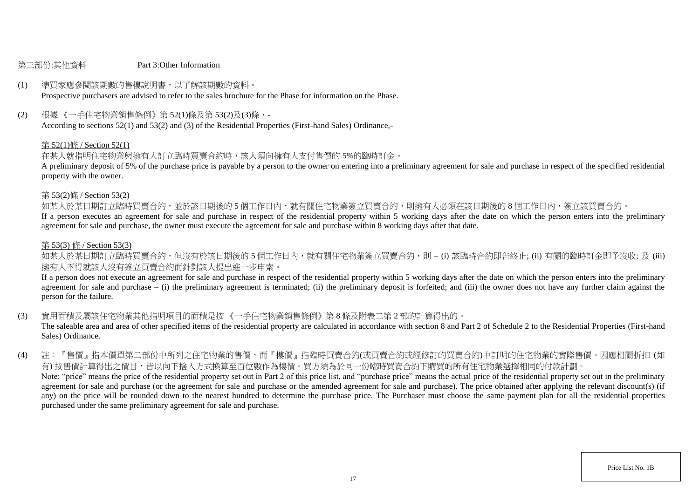#### 第三部份:其他資料 Part 3:Other Information

# (1) 準買家應參閱該期數的售樓說明書,以了解該期數的資料。

Prospective purchasers are advised to refer to the sales brochure for the Phase for information on the Phase.

(2) 根據 《一手住宅物業銷售條例》第 52(1)條及第 53(2)及(3)條,-

According to sections 52(1) and 53(2) and (3) of the Residential Properties (First-hand Sales) Ordinance,-

#### 第 52(1)條 / Section 52(1)

在某人就指明住宅物業與擁有人訂立臨時買賣合約時,該人須向擁有人支付售價的 5%的臨時訂金。

A preliminary deposit of 5% of the purchase price is payable by a person to the owner on entering into a preliminary agreement for sale and purchase in respect of the specified residential property with the owner.

#### 第 53(2)條 / Section 53(2)

如某人於某日期訂立臨時買賣合約,並於該日期後的5個工作日內,就有關住宅物業簽立買賣合約,則擁有人必須在該日期後的8個工作日內,簽立該買賣合約。

If a person executes an agreement for sale and purchase in respect of the residential property within 5 working days after the date on which the person enters into the preliminary agreement for sale and purchase, the owner must execute the agreement for sale and purchase within 8 working days after that date.

#### 第 53(3) 條 / Section 53(3)

如某人於某日期訂立臨時買賣合約,但沒有於該日期後的 5 個工作日内,就有關住宅物業簽立買賣合約,則 – (i) 該臨時合約即告終止; (ii) 有關的臨時訂金即予沒收; 及 (iii) 擁有人不得就該人沒有簽立買賣合約而針對該人提出進一步申索。

If a person does not execute an agreement for sale and purchase in respect of the residential property within 5 working days after the date on which the person enters into the preliminary agreement for sale and purchase  $-$  (i) the preliminary agreement is terminated; (ii) the preliminary deposit is forfeited; and (iii) the owner does not have any further claim against the person for the failure.

(3) 實用面積及屬該住宅物業其他指明項目的面積是按 《一手住宅物業銷售條例》第 8 條及附表二第 2 部的計算得出的。

The saleable area and area of other specified items of the residential property are calculated in accordance with section 8 and Part 2 of Schedule 2 to the Residential Properties (First-hand Sales) Ordinance.

(4) 註:『售價』指本價單第二部份中所列之住宅物業的售價,而『樓價』指臨時買賣合約(或買賣合約或經修訂的買賣合約)中訂明的住宅物業的實際售價。因應相關折扣 (如 有) 按售價計算得出之價目,皆以向下捨入方式換算至百位數作為樓價。買方須為於同一份臨時買賣合約下購買的所有住宅物業選擇相同的付款計劃。 Note: "price" means the price of the residential property set out in Part 2 of this price list, and "purchase price" means the actual price of the residential property set out in the preliminary agreement for sale and purchase (or the agreement for sale and purchase or the amended agreement for sale and purchase). The price obtained after applying the relevant discount(s) (if any) on the price will be rounded down to the nearest hundred to determine the purchase price. The Purchaser must choose the same payment plan for all the residential properties purchased under the same preliminary agreement for sale and purchase.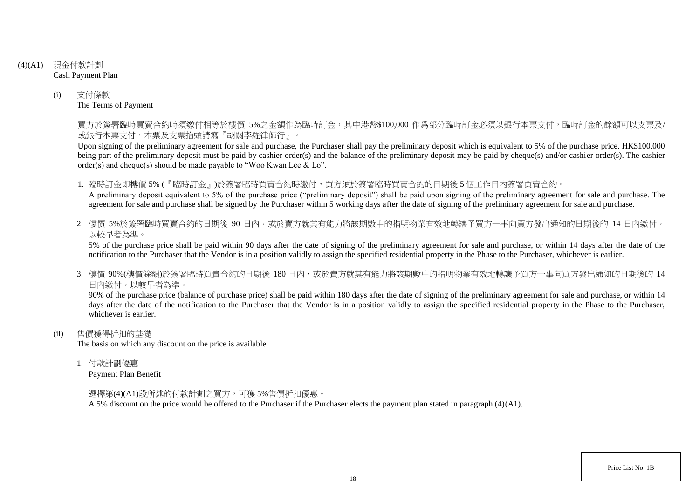- (4)(A1) 現金付款計劃 Cash Payment Plan
	- (i) 支付條款 The Terms of Payment

買方於簽署臨時買賣合約時須繳付相等於樓價 5%之金額作為臨時訂金,其中港幣\$100,000 作爲部分臨時訂金必須以銀行本票支付,臨時訂金的餘額可以支票及/ 或銀行本票支付,本票及支票抬頭請寫『胡關李羅律師行』。

Upon signing of the preliminary agreement for sale and purchase, the Purchaser shall pay the preliminary deposit which is equivalent to 5% of the purchase price. HK\$100,000 being part of the preliminary deposit must be paid by cashier order(s) and the balance of the preliminary deposit may be paid by cheque(s) and/or cashier order(s). The cashier order(s) and cheque(s) should be made payable to "Woo Kwan Lee & Lo".

1. 臨時訂金即樓價 5% (『臨時訂金』)於簽署臨時買賣合約時繳付,買方須於簽署臨時買賣合約的日期後 5 個工作日內簽署買賣合約。

A preliminary deposit equivalent to 5% of the purchase price ("preliminary deposit") shall be paid upon signing of the preliminary agreement for sale and purchase. The agreement for sale and purchase shall be signed by the Purchaser within 5 working days after the date of signing of the preliminary agreement for sale and purchase.

2. 樓價 5%於簽署臨時買賣合約的日期後 90 日内,或於賣方就其有能力將該期數中的指明物業有效地轉讓予買方一事向買方發出通知的日期後的 14 日內繳付, 以較早者為準。

5% of the purchase price shall be paid within 90 days after the date of signing of the preliminary agreement for sale and purchase, or within 14 days after the date of the notification to the Purchaser that the Vendor is in a position validly to assign the specified residential property in the Phase to the Purchaser, whichever is earlier.

3. 樓價 90%(樓價餘額)於簽署臨時買賣合約的日期後 180 日内,或於賣方就其有能力將該期數中的指明物業有效地轉讓予買方一事向買方發出涌知的日期後的 14 日內繳付,以較早者為準。

90% of the purchase price (balance of purchase price) shall be paid within 180 days after the date of signing of the preliminary agreement for sale and purchase, or within 14 days after the date of the notification to the Purchaser that the Vendor is in a position validly to assign the specified residential property in the Phase to the Purchaser. whichever is earlier.

(ii) 售價獲得折扣的基礎

The basis on which any discount on the price is available

1. 付款計劃優惠

Payment Plan Benefit

選擇第(4)(A1)段所述的付款計劃之買方,可獲 5%售價折扣優惠。

A 5% discount on the price would be offered to the Purchaser if the Purchaser elects the payment plan stated in paragraph (4)(A1).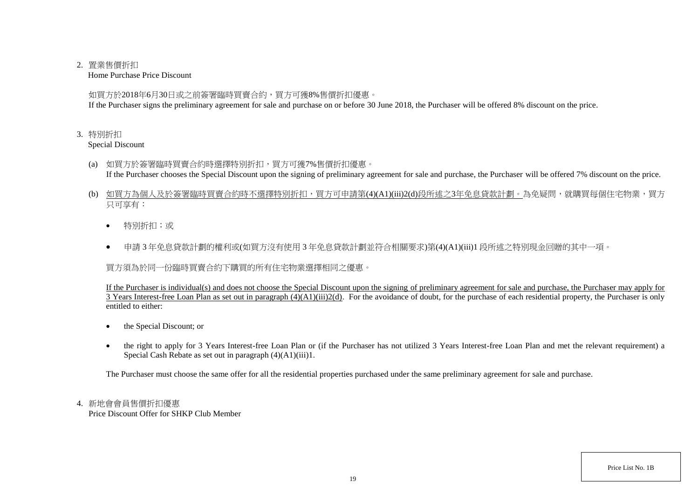### 2. 置業售價折扣

Home Purchase Price Discount

如買方於2018年6月30日或之前簽署臨時買賣合約,買方可獲8%售價折扣優惠。

If the Purchaser signs the preliminary agreement for sale and purchase on or before 30 June 2018, the Purchaser will be offered 8% discount on the price.

## 3. 特別折扣

Special Discount

- (a) 如買方於簽署臨時買賣合約時選擇特別折扣,買方可獲7%售價折扣優惠。 If the Purchaser chooses the Special Discount upon the signing of preliminary agreement for sale and purchase, the Purchaser will be offered 7% discount on the price.
- (b) 如買方為個人及於簽署臨時買賣合約時不選擇特別折扣,買方可申請第(4)(A1)(iii)2(d)段所述之3年免息貸款計劃。為免疑問,就購買每個住宅物業,買方 只可享有:
	- 特別折扣;或
	- 申請 3 年免息貸款計劃的權利或(如買方沒有使用 3 年免息貸款計劃並符合相關要求)第(4)(A1)(iii)1 段所述之特別現金回贈的其中一項。

買方須為於同一份臨時買賣合約下購買的所有住宅物業選擇相同之優惠。

If the Purchaser is individual(s) and does not choose the Special Discount upon the signing of preliminary agreement for sale and purchase, the Purchaser may apply for 3 Years Interest-free Loan Plan as set out in paragraph (4)(A1)(iii)2(d). For the avoidance of doubt, for the purchase of each residential property, the Purchaser is only entitled to either:

- the Special Discount; or
- the right to apply for 3 Years Interest-free Loan Plan or (if the Purchaser has not utilized 3 Years Interest-free Loan Plan and met the relevant requirement) a Special Cash Rebate as set out in paragraph (4)(A1)(iii)1.

The Purchaser must choose the same offer for all the residential properties purchased under the same preliminary agreement for sale and purchase.

# 4. 新地會會員售價折扣優惠

Price Discount Offer for SHKP Club Member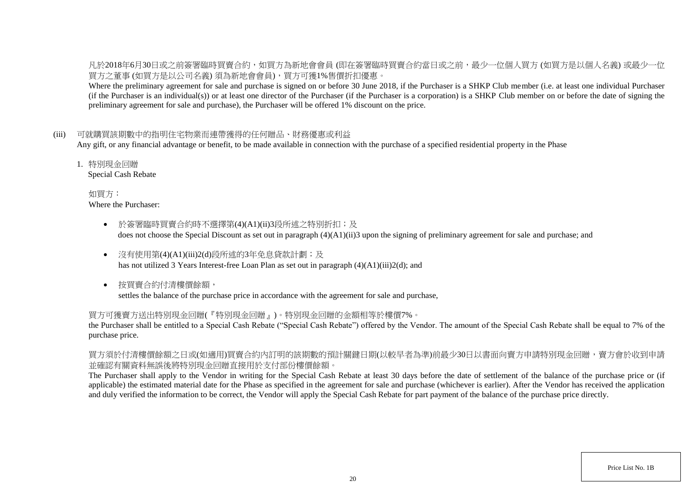凡於2018年6月30日或之前簽署臨時買賣合約,如買方為新地會會員 (即在簽署臨時買賣合約當日或之前,最少一位個人買方 (如買方是以個人名義) 或最少一位 買方之董事 (如買方是以公司名義) 須為新地會會員),買方可獲1%售價折扣優惠。

Where the preliminary agreement for sale and purchase is signed on or before 30 June 2018, if the Purchaser is a SHKP Club member (i.e. at least one individual Purchaser (if the Purchaser is an individual(s)) or at least one director of the Purchaser (if the Purchaser is a corporation) is a SHKP Club member on or before the date of signing the preliminary agreement for sale and purchase), the Purchaser will be offered 1% discount on the price.

### (iii) 可就購買該期數中的指明住宅物業而連帶獲得的任何贈品、財務優惠或利益

Any gift, or any financial advantage or benefit, to be made available in connection with the purchase of a specified residential property in the Phase

1. 特別現金回贈

Special Cash Rebate

如買方: Where the Purchaser:

- 於簽署臨時買賣合約時不選擇第(4)(A1)(ii)3段所述之特別折扣;及 does not choose the Special Discount as set out in paragraph (4)(A1)(ii)3 upon the signing of preliminary agreement for sale and purchase; and
- 沒有使用第(4)(A1)(iii)2(d)段所述的3年免息貸款計劃;及 has not utilized 3 Years Interest-free Loan Plan as set out in paragraph (4)(A1)(iii)2(d); and
- 按買賣合約付清樓價餘額, settles the balance of the purchase price in accordance with the agreement for sale and purchase,

### 買方可獲賣方送出特別現金回贈(『特別現金回贈』)。特別現金回贈的金額相等於樓價7%。

the Purchaser shall be entitled to a Special Cash Rebate ("Special Cash Rebate") offered by the Vendor. The amount of the Special Cash Rebate shall be equal to 7% of the purchase price.

買方須於付清樓價餘額之日或(如適用)買賣合約內訂明的該期數的預計關鍵日期(以較早者為準)前最少30日以書面向賣方申請特別現金回贈,賣方會於收到申請 並確認有關資料無誤後將特別現金回贈直接用於支付部份樓價餘額。

The Purchaser shall apply to the Vendor in writing for the Special Cash Rebate at least 30 days before the date of settlement of the balance of the purchase price or (if applicable) the estimated material date for the Phase as specified in the agreement for sale and purchase (whichever is earlier). After the Vendor has received the application and duly verified the information to be correct, the Vendor will apply the Special Cash Rebate for part payment of the balance of the purchase price directly.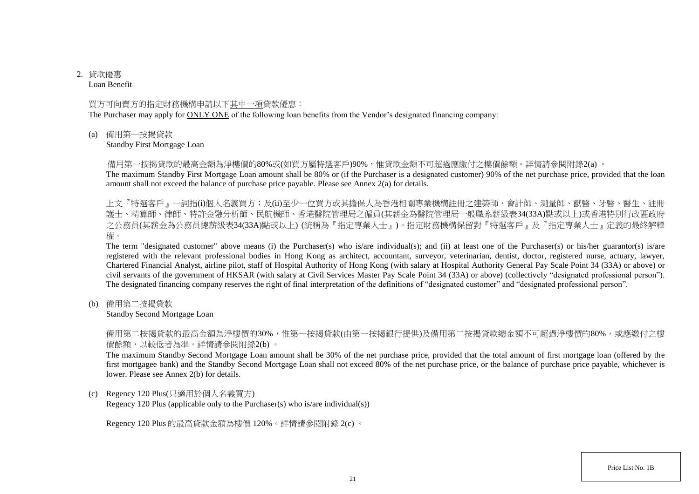# 2. 貸款優惠

Loan Benefit

### 買方可向賣方的指定財務機構申請以下其中一項貸款優惠:

The Purchaser may apply for ONLY ONE of the following loan benefits from the Vendor's designated financing company:

(a) 備用第一按揭貸款

Standby First Mortgage Loan

備用第一按揭貸款的最高金額為淨樓價的80%或(如買方屬特選客戶)90%,惟貸款金額不可超過應繳付之樓價餘額。詳情請參閱附錄2(a) 。

The maximum Standby First Mortgage Loan amount shall be 80% or (if the Purchaser is a designated customer) 90% of the net purchase price, provided that the loan amount shall not exceed the balance of purchase price payable. Please see Annex 2(a) for details.

上文『特選客戶』一詞指(i)個人名義買方;及(ii)至少一位買方或其擔保人為香港相關專業機構註冊之建築師、會計師、測量師、獸醫、牙醫、醫生、註冊 護士、精算師、律師、特許金融分析師、民航機師、香港醫院管理局之僱員(其薪金為醫院管理局一般職系薪級表34(33A)點或以上)或香港特別行政區政府 之公務員(其薪金為公務員總薪級表34(33A)點或以上) (統稱為『指定專業人士』)。指定財務機構保留對『特選客戶』及『指定專業人士』定義的最終解釋 權。

The term "designated customer" above means (i) the Purchaser(s) who is/are individual(s); and (ii) at least one of the Purchaser(s) or his/her guarantor(s) is/are registered with the relevant professional bodies in Hong Kong as architect, accountant, surveyor, veterinarian, dentist, doctor, registered nurse, actuary, lawyer, Chartered Financial Analyst, airline pilot, staff of Hospital Authority of Hong Kong (with salary at Hospital Authority General Pay Scale Point 34 (33A) or above) or civil servants of the government of HKSAR (with salary at Civil Services Master Pay Scale Point 34 (33A) or above) (collectively "designated professional person"). The designated financing company reserves the right of final interpretation of the definitions of "designated customer" and "designated professional person".

(b) 備用第二按揭貸款

Standby Second Mortgage Loan

備用第二按揭貸款的最高金額為淨樓價的30%,惟第一按揭貸款(由第一按揭銀行提供)及備用第二按揭貸款總金額不可超過淨樓價的80%,或應繳付之樓 價餘額,以較低者為準。詳情請參閱附錄2(b) 。

The maximum Standby Second Mortgage Loan amount shall be 30% of the net purchase price, provided that the total amount of first mortgage loan (offered by the first mortgagee bank) and the Standby Second Mortgage Loan shall not exceed 80% of the net purchase price, or the balance of purchase price payable, whichever is lower. Please see Annex 2(b) for details.

(c) Regency 120 Plus(只適用於個人名義買方)

Regency 120 Plus (applicable only to the Purchaser(s) who is/are individual(s))

Regency 120 Plus 的最高貸款金額為樓價 120%。詳情請參閱附錄 2(c) 。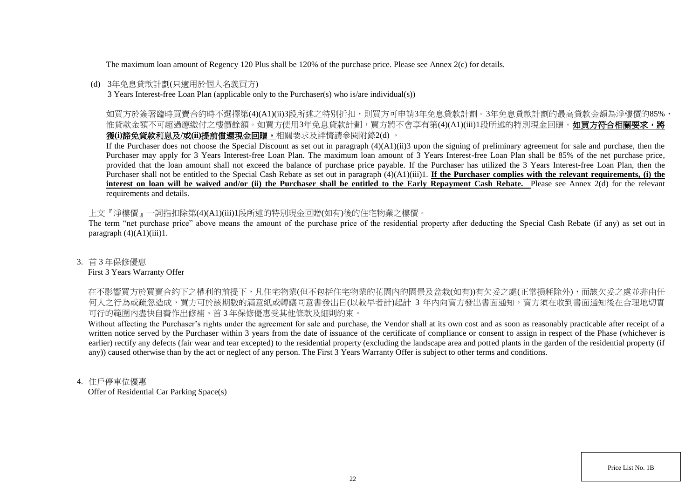The maximum loan amount of Regency 120 Plus shall be 120% of the purchase price. Please see Annex 2(c) for details.

## (d) 3年免息貸款計劃(只適用於個人名義買方)

3 Years Interest-free Loan Plan (applicable only to the Purchaser(s) who is/are individual(s))

如買方於簽署臨時買賣合約時不選擇第(4)(A1)(ii)3段所述之特別折扣,則買方可申請3年免息貸款計劃。3年免息貸款計劃的最高貸款金額為淨樓價的85%, 惟貸款金額不可超過應繳付之樓價餘額。如買方使用3年免息貸款計劃,買方將不會享有第(4)(A1)(iii)1段所述的特別現金回贈。如買方符合相關要求,將 獲**(i)**豁免貸款利息及**/**或**(ii)**提前償還現金回贈。相關要求及詳情請參閱附錄2(d) 。

If the Purchaser does not choose the Special Discount as set out in paragraph (4)(A1)(ii)3 upon the signing of preliminary agreement for sale and purchase, then the Purchaser may apply for 3 Years Interest-free Loan Plan. The maximum loan amount of 3 Years Interest-free Loan Plan shall be 85% of the net purchase price, provided that the loan amount shall not exceed the balance of purchase price payable. If the Purchaser has utilized the 3 Years Interest-free Loan Plan, then the Purchaser shall not be entitled to the Special Cash Rebate as set out in paragraph (4)(A1)(iii)1. **If the Purchaser complies with the relevant requirements, (i) the** interest on loan will be waived and/or (ii) the Purchaser shall be entitled to the Early Repayment Cash Rebate. Please see Annex 2(d) for the relevant requirements and details.

上文『淨樓價』一詞指扣除第(4)(A1)(iii)1段所述的特別現金回贈(如有)後的住宅物業之樓價。

The term "net purchase price" above means the amount of the purchase price of the residential property after deducting the Special Cash Rebate (if any) as set out in paragraph  $(4)(A1)(iii)1$ .

### 3. 首 3 年保修優惠

### First 3 Years Warranty Offer

在不影響買方於買賣合約下之權利的前提下,凡住宅物業(但不包括住宅物業的花園内的園景及盆栽(如有))有欠妥之處(正常損耗除外),而該欠妥之處並非由任 何人之行為或疏忽造成,買方可於該期數的滿意紙或轉讓同意書發出日(以較早者計)起計 3 年内向賣方發出書面通知,賣方須在收到書面通知後在合理地切實 可行的範圍內盡快自費作出修補。首 3 年保修優惠受其他條款及細則約束。

Without affecting the Purchaser's rights under the agreement for sale and purchase, the Vendor shall at its own cost and as soon as reasonably practicable after receipt of a written notice served by the Purchaser within 3 years from the date of issuance of the certificate of compliance or consent to assign in respect of the Phase (whichever is earlier) rectify any defects (fair wear and tear excepted) to the residential property (excluding the landscape area and potted plants in the garden of the residential property (if any)) caused otherwise than by the act or neglect of any person. The First 3 Years Warranty Offer is subject to other terms and conditions.

### 4. 住戶停車位優惠

Offer of Residential Car Parking Space(s)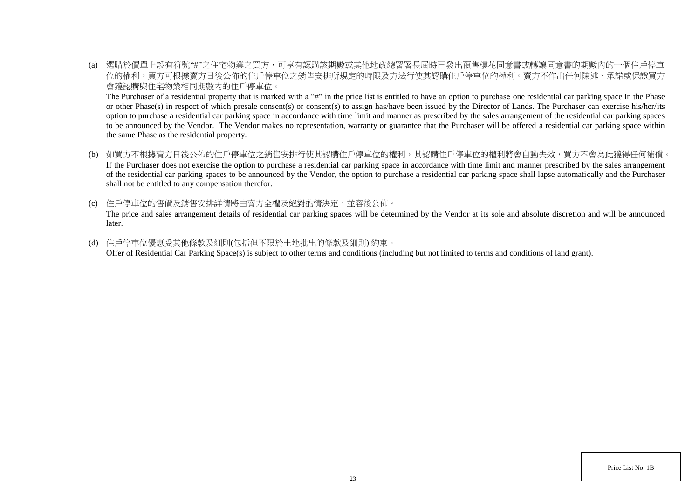(a) 選購於價單上設有符號"#"之住宅物業之買方,可享有認購該期數或其他地政總署署長屆時已發出預售樓花同意書或轉讓同意書的期數內的一個住戶停車 位的權利。買方可根據賣方日後公佈的住戶停車位之銷售安排所規定的時限及方法行使其認購住戶停車位的權利。賣方不作出任何陳述、承諾或保證買方 會獲認購與住宅物業相同期數內的住戶停車位。

The Purchaser of a residential property that is marked with a "#" in the price list is entitled to have an option to purchase one residential car parking space in the Phase or other Phase(s) in respect of which presale consent(s) or consent(s) to assign has/have been issued by the Director of Lands. The Purchaser can exercise his/her/its option to purchase a residential car parking space in accordance with time limit and manner as prescribed by the sales arrangement of the residential car parking spaces to be announced by the Vendor. The Vendor makes no representation, warranty or guarantee that the Purchaser will be offered a residential car parking space within the same Phase as the residential property.

- (b) 如買方不根據賣方日後公佈的住戶停車位之銷售安排行使其認購住戶停車位的權利,其認購住戶停車位的權利將會自動失效,買方不會為此獲得任何補償。 If the Purchaser does not exercise the option to purchase a residential car parking space in accordance with time limit and manner prescribed by the sales arrangement of the residential car parking spaces to be announced by the Vendor, the option to purchase a residential car parking space shall lapse automatically and the Purchaser shall not be entitled to any compensation therefor.
- (c) 住戶停車位的售價及銷售安排詳情將由賣方全權及絕對酌情決定,並容後公佈。 The price and sales arrangement details of residential car parking spaces will be determined by the Vendor at its sole and absolute discretion and will be announced later.
- (d) 住戶停車位優惠受其他條款及細則(包括但不限於土地批出的條款及細則) 約束。 Offer of Residential Car Parking Space(s) is subject to other terms and conditions (including but not limited to terms and conditions of land grant).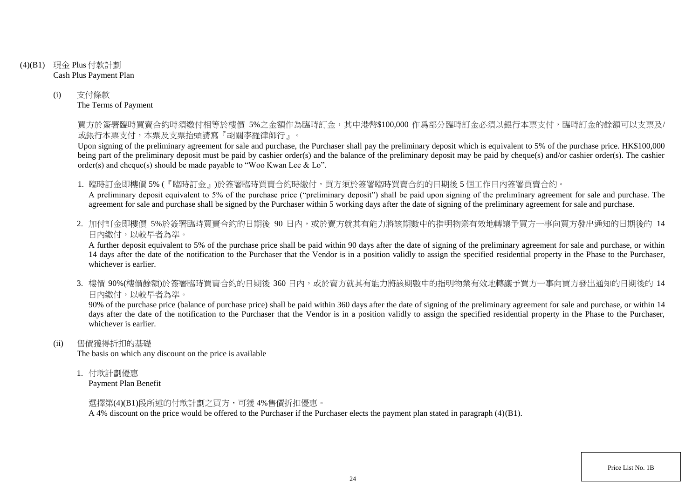- (4)(B1) 現金 Plus 付款計劃 Cash Plus Payment Plan
	- (i) 支付條款 The Terms of Payment

買方於簽署臨時買賣合約時須繳付相等於樓價 5%之金額作為臨時訂金,其中港幣\$100,000 作爲部分臨時訂金必須以銀行本票支付,臨時訂金的餘額可以支票及/ 或銀行本票支付,本票及支票抬頭請寫『胡關李羅律師行』。

Upon signing of the preliminary agreement for sale and purchase, the Purchaser shall pay the preliminary deposit which is equivalent to 5% of the purchase price. HK\$100,000 being part of the preliminary deposit must be paid by cashier order(s) and the balance of the preliminary deposit may be paid by cheque(s) and/or cashier order(s). The cashier order(s) and cheque(s) should be made payable to "Woo Kwan Lee & Lo".

1. 臨時訂金即樓價 5% (『臨時訂金』)於簽署臨時買賣合約時繳付,買方須於簽署臨時買賣合約的日期後 5 個工作日內簽署買賣合約。

A preliminary deposit equivalent to 5% of the purchase price ("preliminary deposit") shall be paid upon signing of the preliminary agreement for sale and purchase. The agreement for sale and purchase shall be signed by the Purchaser within 5 working days after the date of signing of the preliminary agreement for sale and purchase.

2. 加付訂金即樓價 5%於簽署臨時買賣合約的日期後 90 日内,或於賣方就其有能力將該期數中的指明物業有效地轉讓予買方一事向買方發出通知的日期後的 14 日內繳付,以較早者為準。

A further deposit equivalent to 5% of the purchase price shall be paid within 90 days after the date of signing of the preliminary agreement for sale and purchase, or within 14 days after the date of the notification to the Purchaser that the Vendor is in a position validly to assign the specified residential property in the Phase to the Purchaser, whichever is earlier.

3. 樓價 90%(樓價餘額)於簽署臨時買賣合約的日期後 360 日內,或於賣方就其有能力將該期數中的指明物業有效地轉讓予買方一事向買方發出通知的日期後的 14 日內繳付,以較早者為準。

90% of the purchase price (balance of purchase price) shall be paid within 360 days after the date of signing of the preliminary agreement for sale and purchase, or within 14 days after the date of the notification to the Purchaser that the Vendor is in a position validly to assign the specified residential property in the Phase to the Purchaser, whichever is earlier.

(ii) 售價獲得折扣的基礎

The basis on which any discount on the price is available

1. 付款計劃優惠

Payment Plan Benefit

選擇第(4)(B1)段所述的付款計劃之買方,可獲 4%售價折扣優惠。

A 4% discount on the price would be offered to the Purchaser if the Purchaser elects the payment plan stated in paragraph (4)(B1).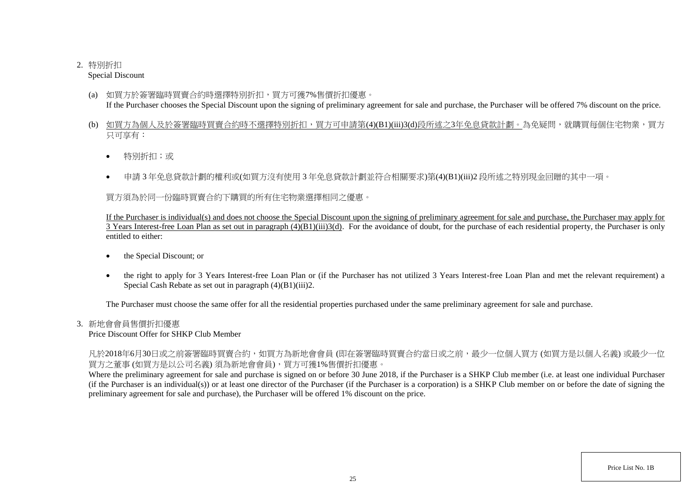# 2. 特別折扣

Special Discount

- (a) 如買方於簽署臨時買賣合約時選擇特別折扣,買方可獲7%售價折扣優惠。 If the Purchaser chooses the Special Discount upon the signing of preliminary agreement for sale and purchase, the Purchaser will be offered 7% discount on the price.
- (b) 如買方為個人及於簽署臨時買賣合約時不選擇特別折扣,買方可申請第(4)(B1)(iii)3(d)段所述之3年免息貸款計劃。為免疑問,就購買每個住宅物業,買方 只可享有:
	- 特別折扣;或
	- 申請 3 年免息貸款計劃的權利或(如買方沒有使用 3 年免息貸款計劃並符合相關要求)第(4)(B1)(iii)2 段所述之特別現金回贈的其中一項。

買方須為於同一份臨時買賣合約下購買的所有住宅物業選擇相同之優惠。

If the Purchaser is individual(s) and does not choose the Special Discount upon the signing of preliminary agreement for sale and purchase, the Purchaser may apply for  $\overline{3}$  Years Interest-free Loan Plan as set out in paragraph  $(4)(B1)(iii)3(d)$ . For the avoidance of doubt, for the purchase of each residential property, the Purchaser is only entitled to either:

- the Special Discount; or
- the right to apply for 3 Years Interest-free Loan Plan or (if the Purchaser has not utilized 3 Years Interest-free Loan Plan and met the relevant requirement) a Special Cash Rebate as set out in paragraph (4)(B1)(iii)2.

The Purchaser must choose the same offer for all the residential properties purchased under the same preliminary agreement for sale and purchase.

# 3. 新地會會員售價折扣優惠

Price Discount Offer for SHKP Club Member

凡於2018年6月30日或之前簽署臨時買賣合約,如買方為新地會會員 (即在簽署臨時買賣合約當日或之前,最少一位個人買方 (如買方是以個人名義) 或最少一位 買方之董事 (如買方是以公司名義) 須為新地會會員),買方可獲1%售價折扣優惠。

Where the preliminary agreement for sale and purchase is signed on or before 30 June 2018, if the Purchaser is a SHKP Club member (i.e. at least one individual Purchaser (if the Purchaser is an individual(s)) or at least one director of the Purchaser (if the Purchaser is a corporation) is a SHKP Club member on or before the date of signing the preliminary agreement for sale and purchase), the Purchaser will be offered 1% discount on the price.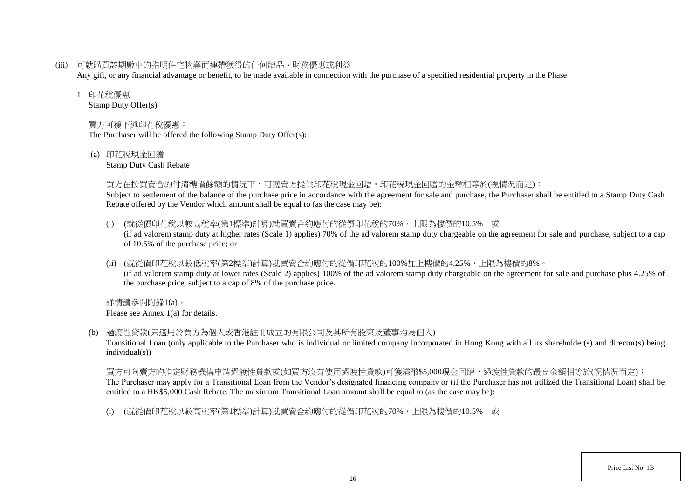(iii) 可就購買該期數中的指明住宅物業而連帶獲得的任何贈品、財務優惠或利益

Any gift, or any financial advantage or benefit, to be made available in connection with the purchase of a specified residential property in the Phase

### 1. 印花稅優惠

Stamp Duty Offer(s)

# 買方可獲下述印花稅優惠:

The Purchaser will be offered the following Stamp Duty Offer(s):

(a) 印花稅現金回贈

Stamp Duty Cash Rebate

### 買方在按買賣合約付清樓價餘額的情況下,可獲賣方提供印花稅現金回贈。印花稅現金回贈的金額相等於(視情況而定):

Subject to settlement of the balance of the purchase price in accordance with the agreement for sale and purchase, the Purchaser shall be entitled to a Stamp Duty Cash Rebate offered by the Vendor which amount shall be equal to (as the case may be):

- (i) (就從價印花稅以較高稅率(第1標準)計算)就買賣合約應付的從價印花稅的70%,上限為樓價的10.5%;或 (if ad valorem stamp duty at higher rates (Scale 1) applies) 70% of the ad valorem stamp duty chargeable on the agreement for sale and purchase, subject to a cap of 10.5% of the purchase price; or
- (ii) (就從價印花稅以較低稅率(第2標準)計算)就買賣合約應付的從價印花稅的100%加上樓價的4.25%,上限為樓價的8%。 (if ad valorem stamp duty at lower rates (Scale 2) applies) 100% of the ad valorem stamp duty chargeable on the agreement for sale and purchase plus 4.25% of the purchase price, subject to a cap of 8% of the purchase price.

詳情請參閱附錄1(a)。 Please see Annex 1(a) for details.

(b) 過渡性貸款(只適用於買方為個人或香港註冊成立的有限公司及其所有股東及董事均為個人)

Transitional Loan (only applicable to the Purchaser who is individual or limited company incorporated in Hong Kong with all its shareholder(s) and director(s) being individual(s))

買方可向賣方的指定財務機構申請過渡性貸款或(如買方沒有使用過渡性貸款)可獲港幣\$5,000現金回贈,過渡性貸款的最高金額相等於(視情況而定): The Purchaser may apply for a Transitional Loan from the Vendor's designated financing company or (if the Purchaser has not utilized the Transitional Loan) shall be entitled to a HK\$5,000 Cash Rebate. The maximum Transitional Loan amount shall be equal to (as the case may be):

(i) (就從價印花稅以較高稅率(第1標準)計算)就買賣合約應付的從價印花稅的70%,上限為樓價的10.5%;或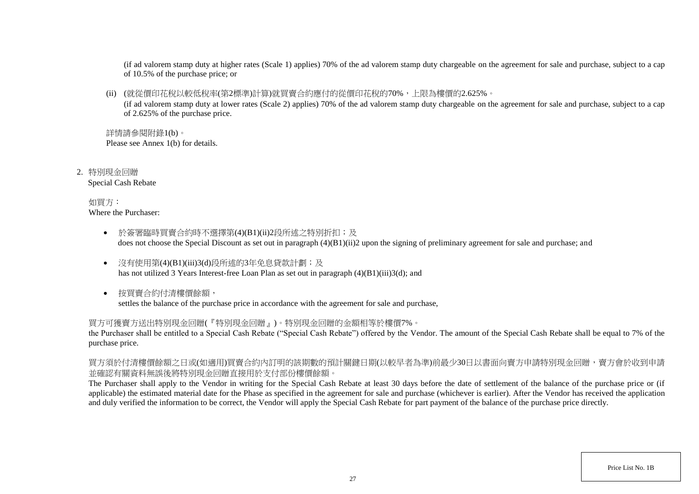(if ad valorem stamp duty at higher rates (Scale 1) applies) 70% of the ad valorem stamp duty chargeable on the agreement for sale and purchase, subject to a cap of 10.5% of the purchase price; or

(ii) (就從價印花稅以較低稅率(第2標準)計算)就買賣合約應付的從價印花稅的70%,上限為樓價的2.625%。

(if ad valorem stamp duty at lower rates (Scale 2) applies) 70% of the ad valorem stamp duty chargeable on the agreement for sale and purchase, subject to a cap of 2.625% of the purchase price.

詳情請參閱附錄1(b)。 Please see Annex 1(b) for details.

2. 特別現金回贈 Special Cash Rebate

> 如買方: Where the Purchaser:

- 於簽署臨時買賣合約時不選擇第(4)(B1)(ii)2段所述之特別折扣;及 does not choose the Special Discount as set out in paragraph (4)(B1)(ii)2 upon the signing of preliminary agreement for sale and purchase; and
- 沒有使用第(4)(B1)(iii)3(d)段所述的3年免息貸款計劃;及 has not utilized 3 Years Interest-free Loan Plan as set out in paragraph (4)(B1)(iii)3(d); and
- 按買賣合約付清樓價餘額, settles the balance of the purchase price in accordance with the agreement for sale and purchase,

買方可獲賣方送出特別現金回贈(『特別現金回贈』)。特別現金回贈的金額相等於樓價7%。

the Purchaser shall be entitled to a Special Cash Rebate ("Special Cash Rebate") offered by the Vendor. The amount of the Special Cash Rebate shall be equal to 7% of the purchase price.

買方須於付清樓價餘額之日或(如適用)買賣合約內訂明的該期數的預計關鍵日期(以較早者為準)前最少30日以書面向賣方申請特別現金回贈,賣方會於收到申請 並確認有關資料無誤後將特別現金回贈直接用於支付部份樓價餘額。

The Purchaser shall apply to the Vendor in writing for the Special Cash Rebate at least 30 days before the date of settlement of the balance of the purchase price or (if applicable) the estimated material date for the Phase as specified in the agreement for sale and purchase (whichever is earlier). After the Vendor has received the application and duly verified the information to be correct, the Vendor will apply the Special Cash Rebate for part payment of the balance of the purchase price directly.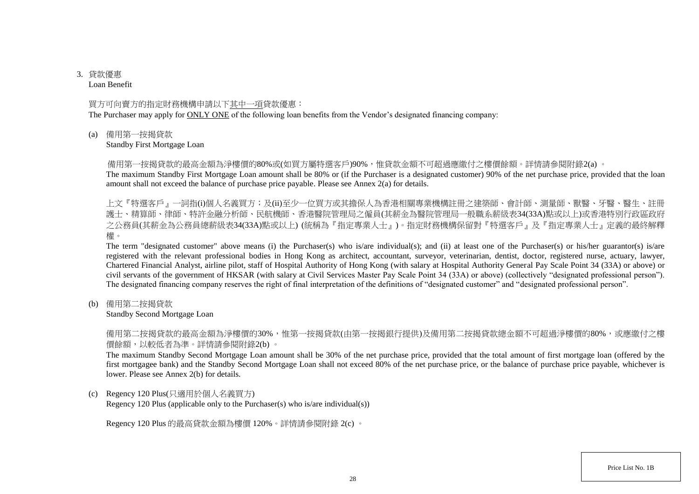# 3. 貸款優惠

Loan Benefit

### 買方可向賣方的指定財務機構申請以下其中一項貸款優惠:

The Purchaser may apply for ONLY ONE of the following loan benefits from the Vendor's designated financing company:

(a) 備用第一按揭貸款

Standby First Mortgage Loan

備用第一按揭貸款的最高金額為淨樓價的80%或(如買方屬特選客戶)90%,惟貸款金額不可超過應繳付之樓價餘額。詳情請參閱附錄2(a) 。

The maximum Standby First Mortgage Loan amount shall be 80% or (if the Purchaser is a designated customer) 90% of the net purchase price, provided that the loan amount shall not exceed the balance of purchase price payable. Please see Annex 2(a) for details.

上文『特選客戶』一詞指(i)個人名義買方;及(ii)至少一位買方或其擔保人為香港相關專業機構註冊之建築師、會計師、測量師、獸醫、牙醫、醫生、註冊 護士、精算師、律師、特許金融分析師、民航機師、香港醫院管理局之僱員(其薪金為醫院管理局一般職系薪級表34(33A)點或以上)或香港特別行政區政府 之公務員(其薪金為公務員總薪級表34(33A)點或以上) (統稱為『指定專業人士』)。指定財務機構保留對『特選客戶』及『指定專業人士』定義的最終解釋 權。

The term "designated customer" above means (i) the Purchaser(s) who is/are individual(s); and (ii) at least one of the Purchaser(s) or his/her guarantor(s) is/are registered with the relevant professional bodies in Hong Kong as architect, accountant, surveyor, veterinarian, dentist, doctor, registered nurse, actuary, lawyer, Chartered Financial Analyst, airline pilot, staff of Hospital Authority of Hong Kong (with salary at Hospital Authority General Pay Scale Point 34 (33A) or above) or civil servants of the government of HKSAR (with salary at Civil Services Master Pay Scale Point 34 (33A) or above) (collectively "designated professional person"). The designated financing company reserves the right of final interpretation of the definitions of "designated customer" and "designated professional person".

(b) 備用第二按揭貸款

Standby Second Mortgage Loan

備用第二按揭貸款的最高金額為淨樓價的30%,惟第一按揭貸款(由第一按揭銀行提供)及備用第二按揭貸款總金額不可超過淨樓價的80%,或應繳付之樓 價餘額,以較低者為準。詳情請參閱附錄2(b) 。

The maximum Standby Second Mortgage Loan amount shall be 30% of the net purchase price, provided that the total amount of first mortgage loan (offered by the first mortgagee bank) and the Standby Second Mortgage Loan shall not exceed 80% of the net purchase price, or the balance of purchase price payable, whichever is lower. Please see Annex 2(b) for details.

(c) Regency 120 Plus(只適用於個人名義買方)

Regency 120 Plus (applicable only to the Purchaser(s) who is/are individual(s))

Regency 120 Plus 的最高貸款金額為樓價 120%。詳情請參閱附錄 2(c) 。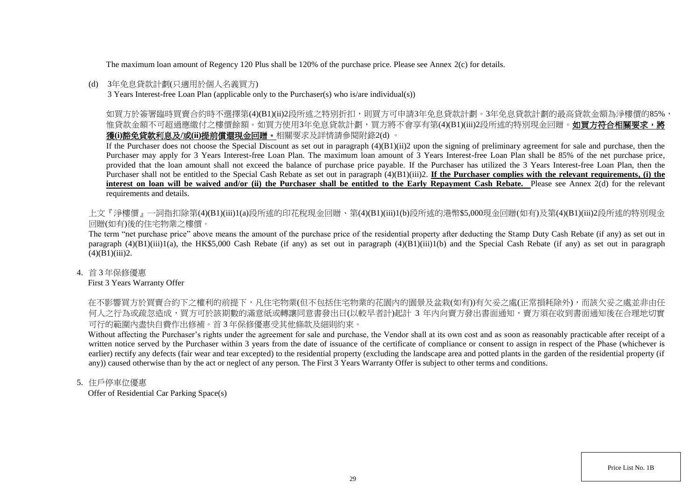The maximum loan amount of Regency 120 Plus shall be 120% of the purchase price. Please see Annex 2(c) for details.

### (d) 3年免息貸款計劃(只適用於個人名義買方)

3 Years Interest-free Loan Plan (applicable only to the Purchaser(s) who is/are individual(s))

如買方於簽署臨時買賣合約時不選擇第(4)(B1)(ii)2段所述之特別折扣,則買方可申請3年免息貸款計劃。3年免息貸款計劃的最高貸款金額為淨樓價的85%, 惟貸款金額不可超過應繳付之樓價餘額。如買方使用3年免息貸款計劃,買方將不會享有第(4)(B1)(iii)2段所述的特別現金回贈。**如買方符合相關要求,將** 獲**(i)**豁免貸款利息及**/**或**(ii)**提前償還現金回贈。相關要求及詳情請參閱附錄2(d) 。

If the Purchaser does not choose the Special Discount as set out in paragraph  $(4)(B1)(ii)2$  upon the signing of preliminary agreement for sale and purchase, then the Purchaser may apply for 3 Years Interest-free Loan Plan. The maximum loan amount of 3 Years Interest-free Loan Plan shall be 85% of the net purchase price, provided that the loan amount shall not exceed the balance of purchase price payable. If the Purchaser has utilized the 3 Years Interest-free Loan Plan, then the Purchaser shall not be entitled to the Special Cash Rebate as set out in paragraph (4)(B1)(iii)2. **If the Purchaser complies with the relevant requirements, (i) the**  interest on loan will be waived and/or (ii) the Purchaser shall be entitled to the Early Repayment Cash Rebate. Please see Annex 2(d) for the relevant requirements and details.

上文『淨樓價』一詞指扣除第(4)(B1)(iii)1(a)段所述的印花稅現金回贈、第(4)(B1)(iii)1(b)段所述的港幣\$5,000現金回贈(如有)及第(4)(B1)(iii)2段所述的特別現金 回贈(如有)後的住宅物業之樓價。

The term "net purchase price" above means the amount of the purchase price of the residential property after deducting the Stamp Duty Cash Rebate (if any) as set out in paragraph  $(4)(B1)(iii)1(a)$ , the HK\$5,000 Cash Rebate (if any) as set out in paragraph  $(4)(B1)(iii)1(b)$  and the Special Cash Rebate (if any) as set out in paragraph  $(4)(B1)(iii)2.$ 

4. 首 3 年保修優惠

First 3 Years Warranty Offer

在不影響買方於買賣合約下之權利的前提下,凡住宅物業(但不包括住宅物業的花園內的園景及盆栽(如有))有欠妥之處(正常損耗除外),而該欠妥之處並非由任 何人之行為或疏忽造成,買方可於該期數的滿意紙或轉讓同意書發出日(以較早者計)起計 3 年内向賣方發出書面通知,賣方須在收到書面通知後在合理地切實 可行的範圍內盡快自費作出修補。首 3 年保修優惠受其他條款及細則約束。

Without affecting the Purchaser's rights under the agreement for sale and purchase, the Vendor shall at its own cost and as soon as reasonably practicable after receipt of a written notice served by the Purchaser within 3 years from the date of issuance of the certificate of compliance or consent to assign in respect of the Phase (whichever is earlier) rectify any defects (fair wear and tear excepted) to the residential property (excluding the landscape area and potted plants in the garden of the residential property (if any)) caused otherwise than by the act or neglect of any person. The First 3 Years Warranty Offer is subject to other terms and conditions.

5. 住戶停車位優惠

Offer of Residential Car Parking Space(s)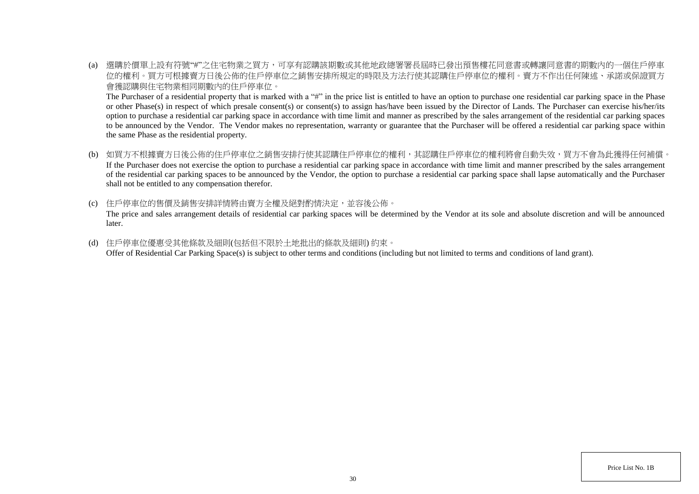(a) 選購於價單上設有符號"#"之住宅物業之買方,可享有認購該期數或其他地政總署署長屆時已發出預售樓花同意書或轉讓同意書的期數內的一個住戶停車 位的權利。買方可根據賣方日後公佈的住戶停車位之銷售安排所規定的時限及方法行使其認購住戶停車位的權利。賣方不作出任何陳述、承諾或保證買方 會獲認購與住宅物業相同期數內的住戶停車位。

The Purchaser of a residential property that is marked with a "#" in the price list is entitled to have an option to purchase one residential car parking space in the Phase or other Phase(s) in respect of which presale consent(s) or consent(s) to assign has/have been issued by the Director of Lands. The Purchaser can exercise his/her/its option to purchase a residential car parking space in accordance with time limit and manner as prescribed by the sales arrangement of the residential car parking spaces to be announced by the Vendor. The Vendor makes no representation, warranty or guarantee that the Purchaser will be offered a residential car parking space within the same Phase as the residential property.

- (b) 如買方不根據賣方日後公佈的住戶停車位之銷售安排行使其認購住戶停車位的權利,其認購住戶停車位的權利將會自動失效,買方不會為此獲得任何補償。 If the Purchaser does not exercise the option to purchase a residential car parking space in accordance with time limit and manner prescribed by the sales arrangement of the residential car parking spaces to be announced by the Vendor, the option to purchase a residential car parking space shall lapse automatically and the Purchaser shall not be entitled to any compensation therefor.
- (c) 住戶停車位的售價及銷售安排詳情將由賣方全權及絕對酌情決定,並容後公佈。 The price and sales arrangement details of residential car parking spaces will be determined by the Vendor at its sole and absolute discretion and will be announced later.
- (d) 住戶停車位優惠受其他條款及細則(包括但不限於土地批出的條款及細則) 約束。 Offer of Residential Car Parking Space(s) is subject to other terms and conditions (including but not limited to terms and conditions of land grant).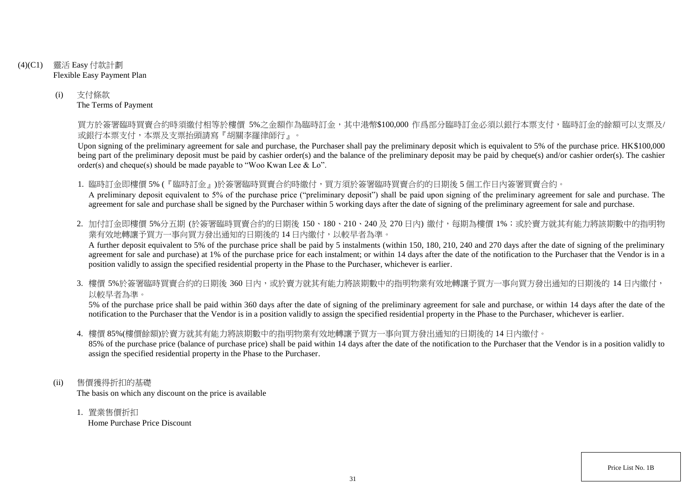- (4)(C1) 靈活 Easy 付款計劃 Flexible Easy Payment Plan
	- (i) 支付條款 The Terms of Payment

買方於簽署臨時買賣合約時須繳付相等於樓價 5%之金額作為臨時訂金,其中港幣\$100,000 作爲部分臨時訂金必須以銀行本票支付,臨時訂金的餘額可以支票及/ 或銀行本票支付,本票及支票抬頭請寫『胡關李羅律師行』。

Upon signing of the preliminary agreement for sale and purchase, the Purchaser shall pay the preliminary deposit which is equivalent to 5% of the purchase price. HK\$100,000 being part of the preliminary deposit must be paid by cashier order(s) and the balance of the preliminary deposit may be paid by cheque(s) and/or cashier order(s). The cashier order(s) and cheque(s) should be made payable to "Woo Kwan Lee & Lo".

1. 臨時訂金即樓價 5% (『臨時訂金』)於簽署臨時買賣合約時繳付,買方須於簽署臨時買賣合約的日期後 5 個工作日內簽署買賣合約。 A preliminary deposit equivalent to 5% of the purchase price ("preliminary deposit") shall be paid upon signing of the preliminary agreement for sale and purchase. The agreement for sale and purchase shall be signed by the Purchaser within 5 working days after the date of signing of the preliminary agreement for sale and purchase.

2. 加付訂金即樓價 5%分五期 (於簽署臨時買賣合約的日期後 150、180、210、240及 270日內) 繳付, 每期為樓價 1%; 或於賣方就其有能力將該期數中的指明物 業有效地轉讓予買方一事向買方發出通知的日期後的14日內繳付,以較早者為準。

A further deposit equivalent to 5% of the purchase price shall be paid by 5 instalments (within 150, 180, 210, 240 and 270 days after the date of signing of the preliminary agreement for sale and purchase) at 1% of the purchase price for each instalment; or within 14 days after the date of the notification to the Purchaser that the Vendor is in a position validly to assign the specified residential property in the Phase to the Purchaser, whichever is earlier.

3. 樓價 5%於簽署臨時買賣合約的日期後 360 日内,或於賣方就其有能力將該期數中的指明物業有效地轉讓予買方一事向買方發出通知的日期後的 14 日內繳付, 以較早者為準。

5% of the purchase price shall be paid within 360 days after the date of signing of the preliminary agreement for sale and purchase, or within 14 days after the date of the notification to the Purchaser that the Vendor is in a position validly to assign the specified residential property in the Phase to the Purchaser, whichever is earlier.

4. 樓價 85%(樓價餘額)於賣方就其有能力將該期數中的指明物業有效地轉讓予買方一事向買方發出通知的日期後的 14 日內繳付。

85% of the purchase price (balance of purchase price) shall be paid within 14 days after the date of the notification to the Purchaser that the Vendor is in a position validly to assign the specified residential property in the Phase to the Purchaser.

- (ii) 售價獲得折扣的基礎 The basis on which any discount on the price is available
	- 1. 置業售價折扣 Home Purchase Price Discount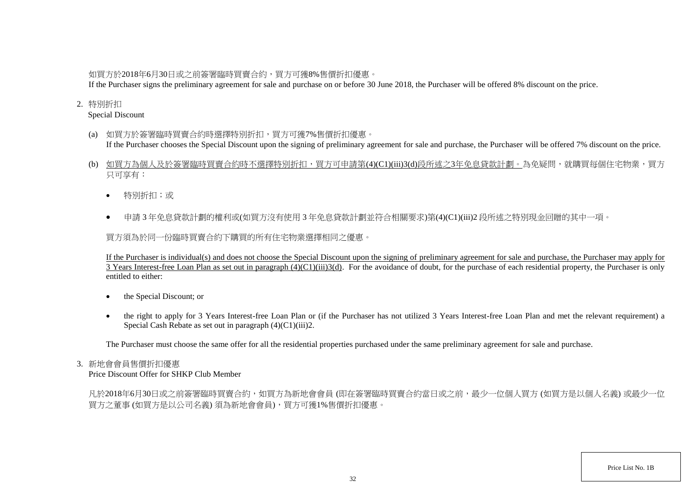# 如買方於2018年6月30日或之前簽署臨時買賣合約,買方可獲8%售價折扣優惠。

If the Purchaser signs the preliminary agreement for sale and purchase on or before 30 June 2018, the Purchaser will be offered 8% discount on the price.

## 2. 特別折扣

Special Discount

- (a) 如買方於簽署臨時買賣合約時選擇特別折扣,買方可獲7%售價折扣優惠。 If the Purchaser chooses the Special Discount upon the signing of preliminary agreement for sale and purchase, the Purchaser will be offered 7% discount on the price.
- (b) 如買方為個人及於簽署臨時買賣合約時不選擇特別折扣,買方可申請第(4)(C1)(iii)3(d)段所述之3年免息貸款計劃。為免疑問,就購買每個住宅物業,買方 只可享有:
	- 特別折扣;或
	- 申請 3 年免息貸款計劃的權利或(如買方沒有使用 3 年免息貸款計劃並符合相關要求)第(4)(C1)(iii)2 段所述之特別現金回贈的其中一項。

買方須為於同一份臨時買賣合約下購買的所有住宅物業選擇相同之優惠。

If the Purchaser is individual(s) and does not choose the Special Discount upon the signing of preliminary agreement for sale and purchase, the Purchaser may apply for 3 Years Interest-free Loan Plan as set out in paragraph  $(4)(C1)(iii)3(d)$ . For the avoidance of doubt, for the purchase of each residential property, the Purchaser is only entitled to either:

- the Special Discount; or
- the right to apply for 3 Years Interest-free Loan Plan or (if the Purchaser has not utilized 3 Years Interest-free Loan Plan and met the relevant requirement) a Special Cash Rebate as set out in paragraph (4)(C1)(iii)2.

The Purchaser must choose the same offer for all the residential properties purchased under the same preliminary agreement for sale and purchase.

### 3. 新地會會員售價折扣優惠

Price Discount Offer for SHKP Club Member

凡於2018年6月30日或之前簽署臨時買賣合約,如買方為新地會會員 (即在簽署臨時買賣合約當日或之前,最少一位個人買方 (如買方是以個人名義) 或最少一位 買方之董事 (如買方是以公司名義) 須為新地會會員),買方可獲1%售價折扣優惠。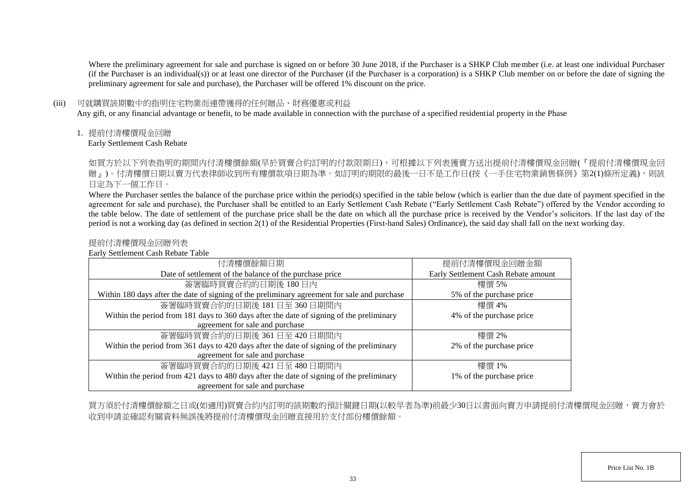Where the preliminary agreement for sale and purchase is signed on or before 30 June 2018, if the Purchaser is a SHKP Club member (i.e. at least one individual Purchaser (if the Purchaser is an individual(s)) or at least one director of the Purchaser (if the Purchaser is a corporation) is a SHKP Club member on or before the date of signing the preliminary agreement for sale and purchase), the Purchaser will be offered 1% discount on the price.

### (iii) 可就購買該期數中的指明住宅物業而連帶獲得的任何贈品、財務優惠或利益

Any gift, or any financial advantage or benefit, to be made available in connection with the purchase of a specified residential property in the Phase

1. 提前付清樓價現金回贈

Early Settlement Cash Rebate

如買方於以下列表指明的期間内付清樓價餘額(早於買賣合約訂明的付款限期日),可根據以下列表獲賣方送出提前付清樓價現金回贈(『提前付清樓價現金回 贈」)。付清樓價日期以賣方代表律師收到所有樓價款項日期為準。如訂明的期限的最後一日不是工作日(按《一手住宅物業銷售條例》第2(1)條所定義),則該 日定為下一個工作日。

Where the Purchaser settles the balance of the purchase price within the period(s) specified in the table below (which is earlier than the due date of payment specified in the agreement for sale and purchase), the Purchaser shall be entitled to an Early Settlement Cash Rebate ("Early Settlement Cash Rebate") offered by the Vendor according to the table below. The date of settlement of the purchase price shall be the date on which all the purchase price is received by the Vendor's solicitors. If the last day of the period is not a working day (as defined in section 2(1) of the Residential Properties (First-hand Sales) Ordinance), the said day shall fall on the next working day.

## 提前付清樓價現金回贈列表

Early Settlement Cash Rebate Table

| 付清樓價餘額日期                                                                                     | 提前付清樓價現金回贈金額                        |
|----------------------------------------------------------------------------------------------|-------------------------------------|
| Date of settlement of the balance of the purchase price                                      | Early Settlement Cash Rebate amount |
| 簽署臨時買賣合約的日期後180日內                                                                            | 樓價 5%                               |
| Within 180 days after the date of signing of the preliminary agreement for sale and purchase | 5% of the purchase price            |
| 簽署臨時買賣合約的日期後 181日至 360日期間內                                                                   | 樓價 4%                               |
| Within the period from 181 days to 360 days after the date of signing of the preliminary     | 4% of the purchase price            |
| agreement for sale and purchase                                                              |                                     |
| 簽署臨時買賣合約的日期後 361日至 420日期間內                                                                   | 樓價 2%                               |
| Within the period from 361 days to 420 days after the date of signing of the preliminary     | 2% of the purchase price            |
| agreement for sale and purchase                                                              |                                     |
| 簽署臨時買賣合約的日期後 421日至 480日期間內                                                                   | 樓價 1%                               |
| Within the period from 421 days to 480 days after the date of signing of the preliminary     | 1% of the purchase price            |
| agreement for sale and purchase                                                              |                                     |

買方須於付清樓價餘額之日或(如適用)買賣合約內訂明的該期數的預計關鍵日期(以較早者為準)前最少30日以書面向賣方申請提前付清樓價現金回贈,賣方會於 收到申請並確認有關資料無誤後將提前付清樓價現金回贈直接用於支付部份樓價餘額。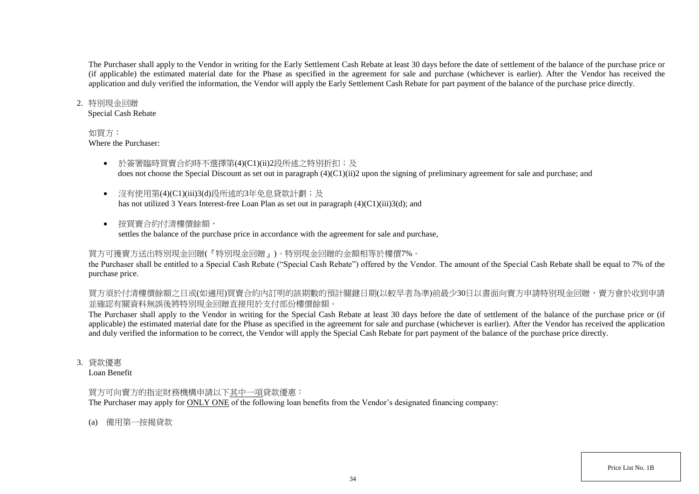The Purchaser shall apply to the Vendor in writing for the Early Settlement Cash Rebate at least 30 days before the date of settlement of the balance of the purchase price or (if applicable) the estimated material date for the Phase as specified in the agreement for sale and purchase (whichever is earlier). After the Vendor has received the application and duly verified the information, the Vendor will apply the Early Settlement Cash Rebate for part payment of the balance of the purchase price directly.

### 2. 特別現金回贈

Special Cash Rebate

### 如買方:

Where the Purchaser:

- 於簽署臨時買賣合約時不選擇第(4)(C1)(ii)2段所述之特別折扣;及 does not choose the Special Discount as set out in paragraph (4)(C1)(ii)2 upon the signing of preliminary agreement for sale and purchase; and
- 沒有使用第(4)(C1)(iii)3(d)段所述的3年免息貸款計劃;及 has not utilized 3 Years Interest-free Loan Plan as set out in paragraph (4)(C1)(iii)3(d); and
- 按買賣合約付清樓價餘額, settles the balance of the purchase price in accordance with the agreement for sale and purchase,

# 買方可獲賣方送出特別現金回贈(『特別現金回贈』)。特別現金回贈的金額相等於樓價7%。

the Purchaser shall be entitled to a Special Cash Rebate ("Special Cash Rebate") offered by the Vendor. The amount of the Special Cash Rebate shall be equal to 7% of the purchase price.

買方須於付清樓價餘額之日或(如適用)買賣合約內訂明的該期數的預計關鍵日期(以較早者為準)前最少30日以書面向賣方申請特別現金回贈,賣方會於收到申請 並確認有關資料無誤後將特別現金回贈直接用於支付部份樓價餘額。

The Purchaser shall apply to the Vendor in writing for the Special Cash Rebate at least 30 days before the date of settlement of the balance of the purchase price or (if applicable) the estimated material date for the Phase as specified in the agreement for sale and purchase (whichever is earlier). After the Vendor has received the application and duly verified the information to be correct, the Vendor will apply the Special Cash Rebate for part payment of the balance of the purchase price directly.

3. 貸款優惠

Loan Benefit

# 買方可向賣方的指定財務機構申請以下其中一項貸款優惠:

The Purchaser may apply for ONLY ONE of the following loan benefits from the Vendor's designated financing company:

(a) 備用第一按揭貸款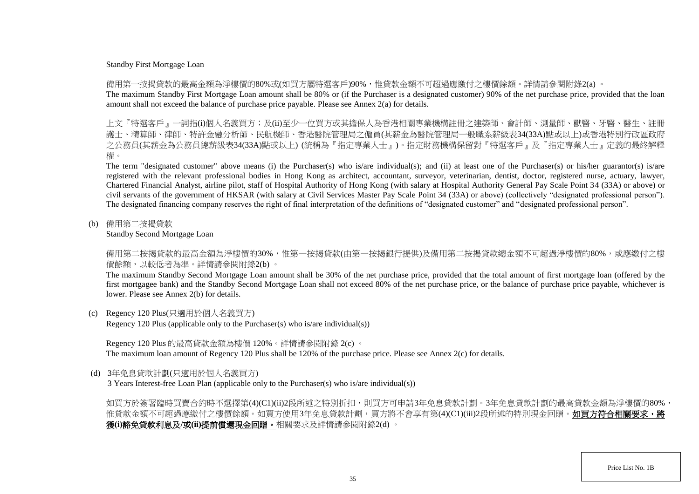#### Standby First Mortgage Loan

備用第一按揭貸款的最高金額為淨樓價的80%或(如買方屬特選客戶)90%,惟貸款金額不可超過應繳付之樓價餘額。詳情請參閱附錄2(a) 。

The maximum Standby First Mortgage Loan amount shall be 80% or (if the Purchaser is a designated customer) 90% of the net purchase price, provided that the loan amount shall not exceed the balance of purchase price payable. Please see Annex 2(a) for details.

上文『特選客戶』一詞指(i)個人名義買方;及(ii)至少一位買方或其擔保人為香港相關專業機構註冊之建築師、會計師、測量師、獸醫、牙醫、醫生、 護士、精算師、律師、特許金融分析師、民航機師、香港醫院管理局之僱員(其薪金為醫院管理局一般職系薪級表34(33A)點或以上)或香港特別行政區政府 之公務員(其薪金為公務員總薪級表34(33A)點或以上) (統稱為『指定專業人士』)。指定財務機構保留對『特選客戶』及『指定專業人士』定義的最終解釋 權。

The term "designated customer" above means (i) the Purchaser(s) who is/are individual(s); and (ii) at least one of the Purchaser(s) or his/her guarantor(s) is/are registered with the relevant professional bodies in Hong Kong as architect, accountant, surveyor, veterinarian, dentist, doctor, registered nurse, actuary, lawyer, Chartered Financial Analyst, airline pilot, staff of Hospital Authority of Hong Kong (with salary at Hospital Authority General Pay Scale Point 34 (33A) or above) or civil servants of the government of HKSAR (with salary at Civil Services Master Pay Scale Point 34 (33A) or above) (collectively "designated professional person"). The designated financing company reserves the right of final interpretation of the definitions of "designated customer" and "designated professional person".

(b) 備用第二按揭貸款

Standby Second Mortgage Loan

備用第二按揭貸款的最高金額為淨樓價的30%,惟第一按揭貸款(由第一按揭銀行提供)及備用第二按揭貸款總金額不可超過淨樓價的80%,或應繳付之樓 價餘額,以較低者為準。詳情請參閱附錄2(b) 。

The maximum Standby Second Mortgage Loan amount shall be 30% of the net purchase price, provided that the total amount of first mortgage loan (offered by the first mortgagee bank) and the Standby Second Mortgage Loan shall not exceed 80% of the net purchase price, or the balance of purchase price payable, whichever is lower. Please see Annex 2(b) for details.

(c) Regency 120 Plus(只適用於個人名義買方)

Regency 120 Plus (applicable only to the Purchaser(s) who is/are individual(s))

Regency 120 Plus 的最高貸款金額為樓價 120%。詳情請參閱附錄 2(c) 。 The maximum loan amount of Regency 120 Plus shall be 120% of the purchase price. Please see Annex 2(c) for details.

(d) 3年免息貸款計劃(只適用於個人名義買方)

3 Years Interest-free Loan Plan (applicable only to the Purchaser(s) who is/are individual(s))

如買方於簽署臨時買賣合約時不選擇第(4)(C1)(ii)2段所述之特別折扣,則買方可申請3年免息貸款計劃。3年免息貸款計劃的最高貸款金額為淨樓價的80%, 惟貸款金額不可超過應繳付之樓價餘額。如買方使用3年免息貸款計劃,買方將不會享有第(4)(C1)(iii)2段所述的特別現金回贈。**如買方符合相關要求,將** 獲**(i)**豁免貸款利息及**/**或**(ii)**提前償還現金回贈。相關要求及詳情請參閱附錄2(d) 。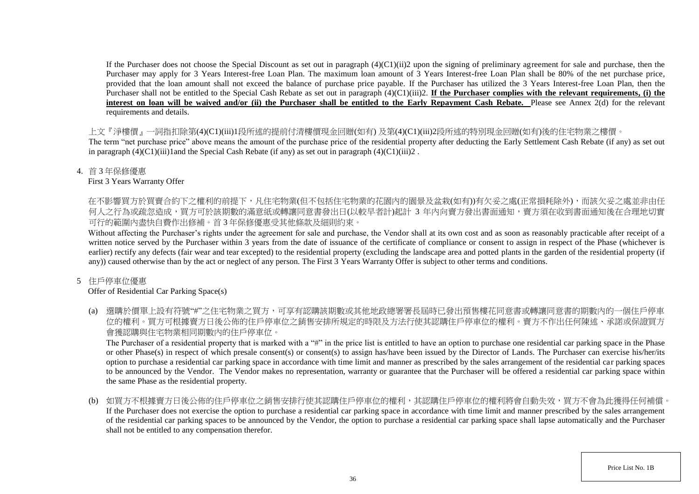If the Purchaser does not choose the Special Discount as set out in paragraph  $(4)(C1)(ii)$  upon the signing of preliminary agreement for sale and purchase, then the Purchaser may apply for 3 Years Interest-free Loan Plan. The maximum loan amount of 3 Years Interest-free Loan Plan shall be 80% of the net purchase price, provided that the loan amount shall not exceed the balance of purchase price payable. If the Purchaser has utilized the 3 Years Interest-free Loan Plan, then the Purchaser shall not be entitled to the Special Cash Rebate as set out in paragraph (4)(C1)(iii)2. **If the Purchaser complies with the relevant requirements, (i) the** interest on loan will be waived and/or (ii) the Purchaser shall be entitled to the Early Repayment Cash Rebate. Please see Annex 2(d) for the relevant requirements and details.

上文『淨樓價』一詞指扣除第(4)(C1)(iii)1段所述的提前付清樓價現金回贈(如有) 及第(4)(C1)(iii)2段所述的特別現金回贈(如有)後的住宅物業之樓價。

The term "net purchase price" above means the amount of the purchase price of the residential property after deducting the Early Settlement Cash Rebate (if any) as set out in paragraph  $(4)(C1)(iii)1$  and the Special Cash Rebate (if any) as set out in paragraph  $(4)(C1)(iii)2$ .

4. 首 3 年保修優惠

First 3 Years Warranty Offer

在不影響買方於買賣合約下之權利的前提下,凡住宅物業(但不包括住宅物業的花園内的園景及盆栽(如有))有欠妥之處(正常損耗除外),而該欠妥之處並非由任 何人之行為或疏忽造成,買方可於該期數的滿意紙或轉讓同意書發出日(以較早者計)起計 3 年内向賣方發出書面通知,賣方須在收到書面通知後在合理地切實 可行的範圍內盡快自費作出修補。首 3 年保修優惠受其他條款及細則約束。

Without affecting the Purchaser's rights under the agreement for sale and purchase, the Vendor shall at its own cost and as soon as reasonably practicable after receipt of a written notice served by the Purchaser within 3 years from the date of issuance of the certificate of compliance or consent to assign in respect of the Phase (whichever is earlier) rectify any defects (fair wear and tear excepted) to the residential property (excluding the landscape area and potted plants in the garden of the residential property (if any)) caused otherwise than by the act or neglect of any person. The First 3 Years Warranty Offer is subject to other terms and conditions.

# 5 住戶停車位優惠

# Offer of Residential Car Parking Space(s)

(a) 選購於價單上設有符號"#"之住宅物業之買方,可享有認購該期數或其他地政總署署長屆時已發出預售樓花同意書或轉讓同意書的期數內的一個住戶停車 位的權利。買方可根據賣方日後公佈的住戶停車位之銷售安排所規定的時限及方法行使其認購住戶停車位的權利。賣方不作出任何陳述、承諾或保證買方 會獲認購與住宅物業相同期數內的住戶停車位。

The Purchaser of a residential property that is marked with a "#" in the price list is entitled to have an option to purchase one residential car parking space in the Phase or other Phase(s) in respect of which presale consent(s) or consent(s) to assign has/have been issued by the Director of Lands. The Purchaser can exercise his/her/its option to purchase a residential car parking space in accordance with time limit and manner as prescribed by the sales arrangement of the residential car parking spaces to be announced by the Vendor. The Vendor makes no representation, warranty or guarantee that the Purchaser will be offered a residential car parking space within the same Phase as the residential property.

(b) 如買方不根據賣方日後公佈的住戶停車位之銷售安排行使其認購住戶停車位的權利,其認購住戶停車位的權利將會自動失效,買方不會為此獲得任何補償。 If the Purchaser does not exercise the option to purchase a residential car parking space in accordance with time limit and manner prescribed by the sales arrangement of the residential car parking spaces to be announced by the Vendor, the option to purchase a residential car parking space shall lapse automatically and the Purchaser shall not be entitled to any compensation therefor.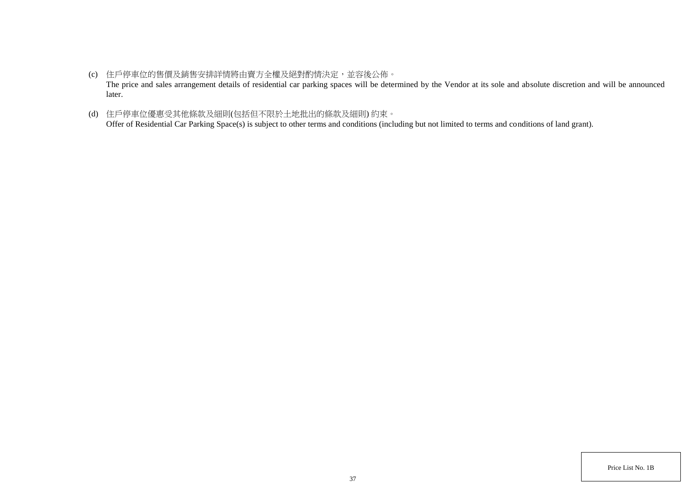- (c) 住戶停車位的售價及銷售安排詳情將由賣方全權及絕對酌情決定,並容後公佈。 The price and sales arrangement details of residential car parking spaces will be determined by the Vendor at its sole and absolute discretion and will be announced later.
- (d) 住戶停車位優惠受其他條款及細則(包括但不限於土地批出的條款及細則) 約束。 Offer of Residential Car Parking Space(s) is subject to other terms and conditions (including but not limited to terms and conditions of land grant).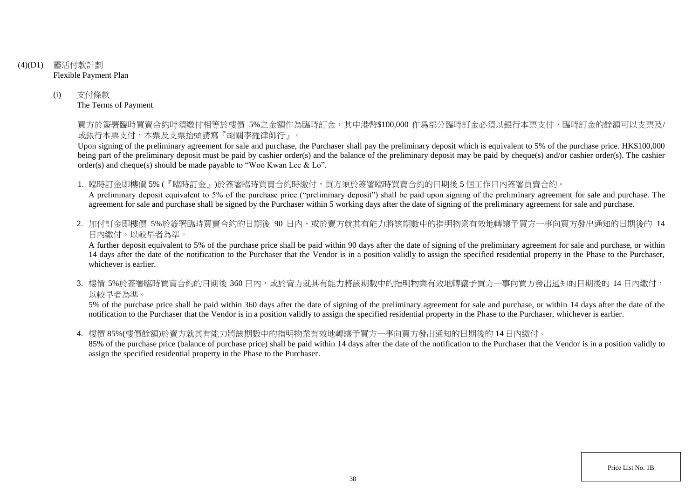- (4)(D1) 靈活付款計劃 Flexible Payment Plan
	- (i) 支付條款 The Terms of Payment

買方於簽署臨時買賣合約時須繳付相等於樓價 5%之金額作為臨時訂金,其中港幣\$100,000 作爲部分臨時訂金必須以銀行本票支付,臨時訂金的餘額可以支票及/ 或銀行本票支付,本票及支票抬頭請寫『胡關李羅律師行』。

Upon signing of the preliminary agreement for sale and purchase, the Purchaser shall pay the preliminary deposit which is equivalent to 5% of the purchase price. HK\$100,000 being part of the preliminary deposit must be paid by cashier order(s) and the balance of the preliminary deposit may be paid by cheque(s) and/or cashier order(s). The cashier order(s) and cheque(s) should be made payable to "Woo Kwan Lee & Lo".

1. 臨時訂金即樓價 5% (『臨時訂金』)於簽署臨時買賣合約時繳付,買方須於簽署臨時買賣合約的日期後 5 個工作日內簽署買賣合約。

A preliminary deposit equivalent to 5% of the purchase price ("preliminary deposit") shall be paid upon signing of the preliminary agreement for sale and purchase. The agreement for sale and purchase shall be signed by the Purchaser within 5 working days after the date of signing of the preliminary agreement for sale and purchase.

2. 加付訂金即樓價 5%於簽署臨時買賣合約的日期後 90 日内,或於賣方就其有能力將該期數中的指明物業有效地轉讓予買方一事向買方發出通知的日期後的 14 日內繳付,以較早者為準。

A further deposit equivalent to 5% of the purchase price shall be paid within 90 days after the date of signing of the preliminary agreement for sale and purchase, or within 14 days after the date of the notification to the Purchaser that the Vendor is in a position validly to assign the specified residential property in the Phase to the Purchaser, whichever is earlier.

3. 樓價 5%於簽署臨時買賣合約的日期後 360 日内,或於賣方就其有能力將該期數中的指明物業有效地轉讓予買方一事向買方發出通知的日期後的 14 日內繳付, 以較早者為準。

5% of the purchase price shall be paid within 360 days after the date of signing of the preliminary agreement for sale and purchase, or within 14 days after the date of the notification to the Purchaser that the Vendor is in a position validly to assign the specified residential property in the Phase to the Purchaser, whichever is earlier.

4. 樓價 85%(樓價餘額)於賣方就其有能力將該期數中的指明物業有效地轉讓予買方一事向買方發出通知的日期後的 14 日內繳付。

85% of the purchase price (balance of purchase price) shall be paid within 14 days after the date of the notification to the Purchaser that the Vendor is in a position validly to assign the specified residential property in the Phase to the Purchaser.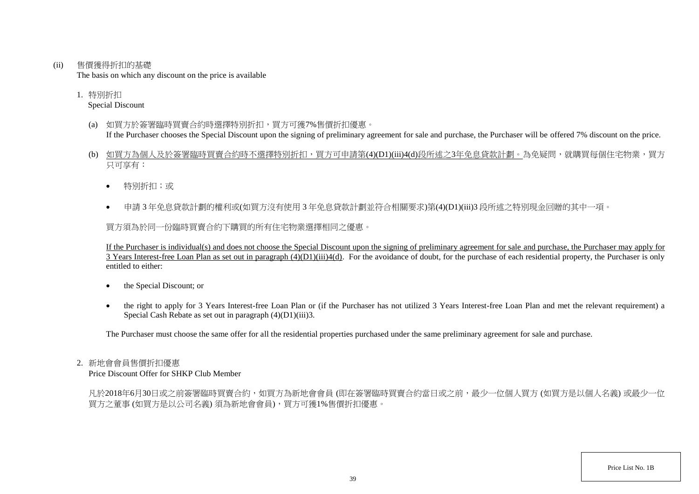(ii) 售價獲得折扣的基礎

The basis on which any discount on the price is available

1. 特別折扣 Special Discount

- (a) 如買方於簽署臨時買賣合約時選擇特別折扣,買方可獲7%售價折扣優惠。 If the Purchaser chooses the Special Discount upon the signing of preliminary agreement for sale and purchase, the Purchaser will be offered 7% discount on the price.
- (b) 如買方為個人及於簽署臨時買賣合約時不選擇特別折扣,買方可申請第(4)(D1)(iii)4(d)段所述之3年免息貸款計劃。為免疑問,就購買每個住宅物業,買方 只可享有:
	- 特別折扣;或
	- 申請 3 年免息貸款計劃的權利或(如買方沒有使用 3 年免息貸款計劃並符合相關要求)第(4)(D1)(iii)3 段所述之特別現金回贈的其中一項。

買方須為於同一份臨時買賣合約下購買的所有住宅物業選擇相同之優惠。

If the Purchaser is individual(s) and does not choose the Special Discount upon the signing of preliminary agreement for sale and purchase, the Purchaser may apply for  $\overline{3}$  Years Interest-free Loan Plan as set out in paragraph  $(4)(D1)(iii)4(d)$ . For the avoidance of doubt, for the purchase of each residential property, the Purchaser is only entitled to either:

- the Special Discount; or
- the right to apply for 3 Years Interest-free Loan Plan or (if the Purchaser has not utilized 3 Years Interest-free Loan Plan and met the relevant requirement) a Special Cash Rebate as set out in paragraph (4)(D1)(iii)3.

The Purchaser must choose the same offer for all the residential properties purchased under the same preliminary agreement for sale and purchase.

#### 2. 新地會會員售價折扣優惠

Price Discount Offer for SHKP Club Member

凡於2018年6月30日或之前簽署臨時買賣合約,如買方為新地會會員 (即在簽署臨時買賣合約當日或之前,最少一位個人買方 (如買方是以個人名義) 或最少一位 買方之董事 (如買方是以公司名義) 須為新地會會員),買方可獲1%售價折扣優惠。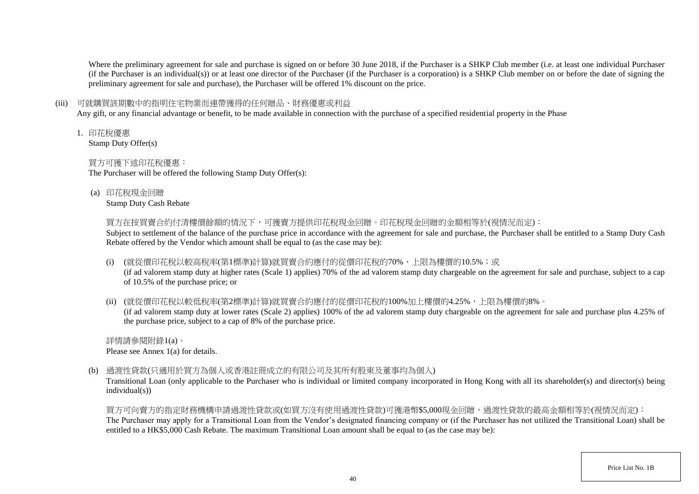Where the preliminary agreement for sale and purchase is signed on or before 30 June 2018, if the Purchaser is a SHKP Club member (i.e. at least one individual Purchaser (if the Purchaser is an individual(s)) or at least one director of the Purchaser (if the Purchaser is a corporation) is a SHKP Club member on or before the date of signing the preliminary agreement for sale and purchase), the Purchaser will be offered 1% discount on the price.

## (iii) 可就購買該期數中的指明住宅物業而連帶獲得的任何贈品、財務優惠或利益

Any gift, or any financial advantage or benefit, to be made available in connection with the purchase of a specified residential property in the Phase

1. 印花稅優惠

Stamp Duty Offer(s)

## 買方可獲下述印花稅優惠:

The Purchaser will be offered the following Stamp Duty Offer(s):

(a) 印花稅現金回贈

Stamp Duty Cash Rebate

買方在按買賣合約付清樓價餘額的情況下,可獲賣方提供印花稅現金回贈。印花稅現金回贈的金額相等於(視情況而定):

Subject to settlement of the balance of the purchase price in accordance with the agreement for sale and purchase, the Purchaser shall be entitled to a Stamp Duty Cash Rebate offered by the Vendor which amount shall be equal to (as the case may be):

(i) (就從價印花稅以較高稅率(第1標準)計算)就買賣合約應付的從價印花稅的70%,上限為樓價的10.5%;或

(if ad valorem stamp duty at higher rates (Scale 1) applies) 70% of the ad valorem stamp duty chargeable on the agreement for sale and purchase, subject to a cap of 10.5% of the purchase price; or

(ii) (就從價印花稅以較低稅率(第2標準)計算)就買賣合約應付的從價印花稅的100%加上樓價的4.25%,上限為樓價的8%。

(if ad valorem stamp duty at lower rates (Scale 2) applies) 100% of the ad valorem stamp duty chargeable on the agreement for sale and purchase plus 4.25% of the purchase price, subject to a cap of 8% of the purchase price.

詳情請參閱附錄1(a)。 Please see Annex 1(a) for details.

(b) 過渡性貸款(只適用於買方為個人或香港註冊成立的有限公司及其所有股東及董事均為個人)

Transitional Loan (only applicable to the Purchaser who is individual or limited company incorporated in Hong Kong with all its shareholder(s) and director(s) being individual(s))

買方可向賣方的指定財務機構申請過渡性貸款或(如買方沒有使用過渡性貸款)可獲港幣\$5,000現金回贈,過渡性貸款的最高金額相等於(視情況而定): The Purchaser may apply for a Transitional Loan from the Vendor's designated financing company or (if the Purchaser has not utilized the Transitional Loan) shall be entitled to a HK\$5,000 Cash Rebate. The maximum Transitional Loan amount shall be equal to (as the case may be):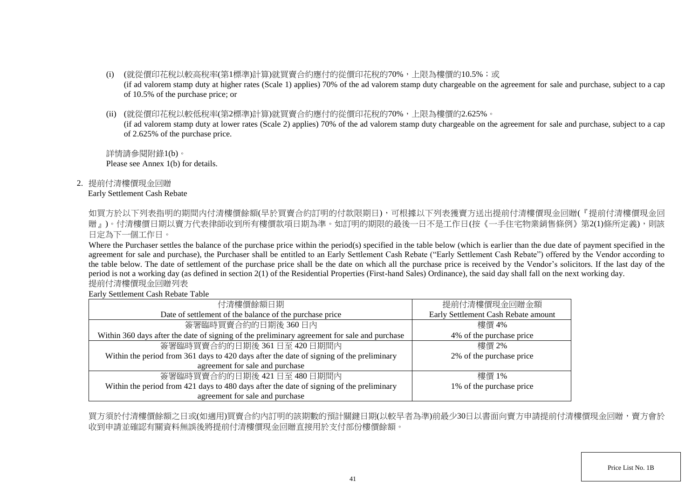- (i) (就從價印花稅以較高稅率(第1標準)計算)就買賣合約應付的從價印花稅的70%,上限為樓價的10.5%;或 (if ad valorem stamp duty at higher rates (Scale 1) applies) 70% of the ad valorem stamp duty chargeable on the agreement for sale and purchase, subject to a cap of 10.5% of the purchase price; or
- (ii) (就從價印花稅以較低稅率(第2標準)計算)就買賣合約應付的從價印花稅的70%,上限為樓價的2.625%。

(if ad valorem stamp duty at lower rates (Scale 2) applies) 70% of the ad valorem stamp duty chargeable on the agreement for sale and purchase, subject to a cap of 2.625% of the purchase price.

詳情請參閱附錄1(b)。 Please see Annex 1(b) for details.

2. 提前付清樓價現金回贈

### Early Settlement Cash Rebate

如買方於以下列表指明的期間内付清樓價餘額(早於買賣合約訂明的付款限期日),可根據以下列表獲賣方送出提前付清樓價現金回贈(『提前付清樓價現金回 贈」)。付清樓價日期以賣方代表律師收到所有樓價款項日期為準。如訂明的期限的最後一日不是工作日(按《一手住宅物業銷售條例》第2(1)條所定義),則該 日定為下一個工作日。

Where the Purchaser settles the balance of the purchase price within the period(s) specified in the table below (which is earlier than the due date of payment specified in the agreement for sale and purchase), the Purchaser shall be entitled to an Early Settlement Cash Rebate ("Early Settlement Cash Rebate") offered by the Vendor according to the table below. The date of settlement of the purchase price shall be the date on which all the purchase price is received by the Vendor's solicitors. If the last day of the period is not a working day (as defined in section 2(1) of the Residential Properties (First-hand Sales) Ordinance), the said day shall fall on the next working day. 提前付清樓價現金回贈列表

Early Settlement Cash Rebate Table

| 付清樓價餘額日期                                                                                     | 提前付清樓價現金回贈金額                        |
|----------------------------------------------------------------------------------------------|-------------------------------------|
| Date of settlement of the balance of the purchase price                                      | Early Settlement Cash Rebate amount |
| 簽署臨時買賣合約的日期後360日內                                                                            | 樓價 4%                               |
| Within 360 days after the date of signing of the preliminary agreement for sale and purchase | 4% of the purchase price            |
| 簽署臨時買賣合約的日期後 361日至 420日期間内                                                                   | 樓價 2%                               |
| Within the period from 361 days to 420 days after the date of signing of the preliminary     | 2% of the purchase price            |
| agreement for sale and purchase                                                              |                                     |
| 簽署臨時買賣合約的日期後 421日至 480日期間内                                                                   | 樓價 1%                               |
| Within the period from 421 days to 480 days after the date of signing of the preliminary     | 1% of the purchase price            |
| agreement for sale and purchase                                                              |                                     |

買方須於付清樓價餘額之日或(如適用)買賣合約內訂明的該期數的預計關鍵日期(以較早者為準)前最少30日以書面向賣方申請提前付清樓價現金回贈,賣方會於 收到申請並確認有關資料無誤後將提前付清樓價現金回贈直接用於支付部份樓價餘額。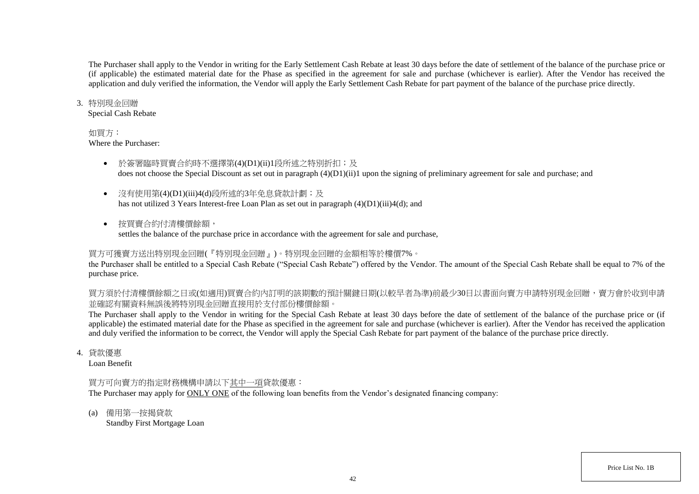The Purchaser shall apply to the Vendor in writing for the Early Settlement Cash Rebate at least 30 days before the date of settlement of the balance of the purchase price or (if applicable) the estimated material date for the Phase as specified in the agreement for sale and purchase (whichever is earlier). After the Vendor has received the application and duly verified the information, the Vendor will apply the Early Settlement Cash Rebate for part payment of the balance of the purchase price directly.

#### 3. 特別現金回贈

Special Cash Rebate

### 如買方:

Where the Purchaser:

- 於簽署臨時買賣合約時不選擇第(4)(D1)(ii)1段所述之特別折扣;及 does not choose the Special Discount as set out in paragraph (4)(D1)(ii)1 upon the signing of preliminary agreement for sale and purchase; and
- 沒有使用第(4)(D1)(iii)4(d)段所述的3年免息貸款計劃;及 has not utilized 3 Years Interest-free Loan Plan as set out in paragraph (4)(D1)(iii)4(d); and
- 按買賣合約付清樓價餘額, settles the balance of the purchase price in accordance with the agreement for sale and purchase,

## 買方可獲賣方送出特別現金回贈(『特別現金回贈』)。特別現金回贈的金額相等於樓價7%。

the Purchaser shall be entitled to a Special Cash Rebate ("Special Cash Rebate") offered by the Vendor. The amount of the Special Cash Rebate shall be equal to 7% of the purchase price.

買方須於付清樓價餘額之日或(如適用)買賣合約內訂明的該期數的預計關鍵日期(以較早者為準)前最少30日以書面向賣方申請特別現金回贈,賣方會於收到申請 並確認有關資料無誤後將特別現金回贈直接用於支付部份樓價餘額。

The Purchaser shall apply to the Vendor in writing for the Special Cash Rebate at least 30 days before the date of settlement of the balance of the purchase price or (if applicable) the estimated material date for the Phase as specified in the agreement for sale and purchase (whichever is earlier). After the Vendor has received the application and duly verified the information to be correct, the Vendor will apply the Special Cash Rebate for part payment of the balance of the purchase price directly.

4. 貸款優惠

Loan Benefit

## 買方可向賣方的指定財務機構申請以下其中一項貸款優惠:

The Purchaser may apply for ONLY ONE of the following loan benefits from the Vendor's designated financing company:

(a) 備用第一按揭貸款

Standby First Mortgage Loan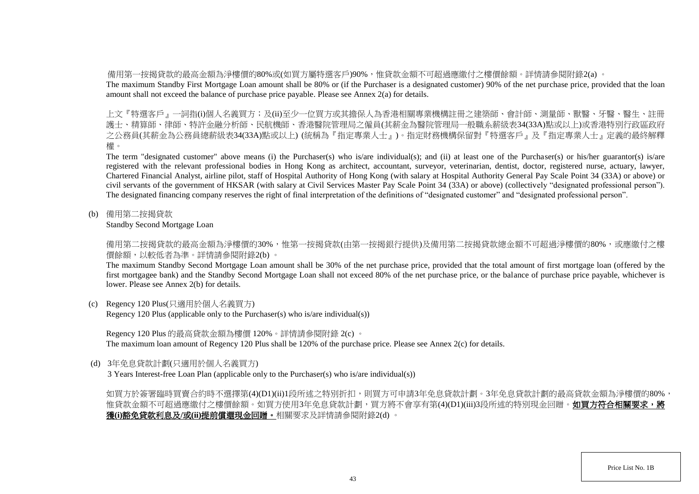備用第一按揭貸款的最高金額為淨樓價的80%或(如買方屬特選客戶)90%,惟貸款金額不可超過應繳付之樓價餘額。詳情請參閱附錄2(a) 。

The maximum Standby First Mortgage Loan amount shall be 80% or (if the Purchaser is a designated customer) 90% of the net purchase price, provided that the loan amount shall not exceed the balance of purchase price payable. Please see Annex 2(a) for details.

上文『特選客戶』一詞指(i)個人名義買方;及(ii)至少一位買方或其擔保人為香港相關專業機構註冊之建築師、會計師、測量師、獸醫、牙醫、醫生、註冊 護士、精算師、律師、特許金融分析師、民航機師、香港醫院管理局之僱員(其薪金為醫院管理局一般職系薪級表34(33A)點或以上)或香港特別行政區政府 之公務員(其薪金為公務員總薪級表34(33A)點或以上) (統稱為『指定專業人士』)。指定財務機構保留對『特選客戶』及『指定專業人士』定義的最終解釋 權。

The term "designated customer" above means (i) the Purchaser(s) who is/are individual(s); and (ii) at least one of the Purchaser(s) or his/her guarantor(s) is/are registered with the relevant professional bodies in Hong Kong as architect, accountant, surveyor, veterinarian, dentist, doctor, registered nurse, actuary, lawyer, Chartered Financial Analyst, airline pilot, staff of Hospital Authority of Hong Kong (with salary at Hospital Authority General Pay Scale Point 34 (33A) or above) or civil servants of the government of HKSAR (with salary at Civil Services Master Pay Scale Point 34 (33A) or above) (collectively "designated professional person"). The designated financing company reserves the right of final interpretation of the definitions of "designated customer" and "designated professional person".

(b) 備用第二按揭貸款

Standby Second Mortgage Loan

備用第二按揭貸款的最高金額為淨樓價的30%,惟第一按揭貸款(由第一按揭銀行提供)及備用第二按揭貸款總金額不可超過淨樓價的80%,或應繳付之樓 價餘額,以較低者為準。詳情請參閱附錄2(b) 。

The maximum Standby Second Mortgage Loan amount shall be 30% of the net purchase price, provided that the total amount of first mortgage loan (offered by the first mortgagee bank) and the Standby Second Mortgage Loan shall not exceed 80% of the net purchase price, or the balance of purchase price payable, whichever is lower. Please see Annex 2(b) for details.

(c) Regency 120 Plus(只適用於個人名義買方)

Regency 120 Plus (applicable only to the Purchaser(s) who is/are individual(s))

Regency 120 Plus 的最高貸款金額為樓價 120%。詳情請參閱附錄 2(c) 。

The maximum loan amount of Regency 120 Plus shall be 120% of the purchase price. Please see Annex 2(c) for details.

(d) 3年免息貸款計劃(只適用於個人名義買方)

3 Years Interest-free Loan Plan (applicable only to the Purchaser(s) who is/are individual(s))

如買方於簽署臨時買賣合約時不選擇第(4)(D1)(ii)1段所述之特別折扣,則買方可申請3年免息貸款計劃。3年免息貸款計劃的最高貸款金額為淨樓價的80%, 惟貸款金額不可超過應繳付之樓價餘額。如買方使用3年免息貸款計劃,買方將不會享有第(4)(D1)(iii)3段所述的特別現金回贈。**如買方符合相關要求,將** 獲**(i)**豁免貸款利息及**/**或**(ii)**提前償還現金回贈。相關要求及詳情請參閱附錄2(d) 。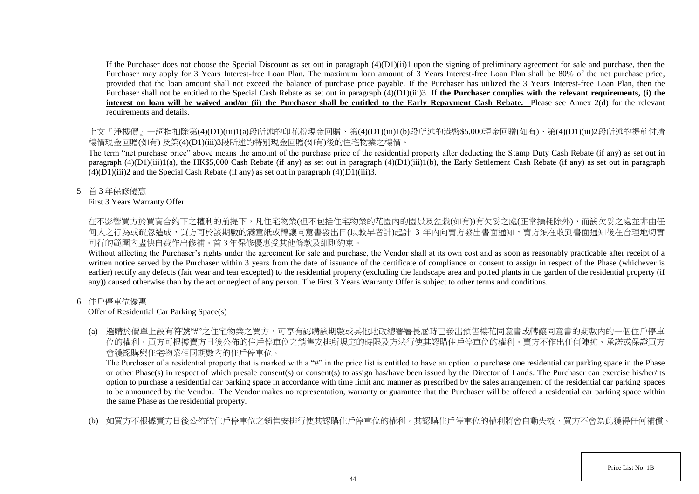If the Purchaser does not choose the Special Discount as set out in paragraph  $(4)(D1)(ii)1$  upon the signing of preliminary agreement for sale and purchase, then the Purchaser may apply for 3 Years Interest-free Loan Plan. The maximum loan amount of 3 Years Interest-free Loan Plan shall be 80% of the net purchase price, provided that the loan amount shall not exceed the balance of purchase price payable. If the Purchaser has utilized the 3 Years Interest-free Loan Plan, then the Purchaser shall not be entitled to the Special Cash Rebate as set out in paragraph (4)(D1)(iii)3. **If the Purchaser complies with the relevant requirements, (i) the** interest on loan will be waived and/or (ii) the Purchaser shall be entitled to the Early Repayment Cash Rebate. Please see Annex 2(d) for the relevant requirements and details.

上文『淨樓價』一詞指扣除第(4)(D1)(iii)1(a)段所述的印花稅現金回贈、第(4)(D1)(iii)1(b)段所述的港幣\$5,000現金回贈(如有)、第(4)(D1)(iii)2段所述的提前付清 樓價現金回贈(如有) 及第(4)(D1)(iii)3段所述的特別現金回贈(如有)後的住宅物業之樓價。

The term "net purchase price" above means the amount of the purchase price of the residential property after deducting the Stamp Duty Cash Rebate (if any) as set out in paragraph  $(4)(D1)(iii)1(a)$ , the HK\$5,000 Cash Rebate (if any) as set out in paragraph  $(4)(D1)(iii)1(b)$ , the Early Settlement Cash Rebate (if any) as set out in paragraph  $(4)(D1)(iii)2$  and the Special Cash Rebate (if any) as set out in paragraph  $(4)(D1)(iii)3$ .

5. 首 3 年保修優惠

## First 3 Years Warranty Offer

在不影響買方於買賣合約下之權利的前提下,凡住宅物業(但不包括住宅物業的花園内的園景及盆栽(如有))有欠妥之處(正常損耗除外),而該欠妥之處並非由任 何人之行為或疏忽造成,買方可於該期數的滿意紙或轉讓同意書發出日(以較早者計)起計 3 年內向賣方發出書面通知,賣方須在收到書面通知後在合理地切實 可行的範圍內盡快自費作出修補。首 3 年保修優惠受其他條款及細則約束。

Without affecting the Purchaser's rights under the agreement for sale and purchase, the Vendor shall at its own cost and as soon as reasonably practicable after receipt of a written notice served by the Purchaser within 3 years from the date of issuance of the certificate of compliance or consent to assign in respect of the Phase (whichever is earlier) rectify any defects (fair wear and tear excepted) to the residential property (excluding the landscape area and potted plants in the garden of the residential property (if any)) caused otherwise than by the act or neglect of any person. The First 3 Years Warranty Offer is subject to other terms and conditions.

# 6. 住戶停車位優惠

# Offer of Residential Car Parking Space(s)

(a) 選購於價單上設有符號"#"之住宅物業之買方,可享有認購該期數或其他地政總署署長屆時已發出預售樓花同意書或轉讓同意書的期數內的一個住戶停車 位的權利。買方可根據賣方日後公佈的住戶停車位之銷售安排所規定的時限及方法行使其認購住戶停車位的權利。賣方不作出任何陳述、承諾或保證買方 會獲認購與住宅物業相同期數內的住戶停車位。

The Purchaser of a residential property that is marked with a "#" in the price list is entitled to have an option to purchase one residential car parking space in the Phase or other Phase(s) in respect of which presale consent(s) or consent(s) to assign has/have been issued by the Director of Lands. The Purchaser can exercise his/her/its option to purchase a residential car parking space in accordance with time limit and manner as prescribed by the sales arrangement of the residential car parking spaces to be announced by the Vendor. The Vendor makes no representation, warranty or guarantee that the Purchaser will be offered a residential car parking space within the same Phase as the residential property.

(b) 如買方不根據賣方日後公佈的住戶停車位之銷售安排行使其認購住戶停車位的權利,其認購住戶停車位的權利將會自動失效,買方不會為此獲得任何補償。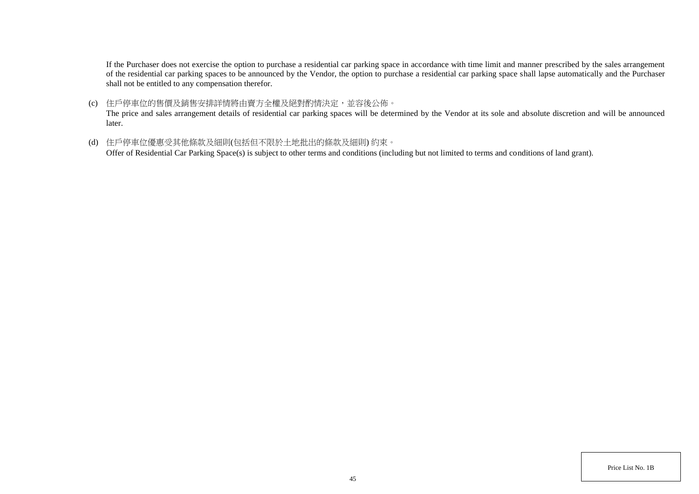If the Purchaser does not exercise the option to purchase a residential car parking space in accordance with time limit and manner prescribed by the sales arrangement of the residential car parking spaces to be announced by the Vendor, the option to purchase a residential car parking space shall lapse automatically and the Purchaser shall not be entitled to any compensation therefor.

(c) 住戶停車位的售價及銷售安排詳情將由賣方全權及絕對酌情決定,並容後公佈。

The price and sales arrangement details of residential car parking spaces will be determined by the Vendor at its sole and absolute discretion and will be announced later.

(d) 住戶停車位優惠受其他條款及細則(包括但不限於土地批出的條款及細則) 約束。

Offer of Residential Car Parking Space(s) is subject to other terms and conditions (including but not limited to terms and conditions of land grant).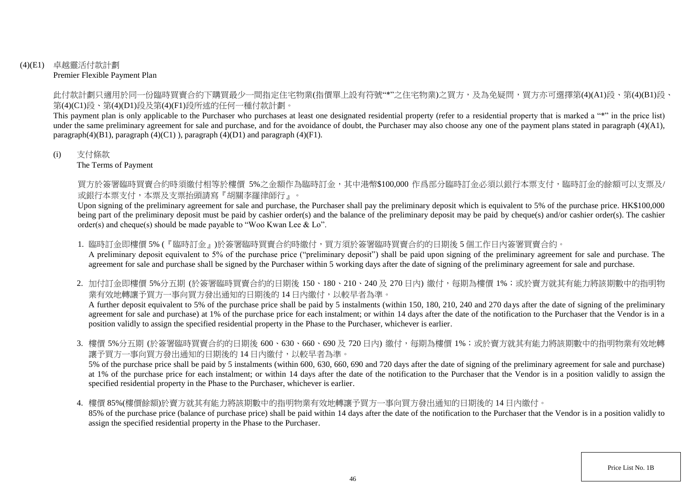## (4)(E1) 卓越靈活付款計劃 Premier Flexible Payment Plan

此付款計劃只適用於同一份臨時買賣合約下購買最少一間指定住宅物業(指價單上設有符號"\*"之住宅物業)之買方,及為免疑問,買方亦可選擇第(4)(A1)段、第(4)(B1)段、 第(4)(C1)段、第(4)(D1)段及第(4)(F1)段所述的任何一種付款計劃。

This payment plan is only applicable to the Purchaser who purchases at least one designated residential property (refer to a residential property that is marked a "\*" in the price list) under the same preliminary agreement for sale and purchase, and for the avoidance of doubt, the Purchaser may also choose any one of the payment plans stated in paragraph (4)(A1), paragraph $(4)(B1)$ , paragraph  $(4)(C1)$ ), paragraph  $(4)(D1)$  and paragraph  $(4)(F1)$ .

### (i) 支付條款

The Terms of Payment

買方於簽署臨時買賣合約時須繳付相等於樓價 5%之金額作為臨時訂金,其中港幣\$100,000 作爲部分臨時訂金必須以銀行本票支付,臨時訂金的餘額可以支票及/ 或銀行本票支付,本票及支票抬頭請寫『胡關李羅律師行』。

Upon signing of the preliminary agreement for sale and purchase, the Purchaser shall pay the preliminary deposit which is equivalent to 5% of the purchase price. HK\$100,000 being part of the preliminary deposit must be paid by cashier order(s) and the balance of the preliminary deposit may be paid by cheque(s) and/or cashier order(s). The cashier order(s) and cheque(s) should be made payable to "Woo Kwan Lee & Lo".

1. 臨時訂金即樓價 5% (『臨時訂金』)於簽署臨時買賣合約時繳付,買方須於簽署臨時買賣合約的日期後 5 個工作日内簽署買賣合約。

A preliminary deposit equivalent to 5% of the purchase price ("preliminary deposit") shall be paid upon signing of the preliminary agreement for sale and purchase. The agreement for sale and purchase shall be signed by the Purchaser within 5 working days after the date of signing of the preliminary agreement for sale and purchase.

2. 加付訂金即樓價 5%分五期 (於簽署臨時買賣合約的日期後 150、180、210、240及 270日內) 繳付,每期為樓價 1%;或於賣方就其有能力將該期數中的指明物 業有效地轉讓予買方一事向買方發出通知的日期後的 14 日内繳付,以較早者為準。

A further deposit equivalent to 5% of the purchase price shall be paid by 5 instalments (within 150, 180, 210, 240 and 270 days after the date of signing of the preliminary agreement for sale and purchase) at 1% of the purchase price for each instalment; or within 14 days after the date of the notification to the Purchaser that the Vendor is in a position validly to assign the specified residential property in the Phase to the Purchaser, whichever is earlier.

3. 樓價 5%分五期 (於簽署臨時買賣合約的日期後 600、630、660、690 及 720 日內) 繳付,每期為樓價 1%;或於賣方就其有能力將該期數中的指明物業有效地轉 讓予買方一事向買方發出通知的日期後的 14 日內繳付,以較早者為準。

5% of the purchase price shall be paid by 5 instalments (within 600, 630, 660, 690 and 720 days after the date of signing of the preliminary agreement for sale and purchase) at 1% of the purchase price for each instalment; or within 14 days after the date of the notification to the Purchaser that the Vendor is in a position validly to assign the specified residential property in the Phase to the Purchaser, whichever is earlier.

4. 樓價 85%(樓價餘額)於賣方就其有能力將該期數中的指明物業有效地轉讓予買方一事向買方發出通知的日期後的 14 日內繳付。

85% of the purchase price (balance of purchase price) shall be paid within 14 days after the date of the notification to the Purchaser that the Vendor is in a position validly to assign the specified residential property in the Phase to the Purchaser.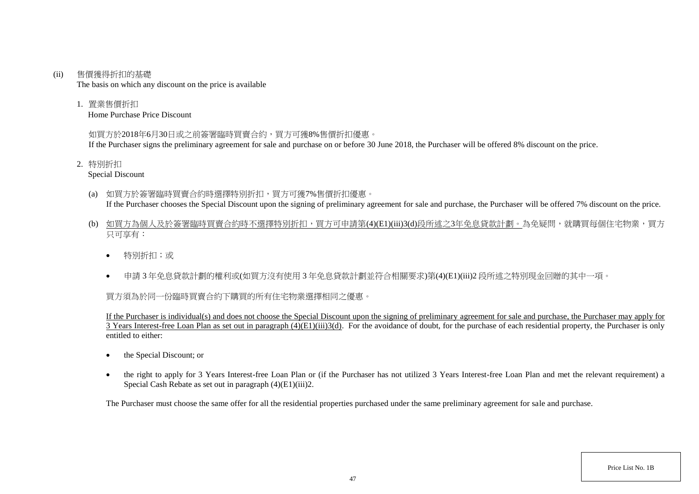#### (ii) 售價獲得折扣的基礎

The basis on which any discount on the price is available

1. 置業售價折扣

Home Purchase Price Discount

## 如買方於2018年6月30日或之前簽署臨時買賣合約,買方可獲8%售價折扣優惠。

If the Purchaser signs the preliminary agreement for sale and purchase on or before 30 June 2018, the Purchaser will be offered 8% discount on the price.

2. 特別折扣

Special Discount

- (a) 如買方於簽署臨時買賣合約時選擇特別折扣,買方可獲7%售價折扣優惠。 If the Purchaser chooses the Special Discount upon the signing of preliminary agreement for sale and purchase, the Purchaser will be offered 7% discount on the price.
- (b) 如買方為個人及於簽署臨時買賣合約時不選擇特別折扣,買方可申請第(4)(E1)(iii)3(d)段所述之3年免息貸款計劃。為免疑問,就購買每個住宅物業,買方 只可享有:
	- 特別折扣;或
	- 申請 3 年免息貸款計劃的權利或(如買方沒有使用 3 年免息貸款計劃並符合相關要求)第(4)(E1)(iii)2 段所述之特別現金回贈的其中一項。

# 買方須為於同一份臨時買賣合約下購買的所有住宅物業選擇相同之優惠。

If the Purchaser is individual(s) and does not choose the Special Discount upon the signing of preliminary agreement for sale and purchase, the Purchaser may apply for  $\overline{3}$  Years Interest-free Loan Plan as set out in paragraph (4)(E1)(iii)3(d). For the avoidance of doubt, for the purchase of each residential property, the Purchaser is only entitled to either:

- the Special Discount: or
- the right to apply for 3 Years Interest-free Loan Plan or (if the Purchaser has not utilized 3 Years Interest-free Loan Plan and met the relevant requirement) a Special Cash Rebate as set out in paragraph (4)(E1)(iii)2.

The Purchaser must choose the same offer for all the residential properties purchased under the same preliminary agreement for sale and purchase.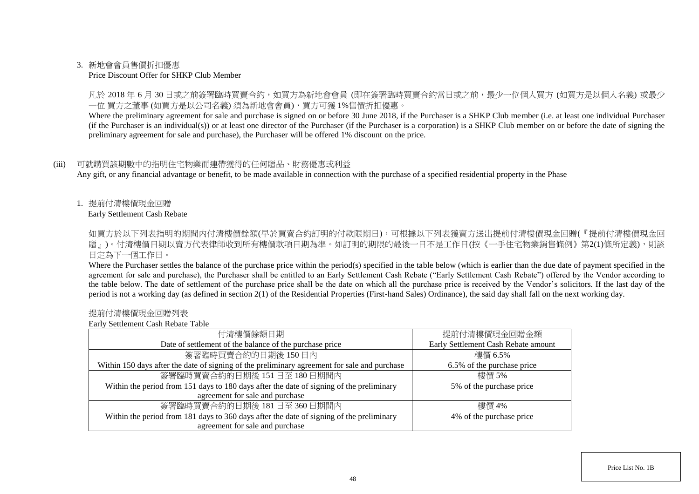### 3. 新地會會員售價折扣優惠

#### Price Discount Offer for SHKP Club Member

凡於 2018 年 6 月 30 日或之前簽署臨時買賣合約,如買方為新地會會員 (即在簽署臨時買賣合約當日或之前,最少一位個人買方 (如買方是以個人名義) 或最少 一位 買方之董事 (如買方是以公司名義) 須為新地會會員),買方可獲 1%售價折扣優惠。

Where the preliminary agreement for sale and purchase is signed on or before 30 June 2018, if the Purchaser is a SHKP Club member (i.e. at least one individual Purchaser (if the Purchaser is an individual(s)) or at least one director of the Purchaser (if the Purchaser is a corporation) is a SHKP Club member on or before the date of signing the preliminary agreement for sale and purchase), the Purchaser will be offered 1% discount on the price.

### (iii) 可就購買該期數中的指明住宅物業而連帶獲得的任何贈品、財務優惠或利益

Any gift, or any financial advantage or benefit, to be made available in connection with the purchase of a specified residential property in the Phase

1. 提前付清樓價現金回贈

Early Settlement Cash Rebate

如買方於以下列表指明的期間内付清樓價餘額(早於買賣合約訂明的付款限期日),可根據以下列表獲賣方送出提前付清樓價現金回贈(『提前付清樓價現金回 贈』)。付清樓價日期以賣方代表律師收到所有樓價款項日期為準。如訂明的期限的最後一日不是工作日(按《一手住宅物業銷售條例》第2(1)條所定義),則該 日定為下一個工作日。

Where the Purchaser settles the balance of the purchase price within the period(s) specified in the table below (which is earlier than the due date of payment specified in the agreement for sale and purchase), the Purchaser shall be entitled to an Early Settlement Cash Rebate ("Early Settlement Cash Rebate") offered by the Vendor according to the table below. The date of settlement of the purchase price shall be the date on which all the purchase price is received by the Vendor's solicitors. If the last day of the period is not a working day (as defined in section 2(1) of the Residential Properties (First-hand Sales) Ordinance), the said day shall fall on the next working day.

#### 提前付清樓價現金回贈列表

Early Settlement Cash Rebate Table

| 付清樓價餘額日期                                                                                     | 提前付清樓價現金回贈金額                        |  |
|----------------------------------------------------------------------------------------------|-------------------------------------|--|
| Date of settlement of the balance of the purchase price                                      | Early Settlement Cash Rebate amount |  |
| 簽署臨時買賣合約的日期後150日內                                                                            | 樓價 6.5%                             |  |
| Within 150 days after the date of signing of the preliminary agreement for sale and purchase | 6.5% of the purchase price          |  |
| 簽署臨時買賣合約的日期後 151日至 180日期間內                                                                   | 樓價 5%                               |  |
| Within the period from 151 days to 180 days after the date of signing of the preliminary     | 5% of the purchase price            |  |
| agreement for sale and purchase                                                              |                                     |  |
| 簽署臨時買賣合約的日期後 181日至 360日期間內                                                                   | 樓價 4%                               |  |
| Within the period from 181 days to 360 days after the date of signing of the preliminary     | 4% of the purchase price            |  |
| agreement for sale and purchase                                                              |                                     |  |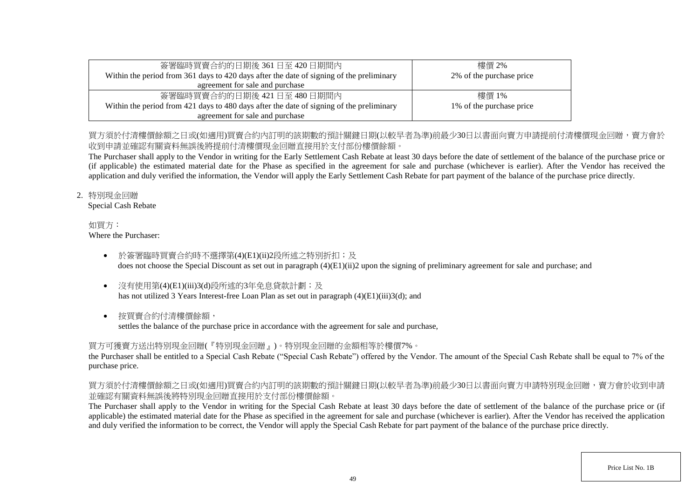| 簽署臨時買賣合約的日期後 361 日至 420 日期間內                                                             | 樓價 2%                    |
|------------------------------------------------------------------------------------------|--------------------------|
| Within the period from 361 days to 420 days after the date of signing of the preliminary | 2% of the purchase price |
| agreement for sale and purchase                                                          |                          |
| 簽署臨時買賣合約的日期後 421日至 480日期間内                                                               | 樓價 1%                    |
| Within the period from 421 days to 480 days after the date of signing of the preliminary | 1% of the purchase price |
| agreement for sale and purchase                                                          |                          |

# 買方須於付清樓價餘額之日或(如適用)買賣合約內訂明的該期數的預計關鍵日期(以較早者為進)前最少30日以書面向賣方申請提前付清樓價現金回贈,賣方會於 收到申請並確認有關資料無誤後將提前付清樓價現金回贈直接用於支付部份樓價餘額。

The Purchaser shall apply to the Vendor in writing for the Early Settlement Cash Rebate at least 30 days before the date of settlement of the balance of the purchase price or (if applicable) the estimated material date for the Phase as specified in the agreement for sale and purchase (whichever is earlier). After the Vendor has received the application and duly verified the information, the Vendor will apply the Early Settlement Cash Rebate for part payment of the balance of the purchase price directly.

## 2. 特別現金回贈

Special Cash Rebate

#### 如買方: Where the Purchaser:

- 於簽署臨時買賣合約時不選擇第(4)(E1)(ii)2段所述之特別折扣;及 does not choose the Special Discount as set out in paragraph (4)(E1)(ii)2 upon the signing of preliminary agreement for sale and purchase; and
- 沒有使用第(4)(E1)(iii)3(d)段所述的3年免息貸款計劃;及 has not utilized 3 Years Interest-free Loan Plan as set out in paragraph (4)(E1)(iii)3(d); and
- 按買賣合約付清樓價餘額,

settles the balance of the purchase price in accordance with the agreement for sale and purchase,

# 買方可獲賣方送出特別現金回贈(『特別現金回贈』)。特別現金回贈的金額相等於樓價7%。

the Purchaser shall be entitled to a Special Cash Rebate ("Special Cash Rebate") offered by the Vendor. The amount of the Special Cash Rebate shall be equal to 7% of the purchase price.

# 買方須於付清樓價餘額之日或(如適用)買賣合約內訂明的該期數的預計關鍵日期(以較早者為準)前最少30日以書面向賣方申請特別現金回贈,賣方會於收到申請 並確認有關資料無誤後將特別現金回贈直接用於支付部份樓價餘額。

The Purchaser shall apply to the Vendor in writing for the Special Cash Rebate at least 30 days before the date of settlement of the balance of the purchase price or (if applicable) the estimated material date for the Phase as specified in the agreement for sale and purchase (whichever is earlier). After the Vendor has received the application and duly verified the information to be correct, the Vendor will apply the Special Cash Rebate for part payment of the balance of the purchase price directly.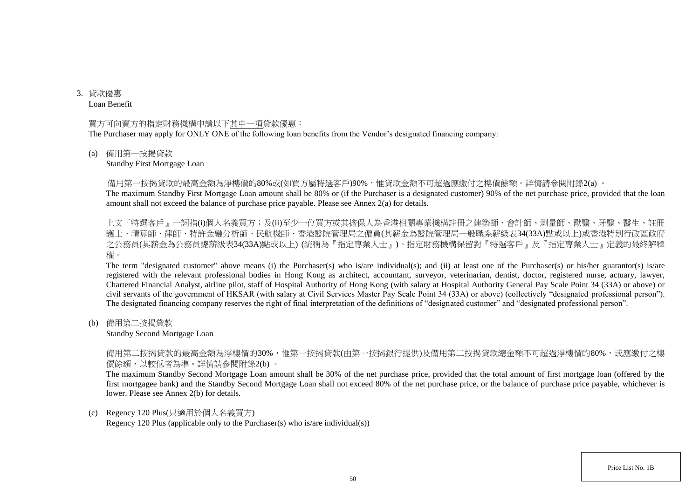3. 貸款優惠 Loan Benefit

#### 買方可向賣方的指定財務機構申請以下其中一項貸款優惠:

The Purchaser may apply for ONLY ONE of the following loan benefits from the Vendor's designated financing company:

#### (a) 備用第一按揭貸款

#### Standby First Mortgage Loan

備用第一按揭貸款的最高金額為淨樓價的80%或(如買方屬特選客戶)90%,惟貸款金額不可超過應繳付之樓價餘額。詳情請參閱附錄2(a) 。

The maximum Standby First Mortgage Loan amount shall be 80% or (if the Purchaser is a designated customer) 90% of the net purchase price, provided that the loan amount shall not exceed the balance of purchase price payable. Please see Annex 2(a) for details.

上文『特選客戶』一詞指(i)個人名義買方;及(ii)至少一位買方或其擔保人為香港相關專業機構註冊之建築師、會計師、測量師、獸醫、牙醫、醫生、註冊 護士、精算師、律師、特許金融分析師、民航機師、香港醫院管理局之僱員(其薪金為醫院管理局一般職系薪級表34(33A)點或以上)或香港特別行政區政府 之公務員(其薪金為公務員總薪級表34(33A)點或以上) (統稱為『指定專業人士』)。指定財務機構保留對『特選客戶』及『指定專業人士』定義的最終解釋 權。

The term "designated customer" above means (i) the Purchaser(s) who is/are individual(s); and (ii) at least one of the Purchaser(s) or his/her guarantor(s) is/are registered with the relevant professional bodies in Hong Kong as architect, accountant, surveyor, veterinarian, dentist, doctor, registered nurse, actuary, lawyer, Chartered Financial Analyst, airline pilot, staff of Hospital Authority of Hong Kong (with salary at Hospital Authority General Pay Scale Point 34 (33A) or above) or civil servants of the government of HKSAR (with salary at Civil Services Master Pay Scale Point 34 (33A) or above) (collectively "designated professional person"). The designated financing company reserves the right of final interpretation of the definitions of "designated customer" and "designated professional person".

(b) 備用第二按揭貸款

#### Standby Second Mortgage Loan

備用第二按揭貸款的最高金額為淨樓價的30%,惟第一按揭貸款(由第一按揭銀行提供)及備用第二按揭貸款總金額不可超過淨樓價的80%,或應繳付之樓 價餘額,以較低者為準。詳情請參閱附錄2(b) 。

The maximum Standby Second Mortgage Loan amount shall be 30% of the net purchase price, provided that the total amount of first mortgage loan (offered by the first mortgagee bank) and the Standby Second Mortgage Loan shall not exceed 80% of the net purchase price, or the balance of purchase price payable, whichever is lower. Please see Annex 2(b) for details.

#### (c) Regency 120 Plus(只適用於個人名義買方)

Regency 120 Plus (applicable only to the Purchaser(s) who is/are individual(s))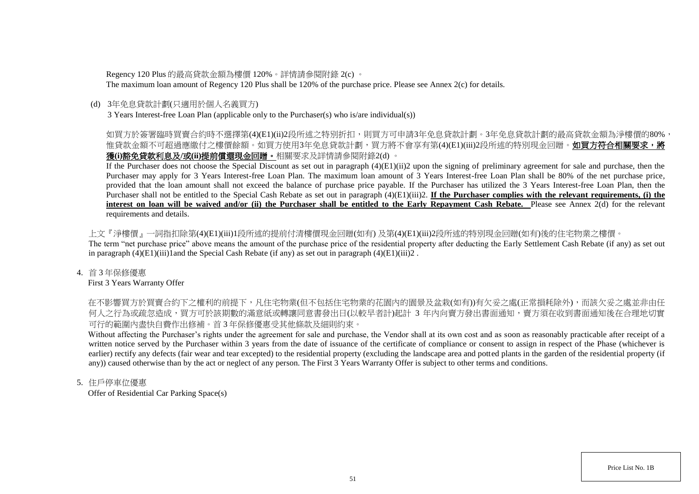Regency 120 Plus 的最高貸款金額為樓價 120%。詳情請參閱附錄 2(c) 。

The maximum loan amount of Regency 120 Plus shall be 120% of the purchase price. Please see Annex 2(c) for details.

## (d) 3年免息貸款計劃(只適用於個人名義買方)

3 Years Interest-free Loan Plan (applicable only to the Purchaser(s) who is/are individual(s))

# 如買方於簽署臨時買賣合約時不選擇第(4)(E1)(ii)2段所述之特別折扣,則買方可申請3年免息貸款計劃。3年免息貸款計劃的最高貸款金額為淨樓價的80%, 惟貸款金額不可超過應繳付之樓價餘額。如買方使用3年免息貸款計劃,買方將不會享有第(4)(E1)(iii)2段所述的特別現金回贈。**如買方符合相關要求,將** 獲**(i)**豁免貸款利息及**/**或**(ii)**提前償還現金回贈。相關要求及詳情請參閱附錄2(d) 。

If the Purchaser does not choose the Special Discount as set out in paragraph (4)(E1)(ii)2 upon the signing of preliminary agreement for sale and purchase, then the Purchaser may apply for 3 Years Interest-free Loan Plan. The maximum loan amount of 3 Years Interest-free Loan Plan shall be 80% of the net purchase price, provided that the loan amount shall not exceed the balance of purchase price payable. If the Purchaser has utilized the 3 Years Interest-free Loan Plan, then the Purchaser shall not be entitled to the Special Cash Rebate as set out in paragraph  $(4)(E1)(iii)2$ . **If the Purchaser complies with the relevant requirements, (i) the interest on loan will be waived and/or (ii) the Purchaser shall be entitled to the Early Repayment Cash Rebate.** Please see Annex 2(d) for the relevant requirements and details.

上文『淨樓價』一詞指扣除第(4)(E1)(iii)1段所述的提前付清樓價現金回贈(如有) 及第(4)(E1)(iii)2段所述的特別現金回贈(如有)後的住宅物業之樓價。 The term "net purchase price" above means the amount of the purchase price of the residential property after deducting the Early Settlement Cash Rebate (if any) as set out in paragraph  $(4)(E1)(iii)1$  and the Special Cash Rebate (if any) as set out in paragraph  $(4)(E1)(iii)2$ .

## 4. 首 3 年保修優惠

First 3 Years Warranty Offer

在不影響買方於買賣合約下之權利的前提下,凡住宅物業(但不包括住宅物業的花園內的園景及盆栽(如有))有欠妥之處(正常損耗除外),而該欠妥之處並非由任 何人之行為或疏忽造成,買方可於該期數的滿意紙或轉讓同意書發出日(以較早者計)起計 3 年内向賣方發出書面通知,賣方須在收到書面通知後在合理地切實 可行的範圍內盡快自費作出修補。首 3 年保修優惠受其他條款及細則約束。

Without affecting the Purchaser's rights under the agreement for sale and purchase, the Vendor shall at its own cost and as soon as reasonably practicable after receipt of a written notice served by the Purchaser within 3 years from the date of issuance of the certificate of compliance or consent to assign in respect of the Phase (whichever is earlier) rectify any defects (fair wear and tear excepted) to the residential property (excluding the landscape area and potted plants in the garden of the residential property (if any)) caused otherwise than by the act or neglect of any person. The First 3 Years Warranty Offer is subject to other terms and conditions.

## 5. 住戶停車位優惠

Offer of Residential Car Parking Space(s)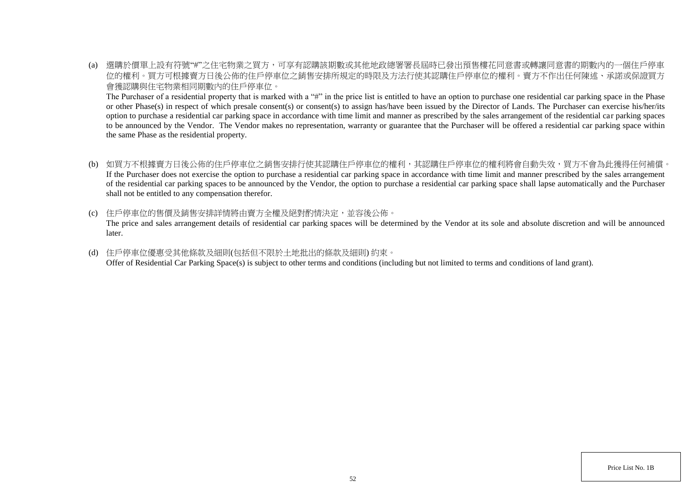(a) 選購於價單上設有符號"#"之住宅物業之買方,可享有認購該期數或其他地政總署署長屆時已發出預售樓花同意書或轉讓同意書的期數內的一個住戶停車 位的權利。買方可根據賣方日後公佈的住戶停車位之銷售安排所規定的時限及方法行使其認購住戶停車位的權利。賣方不作出任何陳述、承諾或保證買方 會獲認購與住宅物業相同期數內的住戶停車位。

The Purchaser of a residential property that is marked with a "#" in the price list is entitled to have an option to purchase one residential car parking space in the Phase or other Phase(s) in respect of which presale consent(s) or consent(s) to assign has/have been issued by the Director of Lands. The Purchaser can exercise his/her/its option to purchase a residential car parking space in accordance with time limit and manner as prescribed by the sales arrangement of the residential car parking spaces to be announced by the Vendor. The Vendor makes no representation, warranty or guarantee that the Purchaser will be offered a residential car parking space within the same Phase as the residential property.

- (b) 如買方不根據賣方日後公佈的住戶停車位之銷售安排行使其認購住戶停車位的權利,其認購住戶停車位的權利將會自動失效,買方不會為此獲得任何補償。 If the Purchaser does not exercise the option to purchase a residential car parking space in accordance with time limit and manner prescribed by the sales arrangement of the residential car parking spaces to be announced by the Vendor, the option to purchase a residential car parking space shall lapse automatically and the Purchaser shall not be entitled to any compensation therefor.
- (c) 住戶停車位的售價及銷售安排詳情將由賣方全權及絕對酌情決定,並容後公佈。

The price and sales arrangement details of residential car parking spaces will be determined by the Vendor at its sole and absolute discretion and will be announced later.

(d) 住戶停車位優惠受其他條款及細則(包括但不限於土地批出的條款及細則) 約束。 Offer of Residential Car Parking Space(s) is subject to other terms and conditions (including but not limited to terms and conditions of land grant).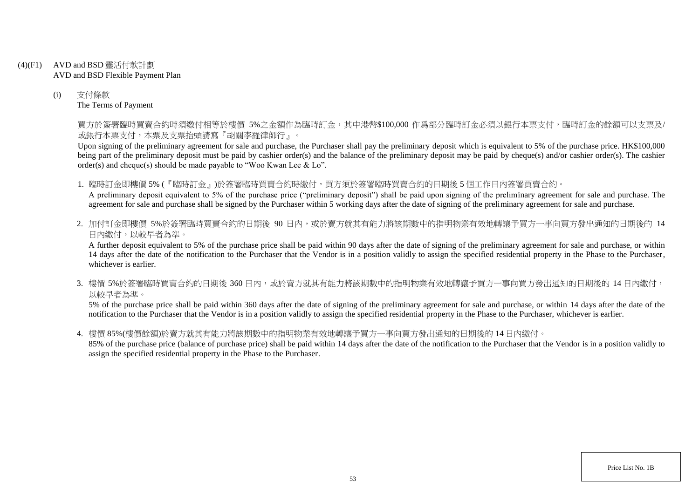- (4)(F1) AVD and BSD 靈活付款計劃 AVD and BSD Flexible Payment Plan
	- (i) 支付條款 The Terms of Payment

買方於簽署臨時買賣合約時須繳付相等於樓價 5%之金額作為臨時訂金,其中港幣\$100,000 作爲部分臨時訂金必須以銀行本票支付,臨時訂金的餘額可以支票及/ 或銀行本票支付,本票及支票抬頭請寫『胡關李羅律師行』。

Upon signing of the preliminary agreement for sale and purchase, the Purchaser shall pay the preliminary deposit which is equivalent to 5% of the purchase price. HK\$100,000 being part of the preliminary deposit must be paid by cashier order(s) and the balance of the preliminary deposit may be paid by cheque(s) and/or cashier order(s). The cashier order(s) and cheque(s) should be made payable to "Woo Kwan Lee & Lo".

1. 臨時訂金即樓價 5% (『臨時訂金』)於簽署臨時買賣合約時繳付,買方須於簽署臨時買賣合約的日期後 5 個工作日內簽署買賣合約。

A preliminary deposit equivalent to 5% of the purchase price ("preliminary deposit") shall be paid upon signing of the preliminary agreement for sale and purchase. The agreement for sale and purchase shall be signed by the Purchaser within 5 working days after the date of signing of the preliminary agreement for sale and purchase.

2. 加付訂金即樓價 5%於簽署臨時買賣合約的日期後 90 日内,或於賣方就其有能力將該期數中的指明物業有效地轉讓予買方一事向買方發出通知的日期後的 14 日內繳付,以較早者為準。

A further deposit equivalent to 5% of the purchase price shall be paid within 90 days after the date of signing of the preliminary agreement for sale and purchase, or within 14 days after the date of the notification to the Purchaser that the Vendor is in a position validly to assign the specified residential property in the Phase to the Purchaser, whichever is earlier.

3. 樓價 5%於簽署臨時買賣合約的日期後 360 日内,或於賣方就其有能力將該期數中的指明物業有效地轉讓予買方一事向買方發出通知的日期後的 14 日內繳付, 以較早者為準。

5% of the purchase price shall be paid within 360 days after the date of signing of the preliminary agreement for sale and purchase, or within 14 days after the date of the notification to the Purchaser that the Vendor is in a position validly to assign the specified residential property in the Phase to the Purchaser, whichever is earlier.

4. 樓價 85%(樓價餘額)於賣方就其有能力將該期數中的指明物業有效地轉讓予買方一事向買方發出通知的日期後的 14 日內繳付。

85% of the purchase price (balance of purchase price) shall be paid within 14 days after the date of the notification to the Purchaser that the Vendor is in a position validly to assign the specified residential property in the Phase to the Purchaser.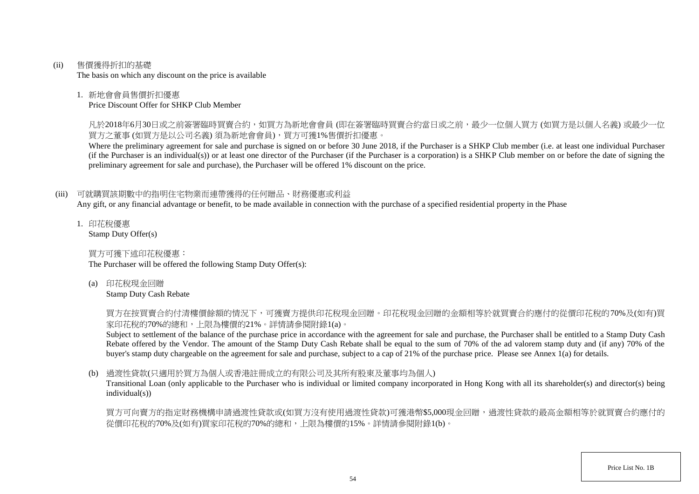(ii) 售價獲得折扣的基礎

The basis on which any discount on the price is available

## 1. 新地會會員售價折扣優惠

Price Discount Offer for SHKP Club Member

凡於2018年6月30日或之前簽署臨時買賣合約,如買方為新地會會員 (即在簽署臨時買賣合約當日或之前,最少一位個人買方 (如買方是以個人名義) 或最少一位 買方之董事 (如買方是以公司名義) 須為新地會會員),買方可獲1%售價折扣優惠。

Where the preliminary agreement for sale and purchase is signed on or before 30 June 2018, if the Purchaser is a SHKP Club member (i.e. at least one individual Purchaser (if the Purchaser is an individual(s)) or at least one director of the Purchaser (if the Purchaser is a corporation) is a SHKP Club member on or before the date of signing the preliminary agreement for sale and purchase), the Purchaser will be offered 1% discount on the price.

# (iii) 可就購買該期數中的指明住宅物業而連帶獲得的任何贈品、財務優惠或利益

Any gift, or any financial advantage or benefit, to be made available in connection with the purchase of a specified residential property in the Phase

1. 印花稅優惠 Stamp Duty Offer(s)

買方可獲下述印花稅優惠:

The Purchaser will be offered the following Stamp Duty Offer(s):

(a) 印花稅現金回贈

Stamp Duty Cash Rebate

買方在按買賣合約付清樓價餘額的情況下,可獲賣方提供印花稅現金回贈。印花稅現金回贈的金額相等於就買賣合約應付的從價印花稅的70%及(如有)買 家印花稅的70%的總和,上限為樓價的21%。詳情請參閱附錄1(a)。

Subject to settlement of the balance of the purchase price in accordance with the agreement for sale and purchase, the Purchaser shall be entitled to a Stamp Duty Cash Rebate offered by the Vendor. The amount of the Stamp Duty Cash Rebate shall be equal to the sum of 70% of the ad valorem stamp duty and (if any) 70% of the buyer's stamp duty chargeable on the agreement for sale and purchase, subject to a cap of 21% of the purchase price. Please see Annex 1(a) for details.

# (b) 過渡性貸款(只適用於買方為個人或香港註冊成立的有限公司及其所有股東及董事均為個人)

Transitional Loan (only applicable to the Purchaser who is individual or limited company incorporated in Hong Kong with all its shareholder(s) and director(s) being individual(s))

買方可向賣方的指定財務機構申請過渡性貸款或(如買方沒有使用過渡性貸款)可獲港幣\$5,000現金回贈,過渡性貸款的最高金額相等於就買賣合約應付的 從價印花稅的70%及(如有)買家印花稅的70%的總和,上限為樓價的15%。詳情請參閱附錄1(b)。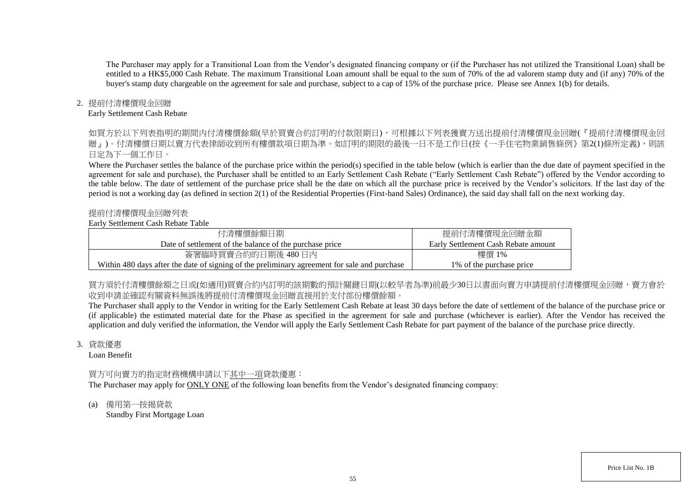The Purchaser may apply for a Transitional Loan from the Vendor's designated financing company or (if the Purchaser has not utilized the Transitional Loan) shall be entitled to a HK\$5,000 Cash Rebate. The maximum Transitional Loan amount shall be equal to the sum of 70% of the ad valorem stamp duty and (if any) 70% of the buyer's stamp duty chargeable on the agreement for sale and purchase, subject to a cap of 15% of the purchase price. Please see Annex 1(b) for details.

## 2. 提前付清樓價現金回贈

#### Early Settlement Cash Rebate

如買方於以下列表指明的期間内付清樓價餘額(早於買賣合約訂明的付款限期日),可根據以下列表獲賣方送出提前付清樓價現金回贈(『提前付清樓價現金回 贈』)。付清樓價日期以賣方代表律師收到所有樓價款項日期為進。如訂明的期限的最後一日不是工作日(按《一手住宅物業銷售條例》第2(1)條所定義),則該 日定為下一個工作日。

Where the Purchaser settles the balance of the purchase price within the period(s) specified in the table below (which is earlier than the due date of payment specified in the agreement for sale and purchase), the Purchaser shall be entitled to an Early Settlement Cash Rebate ("Early Settlement Cash Rebate") offered by the Vendor according to the table below. The date of settlement of the purchase price shall be the date on which all the purchase price is received by the Vendor's solicitors. If the last day of the period is not a working day (as defined in section 2(1) of the Residential Properties (First-hand Sales) Ordinance), the said day shall fall on the next working day.

### 提前付清樓價現金回贈列表

### Early Settlement Cash Rebate Table

| 付清樓價餘額日期                                                                                     | 提前付清樓價現金回贈金額                        |
|----------------------------------------------------------------------------------------------|-------------------------------------|
| Date of settlement of the balance of the purchase price                                      | Early Settlement Cash Rebate amount |
| 簽署臨時買賣合約的日期後 480日內                                                                           | 樓價 1%                               |
| Within 480 days after the date of signing of the preliminary agreement for sale and purchase | 1\% of the purchase price           |

買方須於付清樓價餘額之日或(如適用)買賣合約内訂明的該期數的預計關鍵日期(以較早者為準)前最少30日以書面向賣方申請提前付清樓價現金回贈,賣方會於 收到申請並確認有關資料無誤後將提前付清樓價現金回贈直接用於支付部份樓價餘額。

The Purchaser shall apply to the Vendor in writing for the Early Settlement Cash Rebate at least 30 days before the date of settlement of the balance of the purchase price or (if applicable) the estimated material date for the Phase as specified in the agreement for sale and purchase (whichever is earlier). After the Vendor has received the application and duly verified the information, the Vendor will apply the Early Settlement Cash Rebate for part payment of the balance of the purchase price directly.

#### 3. 貸款優惠

Loan Benefit

# 買方可向賣方的指定財務機構申請以下其中一項貸款優惠:

The Purchaser may apply for ONLY ONE of the following loan benefits from the Vendor's designated financing company:

(a) 備用第一按揭貸款 Standby First Mortgage Loan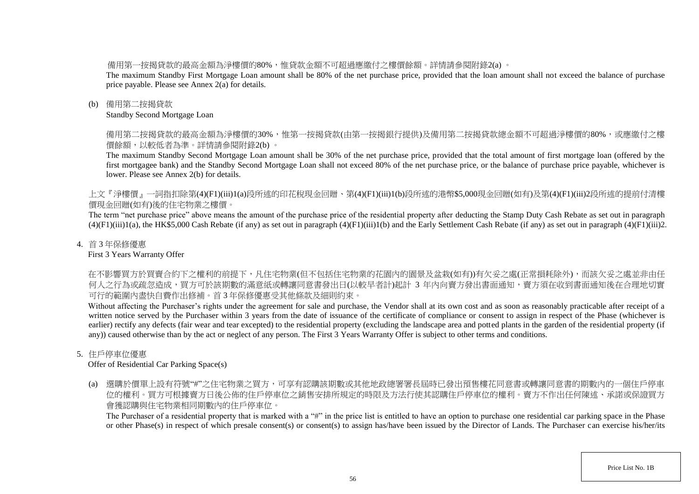備用第一按揭貸款的最高金額為淨樓價的80%,惟貸款金額不可超過應繳付之樓價餘額。詳情請參閱附錄2(a) 。

The maximum Standby First Mortgage Loan amount shall be 80% of the net purchase price, provided that the loan amount shall not exceed the balance of purchase price payable. Please see Annex 2(a) for details.

## (b) 備用第二按揭貸款

Standby Second Mortgage Loan

備用第二按揭貸款的最高金額為淨樓價的30%,惟第一按揭貸款(由第一按揭銀行提供)及備用第二按揭貸款總金額不可超過淨樓價的80%,或應繳付之樓 價餘額,以較低者為準。詳情請參閱附錄2(b) 。

The maximum Standby Second Mortgage Loan amount shall be 30% of the net purchase price, provided that the total amount of first mortgage loan (offered by the first mortgagee bank) and the Standby Second Mortgage Loan shall not exceed 80% of the net purchase price, or the balance of purchase price payable, whichever is lower. Please see Annex 2(b) for details.

上文『淨樓價』一詞指扣除第(4)(F1)(iii)1(a)段所述的印花稅現金回贈、第(4)(F1)(iii)1(b)段所述的港幣\$5,000現金回贈(如有)及第(4)(F1)(iii)2段所述的提前付清樓 價現金回贈(如有)後的住宅物業之樓價。

The term "net purchase price" above means the amount of the purchase price of the residential property after deducting the Stamp Duty Cash Rebate as set out in paragraph  $(4)(F1)(iii)1(a)$ , the HK\$5,000 Cash Rebate (if any) as set out in paragraph  $(4)(F1)(iii)1(b)$  and the Early Settlement Cash Rebate (if any) as set out in paragraph  $(4)(F1)(iii)2$ .

## 4. 首 3 年保修優惠

First 3 Years Warranty Offer

在不影響買方於買賣合約下之權利的前提下,凡住宅物業(但不包括住宅物業的花園內的園景及盆栽(如有))有欠妥之處(正常損耗除外),而該欠妥之處並非由任 何人之行為或疏忽造成,買方可於該期數的滿意紙或轉讓同意書發出日(以較早者計)起計 3 年内向賣方發出書面通知,賣方須在收到書面通知後在合理地切實 可行的範圍內盡快自費作出修補。首 3 年保修優惠受其他條款及細則約束。

Without affecting the Purchaser's rights under the agreement for sale and purchase, the Vendor shall at its own cost and as soon as reasonably practicable after receipt of a written notice served by the Purchaser within 3 years from the date of issuance of the certificate of compliance or consent to assign in respect of the Phase (whichever is earlier) rectify any defects (fair wear and tear excepted) to the residential property (excluding the landscape area and potted plants in the garden of the residential property (if any)) caused otherwise than by the act or neglect of any person. The First 3 Years Warranty Offer is subject to other terms and conditions.

# 5. 住戶停車位優惠

Offer of Residential Car Parking Space(s)

(a) 選購於價單上設有符號"#"之住宅物業之買方,可享有認購該期數或其他地政總署署長屆時已發出預售樓花同意書或轉讓同意書的期數內的一個住戶停車 位的權利。買方可根據賣方日後公佈的住戶停車位之銷售安排所規定的時限及方法行使其認購住戶停車位的權利。賣方不作出任何陳述、承諾或保證買方 會獲認購與住宅物業相同期數內的住戶停車位。

The Purchaser of a residential property that is marked with a "#" in the price list is entitled to have an option to purchase one residential car parking space in the Phase or other Phase(s) in respect of which presale consent(s) or consent(s) to assign has/have been issued by the Director of Lands. The Purchaser can exercise his/her/its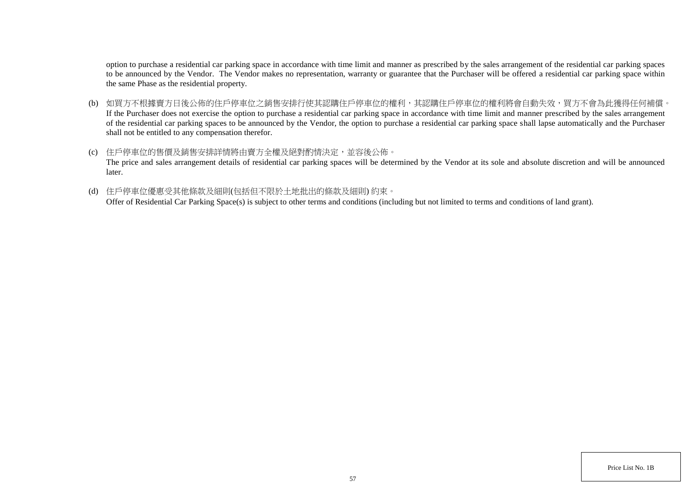option to purchase a residential car parking space in accordance with time limit and manner as prescribed by the sales arrangement of the residential car parking spaces to be announced by the Vendor. The Vendor makes no representation, warranty or guarantee that the Purchaser will be offered a residential car parking space within the same Phase as the residential property.

- (b) 如買方不根據賣方日後公佈的住戶停車位之銷售安排行使其認購住戶停車位的權利,其認購住戶停車位的權利將會自動失效,買方不會為此獲得任何補償。 If the Purchaser does not exercise the option to purchase a residential car parking space in accordance with time limit and manner prescribed by the sales arrangement of the residential car parking spaces to be announced by the Vendor, the option to purchase a residential car parking space shall lapse automatically and the Purchaser shall not be entitled to any compensation therefor.
- (c) 住戶停車位的售價及銷售安排詳情將由賣方全權及絕對酌情決定,並容後公佈。 The price and sales arrangement details of residential car parking spaces will be determined by the Vendor at its sole and absolute discretion and will be announced later.
- (d) 住戶停車位優惠受其他條款及細則(包括但不限於土地批出的條款及細則) 約束。

Offer of Residential Car Parking Space(s) is subject to other terms and conditions (including but not limited to terms and conditions of land grant).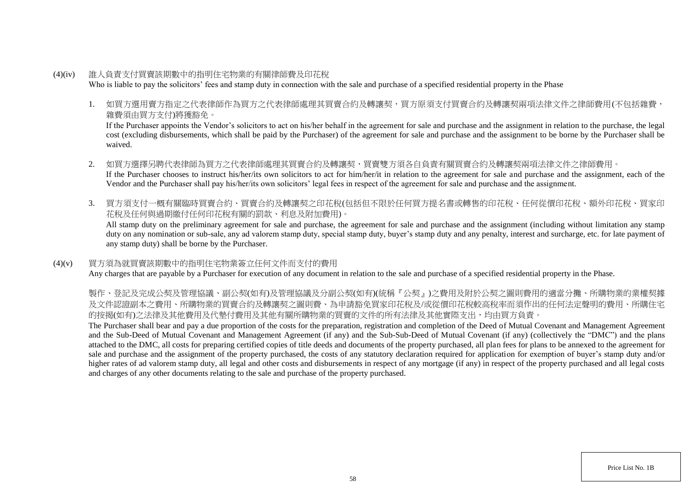- (4)(iv) 誰人負責支付買賣該期數中的指明住宅物業的有關律師費及印花稅 Who is liable to pay the solicitors' fees and stamp duty in connection with the sale and purchase of a specified residential property in the Phase
	- 1. 如買方選用賣方指定之代表律師作為買方之代表律師處理其買賣合約及轉讓契,買方原須支付買賣合約及轉讓契兩項法律文件之律師費用(不包括雜費, 雜費須由買方支付)將獲豁免。

If the Purchaser appoints the Vendor's solicitors to act on his/her behalf in the agreement for sale and purchase and the assignment in relation to the purchase, the legal cost (excluding disbursements, which shall be paid by the Purchaser) of the agreement for sale and purchase and the assignment to be borne by the Purchaser shall be waived.

- 2. 如買方選擇另聘代表律師為買方之代表律師處理其買賣合約及轉讓契,買賣雙方須各自負責有關買賣合約及轉讓契兩項法律文件之律師費用。 If the Purchaser chooses to instruct his/her/its own solicitors to act for him/her/it in relation to the agreement for sale and purchase and the assignment, each of the Vendor and the Purchaser shall pay his/her/its own solicitors' legal fees in respect of the agreement for sale and purchase and the assignment.
- 3. 買方須支付一概有關臨時買賣合約、買賣合約及轉讓契之印花稅(包括但不限於任何買方提名書或轉售的印花稅、任何從價印花稅、額外印花稅、買家印 花稅及任何與過期繳付任何印花稅有關的罰款、利息及附加費用)。

All stamp duty on the preliminary agreement for sale and purchase, the agreement for sale and purchase and the assignment (including without limitation any stamp duty on any nomination or sub-sale, any ad valorem stamp duty, special stamp duty, buyer's stamp duty and any penalty, interest and surcharge, etc. for late payment of any stamp duty) shall be borne by the Purchaser.

## (4)(v) 買方須為就買賣該期數中的指明住宅物業簽立任何文件而支付的費用

Any charges that are payable by a Purchaser for execution of any document in relation to the sale and purchase of a specified residential property in the Phase.

製作、登記及完成公契及管理協議、副公契(如有)及管理協議及分副公契(如有)(統稱『公契』)之費用及附於公契之圖則費用的適當分攤、所購物業的業權契據 及文件認證副本之費用、所購物業的買賣合約及轉讓契之圖則費、為申請豁免買家印花稅及/或從價印花稅較高稅率而須作出的任何法定聲明的費用、所購住宅 的按揭(如有)之法律及其他費用及代墊付費用及其他有關所購物業的買賣的文件的所有法律及其他實際支出,均由買方負責。

The Purchaser shall bear and pay a due proportion of the costs for the preparation, registration and completion of the Deed of Mutual Covenant and Management Agreement and the Sub-Deed of Mutual Covenant and Management Agreement (if any) and the Sub-Sub-Deed of Mutual Covenant (if any) (collectively the "DMC") and the plans attached to the DMC, all costs for preparing certified copies of title deeds and documents of the property purchased, all plan fees for plans to be annexed to the agreement for sale and purchase and the assignment of the property purchased, the costs of any statutory declaration required for application for exemption of buyer's stamp duty and/or higher rates of ad valorem stamp duty, all legal and other costs and disbursements in respect of any mortgage (if any) in respect of the property purchased and all legal costs and charges of any other documents relating to the sale and purchase of the property purchased.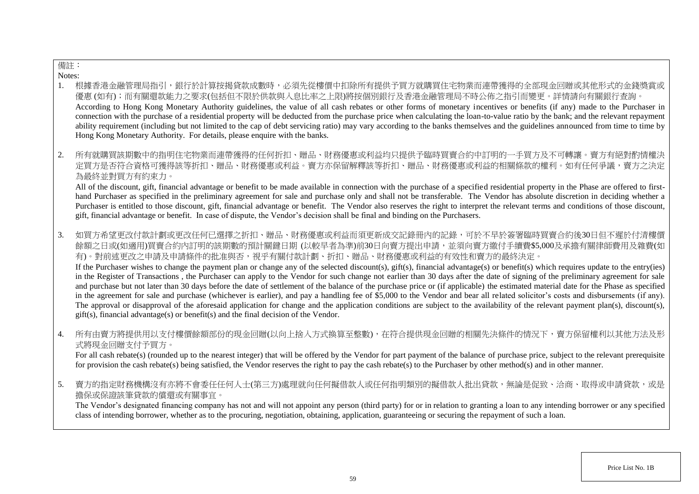# 備註:

Notes:

- 1. 根據香港金融管理局指引,銀行於計算按揭貸款成數時,必須先從樓價中扣除所有提供予買方就購買住宅物業而連帶獲得的全部現金回贈或其他形式的金錢獎賞或 優惠 (如有);而有關還款能力之要求(包括但不限於供款與入息比率之上限)將按個別銀行及香港金融管理局不時公佈之指引而變更。詳情請向有關銀行查詢。 According to Hong Kong Monetary Authority guidelines, the value of all cash rebates or other forms of monetary incentives or benefits (if any) made to the Purchaser in connection with the purchase of a residential property will be deducted from the purchase price when calculating the loan-to-value ratio by the bank; and the relevant repayment ability requirement (including but not limited to the cap of debt servicing ratio) may vary according to the banks themselves and the guidelines announced from time to time by Hong Kong Monetary Authority. For details, please enquire with the banks.
- 2. 所有就購買該期數中的指明住宅物業而連帶獲得的任何折扣、贈品、財務優惠或利益均只提供予臨時買賣合約中訂明的一手買方及不可轉讓。賣方有絕對酌情權決 定買方是否符合資格可獲得該等折扣、贈品、財務優惠或利益。賣方亦保留解釋該等折扣、贈品、財務優惠或利益的相關條款的權利。如有任何爭議,賣方之決定 為最終並對買方有約束力。

All of the discount, gift, financial advantage or benefit to be made available in connection with the purchase of a specified residential property in the Phase are offered to firsthand Purchaser as specified in the preliminary agreement for sale and purchase only and shall not be transferable. The Vendor has absolute discretion in deciding whether a Purchaser is entitled to those discount, gift, financial advantage or benefit. The Vendor also reserves the right to interpret the relevant terms and conditions of those discount, gift, financial advantage or benefit. In case of dispute, the Vendor's decision shall be final and binding on the Purchasers.

3. 如買方希望更改付款計劃或更改任何已選擇之折扣、贈品、財務優惠或利益而須更新成交記錄冊內的記錄,可於不早於簽署臨時買賣合約後30日但不遲於付清樓價 餘額之日或(如適用)買賣合約內訂明的該期數的預計關鍵日期 (以較早者為準)前30日向賣方提出申請,並須向賣方繳付手續費\$5,000及承擔有關律師費用及雜費(如 有)。對前述更改之申請及申請條件的批准與否,視乎有關付款計劃、折扣、贈品、財務優惠或利益的有效性和賣方的最終決定。

If the Purchaser wishes to change the payment plan or change any of the selected discount(s), gift(s), financial advantage(s) or benefit(s) which requires update to the entry(ies) in the Register of Transactions , the Purchaser can apply to the Vendor for such change not earlier than 30 days after the date of signing of the preliminary agreement for sale and purchase but not later than 30 days before the date of settlement of the balance of the purchase price or (if applicable) the estimated material date for the Phase as specified in the agreement for sale and purchase (whichever is earlier), and pay a handling fee of \$5,000 to the Vendor and bear all related solicitor's costs and disbursements (if any). The approval or disapproval of the aforesaid application for change and the application conditions are subject to the availability of the relevant payment plan(s), discount(s), gift(s), financial advantage(s) or benefit(s) and the final decision of the Vendor.

4. 所有由賣方將提供用以支付樓價餘額部份的現金回贈(以向上捨入方式換算至整數),在符合提供現金回贈的相關先決條件的情況下,賣方保留權利以其他方法及形 式將現金回贈支付予買方。

For all cash rebate(s) (rounded up to the nearest integer) that will be offered by the Vendor for part payment of the balance of purchase price, subject to the relevant prerequisite for provision the cash rebate(s) being satisfied, the Vendor reserves the right to pay the cash rebate(s) to the Purchaser by other method(s) and in other manner.

5. 賣方的指定財務機構沒有亦將不會委任任何人士(第三方)處理就向任何擬借款人或任何指明類別的擬借款人批出貸款,無論是促致、洽商、取得或申請貸款,或是 擔保或保證該筆貸款的償還或有關事宜。

The Vendor's designated financing company has not and will not appoint any person (third party) for or in relation to granting a loan to any intending borrower or any specified class of intending borrower, whether as to the procuring, negotiation, obtaining, application, guaranteeing or securing the repayment of such a loan.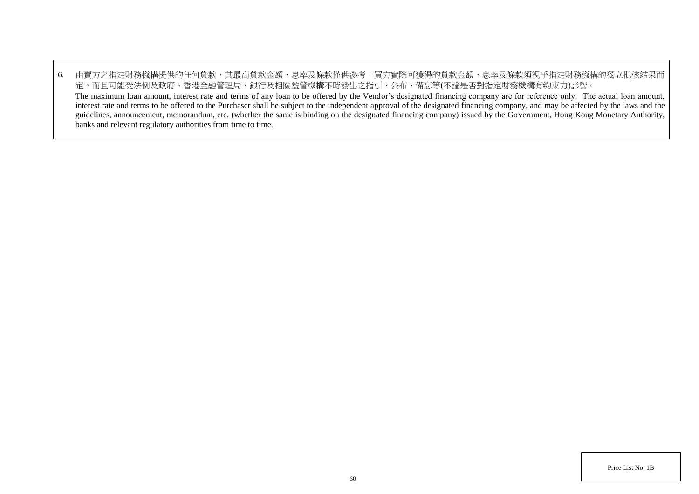6. 由賣方之指定財務機構提供的任何貸款,其最高貸款金額、息率及條款僅供參考,買方實際可獲得的貸款金額、息率及條款須視乎指定財務機構的獨立批核結果而 定,而且可能受法例及政府、香港金融管理局、銀行及相關監管機構不時發出之指引、公布、備忘等(不論是否對指定財務機構有約束力)影響。 The maximum loan amount, interest rate and terms of any loan to be offered by the Vendor's designated financing company are for reference only. The actual loan amount, interest rate and terms to be offered to the Purchaser shall be subject to the independent approval of the designated financing company, and may be affected by the laws and the guidelines, announcement, memorandum, etc. (whether the same is binding on the designated financing company) issued by the Government, Hong Kong Monetary Authority, banks and relevant regulatory authorities from time to time.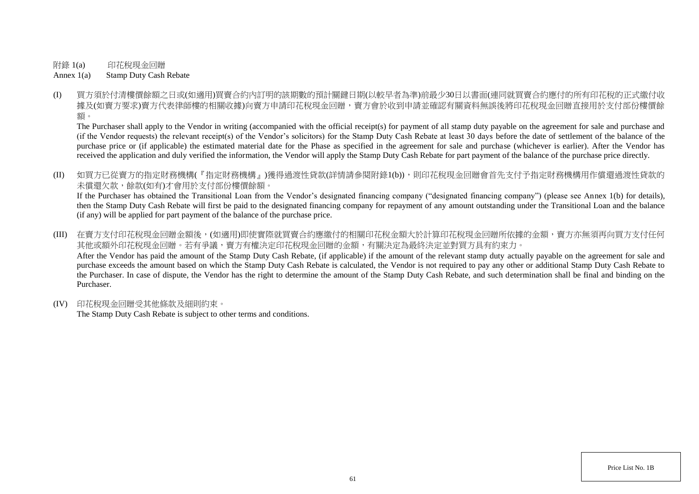附錄 1(a) 印花稅現金回贈

Annex 1(a) Stamp Duty Cash Rebate

(I) 買方須於付清樓價餘額之日或(如適用)買賣合約內訂明的該期數的預計關鍵日期(以較早者為準)前最少30日以書面(連同就買賣合約應付的所有印花稅的正式繳付收 據及(如賣方要求)賣方代表律師樓的相關收樓)向賣方申請印花稅現金回贈,賣方會於收到申請並確認有關資料無誤後將印花稅現金回贈直接用於支付部份樓價餘 額。

The Purchaser shall apply to the Vendor in writing (accompanied with the official receipt(s) for payment of all stamp duty payable on the agreement for sale and purchase and (if the Vendor requests) the relevant receipt(s) of the Vendor's solicitors) for the Stamp Duty Cash Rebate at least 30 days before the date of settlement of the balance of the purchase price or (if applicable) the estimated material date for the Phase as specified in the agreement for sale and purchase (whichever is earlier). After the Vendor has received the application and duly verified the information, the Vendor will apply the Stamp Duty Cash Rebate for part payment of the balance of the purchase price directly.

(II) 如買方已從賣方的指定財務機構(『指定財務機構』)獲得過渡性貸款(詳情請參閱附錄1(b)),則印花稅現金回贈會首先支付予指定財務機構用作償還過渡性貸款的 未償還欠款,餘款(如有)才會用於支付部份樓價餘額。

If the Purchaser has obtained the Transitional Loan from the Vendor's designated financing company ("designated financing company") (please see Annex 1(b) for details), then the Stamp Duty Cash Rebate will first be paid to the designated financing company for repayment of any amount outstanding under the Transitional Loan and the balance (if any) will be applied for part payment of the balance of the purchase price.

(III) 在賣方支付印花稅現金回贈金額後,(如適用)即使實際就買賣合約應繳付的相關印花稅金額大於計算印花稅現金回贈所依據的金額,賣方亦無須再向買方支付任何 其他或額外印花稅現金回贈。若有爭議,賣方有權決定印花稅現金回贈的金額,有關決定為最終決定並對買方具有約束力。 After the Vendor has paid the amount of the Stamp Duty Cash Rebate, (if applicable) if the amount of the relevant stamp duty actually payable on the agreement for sale and purchase exceeds the amount based on which the Stamp Duty Cash Rebate is calculated, the Vendor is not required to pay any other or additional Stamp Duty Cash Rebate to the Purchaser. In case of dispute, the Vendor has the right to determine the amount of the Stamp Duty Cash Rebate, and such determination shall be final and binding on the Purchaser.

(IV) 印花稅現金回贈受其他條款及細則約束。

The Stamp Duty Cash Rebate is subject to other terms and conditions.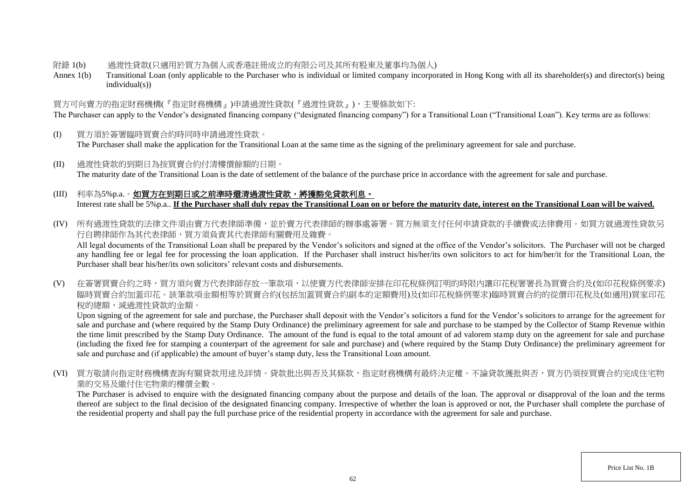### 附錄 1(b) 過渡性貸款(只適用於買方為個人或香港註冊成立的有限公司及其所有股東及董事均為個人)

Annex 1(b) Transitional Loan (only applicable to the Purchaser who is individual or limited company incorporated in Hong Kong with all its shareholder(s) and director(s) being individual(s))

# 買方可向賣方的指定財務機構(『指定財務機構』)申請過渡性貸款(『過渡性貸款』),主要條款如下:

The Purchaser can apply to the Vendor's designated financing company ("designated financing company") for a Transitional Loan ("Transitional Loan"). Key terms are as follows:

- (I) 買方須於簽署臨時買賣合約時同時申請過渡性貸款。 The Purchaser shall make the application for the Transitional Loan at the same time as the signing of the preliminary agreement for sale and purchase.
- (II) 過渡性貸款的到期日為按買賣合約付清樓價餘額的日期。 The maturity date of the Transitional Loan is the date of settlement of the balance of the purchase price in accordance with the agreement for sale and purchase.

# (III) 利率為5%p.a.。如買方在到期日或之前準時還清過渡性貸款,將獲豁免貸款利息。 Interest rate shall be 5%p.a.. **If the Purchaser shall duly repay the Transitional Loan on or before the maturity date, interest on the Transitional Loan will be waived.**

(IV) 所有過渡性貸款的法律文件須由賣方代表律師準備,並於賣方代表律師的辦事處簽署。買方無須支付任何申請貸款的手續費或法律費用。如買方就過渡性貸款另 行自聘律師作為其代表律師,買方須負責其代表律師有關費用及雜費。

All legal documents of the Transitional Loan shall be prepared by the Vendor's solicitors and signed at the office of the Vendor's solicitors. The Purchaser will not be charged any handling fee or legal fee for processing the loan application. If the Purchaser shall instruct his/her/its own solicitors to act for him/her/it for the Transitional Loan, the Purchaser shall bear his/her/its own solicitors' relevant costs and disbursements.

(V) 在簽署買賣合約之時,買方須向賣方代表律師存放一筆款項,以使賣方代表律師安排在印花稅條例訂明的時限內讓印花稅署署長為買賣合約及(如印花稅條例要求) 臨時買賣合約加蓋印花。該筆款項金額相等於買賣合約(包括加蓋買賣合約副本的定額費用)及(如印花稅條例要求)臨時買賣合約的從價印花稅及(如適用)買家印花 稅的總額,減過渡性貸款的金額。

Upon signing of the agreement for sale and purchase, the Purchaser shall deposit with the Vendor's solicitors a fund for the Vendor's solicitors to arrange for the agreement for sale and purchase and (where required by the Stamp Duty Ordinance) the preliminary agreement for sale and purchase to be stamped by the Collector of Stamp Revenue within the time limit prescribed by the Stamp Duty Ordinance. The amount of the fund is equal to the total amount of ad valorem stamp duty on the agreement for sale and purchase (including the fixed fee for stamping a counterpart of the agreement for sale and purchase) and (where required by the Stamp Duty Ordinance) the preliminary agreement for sale and purchase and (if applicable) the amount of buyer's stamp duty, less the Transitional Loan amount.

(VI) 買方敬請向指定財務機構查詢有關貸款用途及詳情。貸款批出與否及其條款,指定財務機構有最終決定權。不論貸款獲批與否,買方仍須按買賣合約完成住宅物 業的交易及繳付住宅物業的樓價全數。

The Purchaser is advised to enquire with the designated financing company about the purpose and details of the loan. The approval or disapproval of the loan and the terms thereof are subject to the final decision of the designated financing company. Irrespective of whether the loan is approved or not, the Purchaser shall complete the purchase of the residential property and shall pay the full purchase price of the residential property in accordance with the agreement for sale and purchase.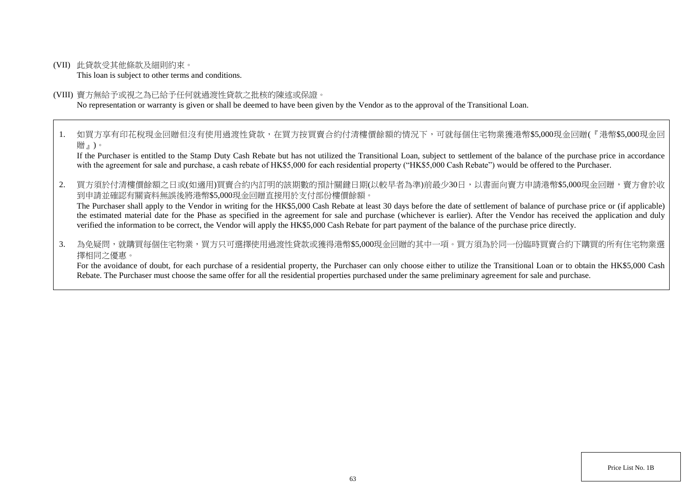(VII) 此貸款受其他條款及細則約束。

This loan is subject to other terms and conditions.

#### (VIII) 賣方無給予或視之為已給予任何就過渡性貸款之批核的陳述或保證。

No representation or warranty is given or shall be deemed to have been given by the Vendor as to the approval of the Transitional Loan.

1. 如買方享有印花稅現金回贈但沒有使用過渡性貸款,在買方按買賣合約付清樓價餘額的情況下,可就每個住宅物業獲港幣\$5,000現金回贈(『港幣\$5,000現金回 贈』)。

If the Purchaser is entitled to the Stamp Duty Cash Rebate but has not utilized the Transitional Loan, subject to settlement of the balance of the purchase price in accordance with the agreement for sale and purchase, a cash rebate of HK\$5,000 for each residential property ("HK\$5,000 Cash Rebate") would be offered to the Purchaser.

2. 買方須於付清樓價餘額之日或(如適用)買賣合約內訂明的該期數的預計關鍵日期(以較早者為準)前最少30日,以書面向賣方申請港幣\$5,000現金回贈,賣方會於收 到申請並確認有關資料無誤後將港幣\$5,000現金回贈直接用於支付部份樓價餘額。

The Purchaser shall apply to the Vendor in writing for the HK\$5,000 Cash Rebate at least 30 days before the date of settlement of balance of purchase price or (if applicable) the estimated material date for the Phase as specified in the agreement for sale and purchase (whichever is earlier). After the Vendor has received the application and duly verified the information to be correct, the Vendor will apply the HK\$5,000 Cash Rebate for part payment of the balance of the purchase price directly.

3. 為免疑問,就購買每個住宅物業,買方只可選擇使用過渡性貸款或獲得港幣\$5.000現金回贈的其中一項。買方須為於同一份臨時買賣合約下購買的所有住宅物業選 擇相同之優惠。

For the avoidance of doubt, for each purchase of a residential property, the Purchaser can only choose either to utilize the Transitional Loan or to obtain the HK\$5,000 Cash Rebate. The Purchaser must choose the same offer for all the residential properties purchased under the same preliminary agreement for sale and purchase.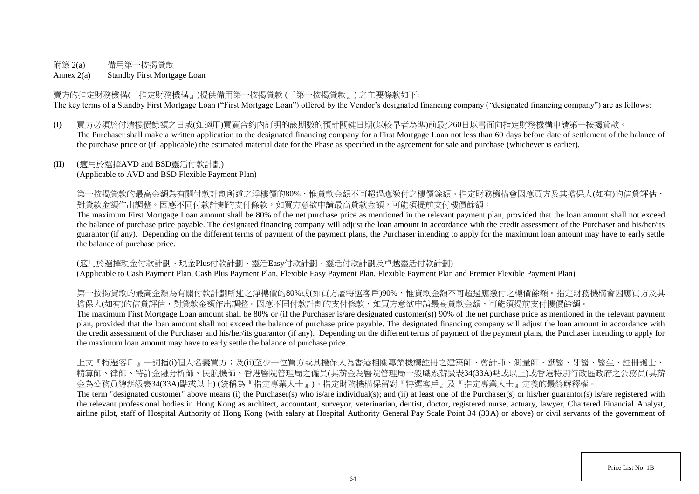# 附錄 2(a) 備用第一按揭貸款

Annex 2(a) Standby First Mortgage Loan

賣方的指定財務機構(『指定財務機構』)提供備用第一按揭貸款 (『第一按揭貸款』) 之主要條款如下: The key terms of a Standby First Mortgage Loan ("First Mortgage Loan") offered by the Vendor's designated financing company ("designated financing company") are as follows:

(I) 買方必須於付清樓價餘額之日或(如適用)買賣合約內訂明的該期數的預計關鍵日期(以較早者為準)前最少60日以書面向指定財務機構申請第一按揭貸款。 The Purchaser shall make a written application to the designated financing company for a First Mortgage Loan not less than 60 days before date of settlement of the balance of the purchase price or (if applicable) the estimated material date for the Phase as specified in the agreement for sale and purchase (whichever is earlier).

## (II) (適用於選擇AVD and BSD靈活付款計劃)

(Applicable to AVD and BSD Flexible Payment Plan)

第一按揭貸款的最高金額為有關付款計劃所述之淨樓價的80%,惟貸款金額不可超過應繳付之樓價餘額。指定財務機構會因應買方及其擔保人(如有)的信貸評估, 對貸款金額作出調整。因應不同付款計劃的支付條款,如買方意欲申請最高貸款金額,可能須提前支付樓價餘額。

The maximum First Mortgage Loan amount shall be 80% of the net purchase price as mentioned in the relevant payment plan, provided that the loan amount shall not exceed the balance of purchase price payable. The designated financing company will adjust the loan amount in accordance with the credit assessment of the Purchaser and his/her/its guarantor (if any). Depending on the different terms of payment of the payment plans, the Purchaser intending to apply for the maximum loan amount may have to early settle the balance of purchase price.

(適用於選擇現金付款計劃、現金Plus付款計劃、靈活Easy付款計劃、靈活付款計劃及卓越靈活付款計劃) (Applicable to Cash Payment Plan, Cash Plus Payment Plan, Flexible Easy Payment Plan, Flexible Payment Plan and Premier Flexible Payment Plan)

第一按揭貸款的最高金額為有關付款計劃所述之淨樓價的80%或(如買方屬特選客戶)90%,惟貸款金額不可超過應繳付之樓價餘額。指定財務機構會因應買方及其 擔保人(如有)的信貸評估,對貸款金額作出調整。因應不同付款計劃的支付條款,如買方意欲申請最高貸款金額,可能須提前支付樓價餘額。

The maximum First Mortgage Loan amount shall be 80% or (if the Purchaser is/are designated customer(s)) 90% of the net purchase price as mentioned in the relevant payment plan, provided that the loan amount shall not exceed the balance of purchase price payable. The designated financing company will adjust the loan amount in accordance with the credit assessment of the Purchaser and his/her/its guarantor (if any). Depending on the different terms of payment of the payment plans, the Purchaser intending to apply for the maximum loan amount may have to early settle the balance of purchase price.

上文『特選客戶』一詞指(i)個人名義買方;及(ii)至少一位買方或其擔保人為香港相關專業機構註冊之建築師、會計師、測量師、獸醫、牙醫、醫生、註冊護士、 精算師、律師、特許金融分析師、民航機師、香港醫院管理局之僱員(其薪金為醫院管理局一般職系薪級表34(33A)點或以上)或香港特別行政區政府之公務員(其薪 金為公務員總薪級表34(33A)點或以上) (統稱為『指定專業人士』)。指定財務機構保留對『特選客戶』及『指定專業人士』定義的最終解釋權。

The term "designated customer" above means (i) the Purchaser(s) who is/are individual(s); and (ii) at least one of the Purchaser(s) or his/her guarantor(s) is/are registered with the relevant professional bodies in Hong Kong as architect, accountant, surveyor, veterinarian, dentist, doctor, registered nurse, actuary, lawyer, Chartered Financial Analyst, airline pilot, staff of Hospital Authority of Hong Kong (with salary at Hospital Authority General Pay Scale Point 34 (33A) or above) or civil servants of the government of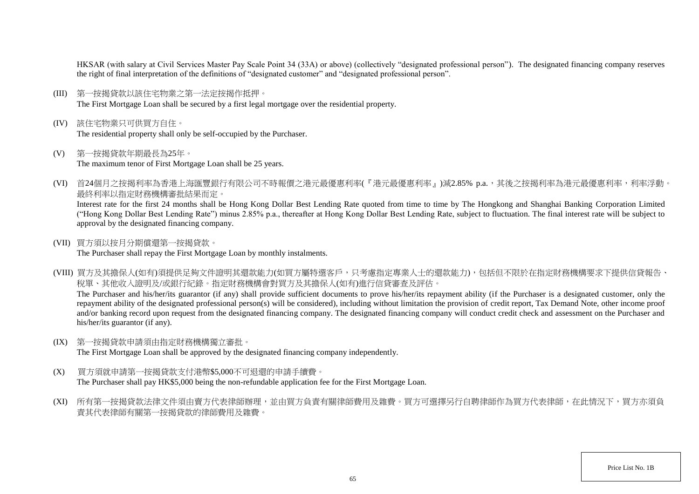HKSAR (with salary at Civil Services Master Pay Scale Point 34 (33A) or above) (collectively "designated professional person"). The designated financing company reserves the right of final interpretation of the definitions of "designated customer" and "designated professional person".

- (III) 第一按揭貸款以該住宅物業之第一法定按揭作抵押。 The First Mortgage Loan shall be secured by a first legal mortgage over the residential property.
- (IV) 該住宅物業只可供買方自住。 The residential property shall only be self-occupied by the Purchaser.
- (V) 第一按揭貸款年期最長為25年。 The maximum tenor of First Mortgage Loan shall be 25 years.
- (VI) 首24個月之按揭利率為香港上海匯豐銀行有限公司不時報價之港元最優惠利率(『港元最優惠利率』)減2.85% p.a.,其後之按揭利率為港元最優惠利率,利率浮動。 最終利率以指定財務機構審批結果而定。

Interest rate for the first 24 months shall be Hong Kong Dollar Best Lending Rate quoted from time to time by The Hongkong and Shanghai Banking Corporation Limited ("Hong Kong Dollar Best Lending Rate") minus 2.85% p.a., thereafter at Hong Kong Dollar Best Lending Rate, subject to fluctuation. The final interest rate will be subject to approval by the designated financing company.

(VII) 買方須以按月分期償還第一按揭貸款。

The Purchaser shall repay the First Mortgage Loan by monthly instalments.

(VIII) 買方及其擔保人(如有)須提供足夠文件證明其還款能力(如買方屬特選客戶,只考慮指定專業人士的還款能力),包括但不限於在指定財務機構要求下提供信貸報告、 稅單、其他收入證明及/或銀行紀錄。指定財務機構會對買方及其擔保人(如有)進行信貸審查及評估。 The Purchaser and his/her/its guarantor (if any) shall provide sufficient documents to prove his/her/its repayment ability (if the Purchaser is a designated customer, only the

repayment ability of the designated professional person(s) will be considered), including without limitation the provision of credit report, Tax Demand Note, other income proof and/or banking record upon request from the designated financing company. The designated financing company will conduct credit check and assessment on the Purchaser and his/her/its guarantor (if any).

(IX) 第一按揭貸款申請須由指定財務機構獨立審批。

The First Mortgage Loan shall be approved by the designated financing company independently.

- (X) 買方須就申請第一按揭貸款支付港幣\$5,000不可退還的申請手續費。 The Purchaser shall pay HK\$5,000 being the non-refundable application fee for the First Mortgage Loan.
- (XI) 所有第一按揭貸款法律文件須由賣方代表律師辦理,並由買方負責有關律師費用及雜費。買方可選擇另行自聘律師作為買方代表律師,在此情況下,買方亦須負 責其代表律師有關第一按揭貸款的律師費用及雜費。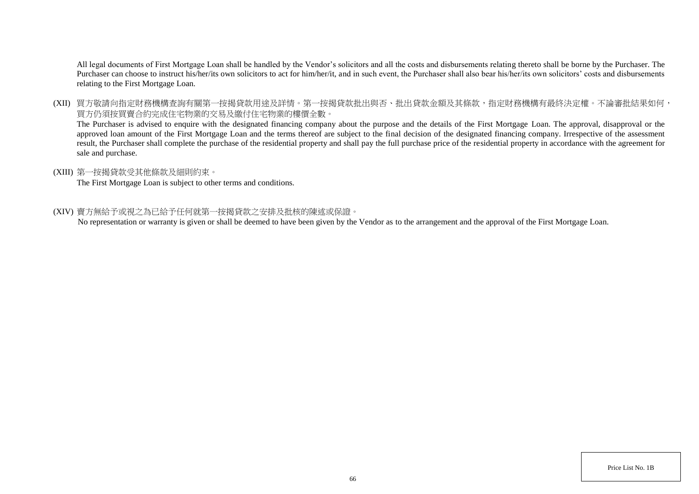All legal documents of First Mortgage Loan shall be handled by the Vendor's solicitors and all the costs and disbursements relating thereto shall be borne by the Purchaser. The Purchaser can choose to instruct his/her/its own solicitors to act for him/her/it, and in such event, the Purchaser shall also bear his/her/its own solicitors' costs and disbursements relating to the First Mortgage Loan.

(XII) 買方敬請向指定財務機構查詢有關第一按揭貸款用途及詳情。第一按揭貸款批出與否、批出貸款金額及其條款,指定財務機構有最終決定權。不論審批結果如何, 買方仍須按買賣合約完成住宅物業的交易及繳付住宅物業的樓價全數。

The Purchaser is advised to enquire with the designated financing company about the purpose and the details of the First Mortgage Loan. The approval, disapproval or the approved loan amount of the First Mortgage Loan and the terms thereof are subject to the final decision of the designated financing company. Irrespective of the assessment result, the Purchaser shall complete the purchase of the residential property and shall pay the full purchase price of the residential property in accordance with the agreement for sale and purchase.

### (XIII) 第一按揭貸款受其他條款及細則約束。

The First Mortgage Loan is subject to other terms and conditions.

### (XIV) 賣方無給予或視之為已給予任何就第一按揭貸款之安排及批核的陳述或保證。

No representation or warranty is given or shall be deemed to have been given by the Vendor as to the arrangement and the approval of the First Mortgage Loan.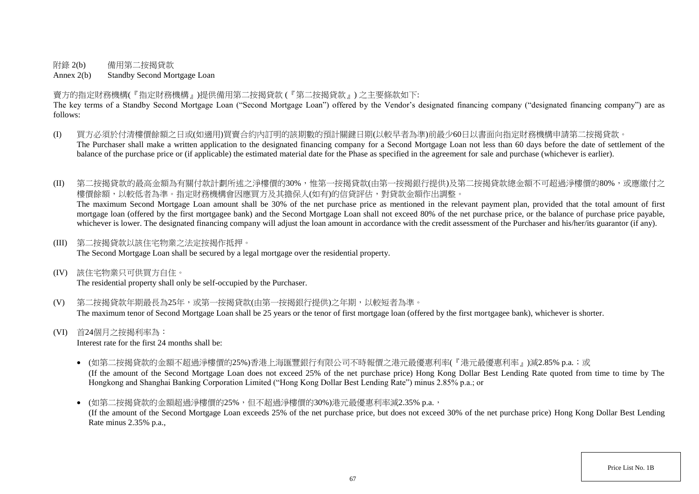附錄 2(b) 備用第二按揭貸款

Annex 2(b) Standby Second Mortgage Loan

賣方的指定財務機構(『指定財務機構』)提供備用第二按揭貸款 (『第二按揭貸款』) 之主要條款如下:

The key terms of a Standby Second Mortgage Loan ("Second Mortgage Loan") offered by the Vendor's designated financing company ("designated financing company") are as follows:

- (I) 買方必須於付清樓價餘額之日或(如適用)買賣合約內訂明的該期數的預計關鍵日期(以較早者為準)前最少60日以書面向指定財務機構申請第二按揭貸款。 The Purchaser shall make a written application to the designated financing company for a Second Mortgage Loan not less than 60 days before the date of settlement of the balance of the purchase price or (if applicable) the estimated material date for the Phase as specified in the agreement for sale and purchase (whichever is earlier).
- (II) 第二按揭貸款的最高金額為有關付款計劃所述之淨樓價的30%,惟第一按揭貸款(由第一按揭銀行提供)及第二按揭貸款總金額不可超過淨樓價的80%,或應繳付之 樓價餘額,以較低者為準。指定財務機構會因應買方及其擔保人(如有)的信貸評估,對貸款金額作出調整。

The maximum Second Mortgage Loan amount shall be 30% of the net purchase price as mentioned in the relevant payment plan, provided that the total amount of first mortgage loan (offered by the first mortgagee bank) and the Second Mortgage Loan shall not exceed 80% of the net purchase price, or the balance of purchase price payable, whichever is lower. The designated financing company will adjust the loan amount in accordance with the credit assessment of the Purchaser and his/her/its guarantor (if any).

(III) 第二按揭貸款以該住宅物業之法定按揭作抵押。

The Second Mortgage Loan shall be secured by a legal mortgage over the residential property.

(IV) 該住宅物業只可供買方自住。

The residential property shall only be self-occupied by the Purchaser.

- (V) 第二按揭貸款年期最長為25年,或第一按揭貸款(由第一按揭銀行提供)之年期,以較短者為準。 The maximum tenor of Second Mortgage Loan shall be 25 years or the tenor of first mortgage loan (offered by the first mortgagee bank), whichever is shorter.
- (VI) 首24個月之按揭利率為:

Interest rate for the first 24 months shall be:

- (如第二按揭貸款的金額不超過淨樓價的25%)香港上海匯豐銀行有限公司不時報價之港元最優惠利率(『港元最優惠利率』)減2.85% p.a.;或 (If the amount of the Second Mortgage Loan does not exceed 25% of the net purchase price) Hong Kong Dollar Best Lending Rate quoted from time to time by The Hongkong and Shanghai Banking Corporation Limited ("Hong Kong Dollar Best Lending Rate") minus 2.85% p.a.; or
- (如第二按揭貸款的金額超過淨樓價的25%,但不超過淨樓價的30%)港元最優惠利率減2.35% p.a., (If the amount of the Second Mortgage Loan exceeds 25% of the net purchase price, but does not exceed 30% of the net purchase price) Hong Kong Dollar Best Lending Rate minus 2.35% p.a.,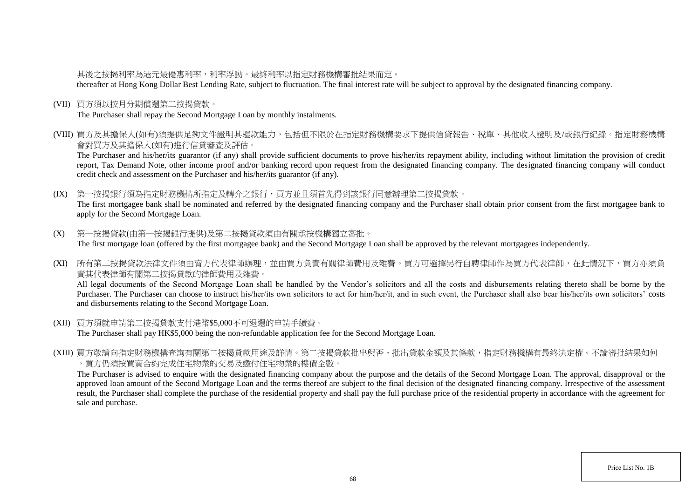# 其後之按揭利率為港元最優惠利率,利率浮動。最終利率以指定財務機構審批結果而定。

thereafter at Hong Kong Dollar Best Lending Rate, subject to fluctuation. The final interest rate will be subject to approval by the designated financing company.

(VII) 買方須以按月分期償還第二按揭貸款。

The Purchaser shall repay the Second Mortgage Loan by monthly instalments.

(VIII) 買方及其擔保人(如有)須提供足夠文件證明其還款能力,包括但不限於在指定財務機構要求下提供信貸報告、稅單、其他收入證明及/或銀行紀錄。指定財務機構 會對買方及其擔保人(如有)進行信貸審查及評估。

The Purchaser and his/her/its guarantor (if any) shall provide sufficient documents to prove his/her/its repayment ability, including without limitation the provision of credit report, Tax Demand Note, other income proof and/or banking record upon request from the designated financing company. The designated financing company will conduct credit check and assessment on the Purchaser and his/her/its guarantor (if any).

(IX) 第一按揭銀行須為指定財務機構所指定及轉介之銀行,買方並且須首先得到該銀行同意辦理第二按揭貸款。 The first mortgagee bank shall be nominated and referred by the designated financing company and the Purchaser shall obtain prior consent from the first mortgagee bank to apply for the Second Mortgage Loan.

- (X) 第一按揭貸款(由第一按揭銀行提供)及第二按揭貸款須由有關承按機構獨立審批。 The first mortgage loan (offered by the first mortgagee bank) and the Second Mortgage Loan shall be approved by the relevant mortgagees independently.
- (XI) 所有第二按揭貸款法律文件須由賣方代表律師辦理,並由買方負責有關律師費用及雜費。買方可選擇另行自聘律師作為買方代表律師,在此情況下,買方亦須負 責其代表律師有關第二按揭貸款的律師費用及雜費。

All legal documents of the Second Mortgage Loan shall be handled by the Vendor's solicitors and all the costs and disbursements relating thereto shall be borne by the Purchaser. The Purchaser can choose to instruct his/her/its own solicitors to act for him/her/it, and in such event, the Purchaser shall also bear his/her/its own solicitors' costs and disbursements relating to the Second Mortgage Loan.

- (XII) 買方須就申請第二按揭貸款支付港幣\$5,000不可退還的申請手續費。 The Purchaser shall pay HK\$5,000 being the non-refundable application fee for the Second Mortgage Loan.
- (XIII) 買方敬請向指定財務機構查詢有關第二按揭貸款用途及詳情。第二按揭貸款批出與否、批出貸款金額及其條款,指定財務機構有最終決定權。不論審批結果如何 ,買方仍須按買賣合約完成住宅物業的交易及繳付住宅物業的樓價全數。

The Purchaser is advised to enquire with the designated financing company about the purpose and the details of the Second Mortgage Loan. The approval, disapproval or the approved loan amount of the Second Mortgage Loan and the terms thereof are subject to the final decision of the designated financing company. Irrespective of the assessment result, the Purchaser shall complete the purchase of the residential property and shall pay the full purchase price of the residential property in accordance with the agreement for sale and purchase.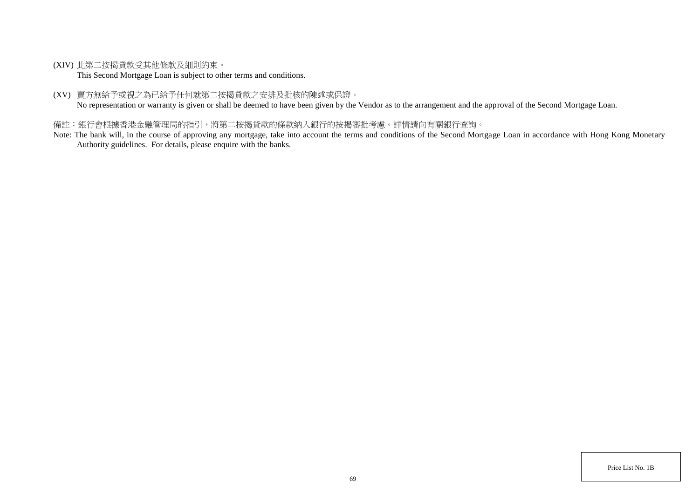(XIV) 此第二按揭貸款受其他條款及細則約束。

This Second Mortgage Loan is subject to other terms and conditions.

(XV) 賣方無給予或視之為已給予任何就第二按揭貸款之安排及批核的陳述或保證。

No representation or warranty is given or shall be deemed to have been given by the Vendor as to the arrangement and the approval of the Second Mortgage Loan.

# 備註:銀行會根據香港金融管理局的指引,將第二按揭貸款的條款納入銀行的按揭審批考慮。詳情請向有關銀行查詢。

Note: The bank will, in the course of approving any mortgage, take into account the terms and conditions of the Second Mortgage Loan in accordance with Hong Kong Monetary Authority guidelines. For details, please enquire with the banks.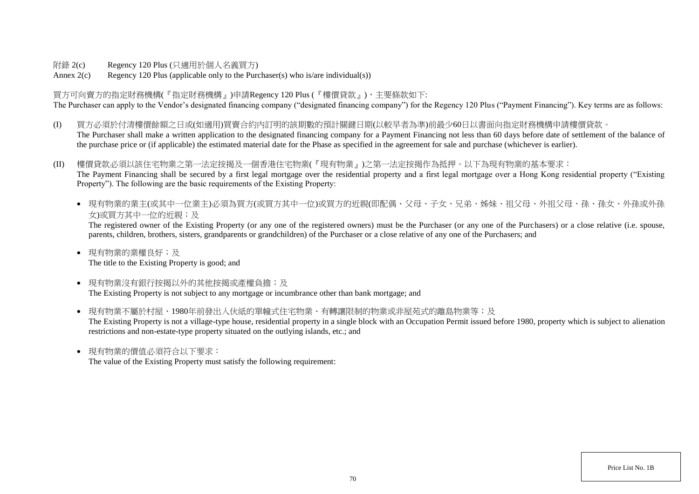附錄 2(c) Regency 120 Plus (只適用於個人名義買方)

Annex  $2(c)$  Regency 120 Plus (applicable only to the Purchaser(s) who is/are individual(s))

買方可向賣方的指定財務機構(『指定財務機構』)申請Regency 120 Plus (『樓價貸款』),主要條款如下: The Purchaser can apply to the Vendor's designated financing company ("designated financing company") for the Regency 120 Plus ("Payment Financing"). Key terms are as follows:

- (I) 買方必須於付清樓價餘額之日或(如適用)買賣合約內訂明的該期數的預計關鍵日期(以較早者為準)前最少60日以書面向指定財務機構申請樓價貸款。 The Purchaser shall make a written application to the designated financing company for a Payment Financing not less than 60 days before date of settlement of the balance of the purchase price or (if applicable) the estimated material date for the Phase as specified in the agreement for sale and purchase (whichever is earlier).
- (II) 樓價貸款必須以該住宅物業之第一法定按揭及一個香港住宅物業(『現有物業』)之第一法定按揭作為抵押。以下為現有物業的基本要求: The Payment Financing shall be secured by a first legal mortgage over the residential property and a first legal mortgage over a Hong Kong residential property ("Existing Property"). The following are the basic requirements of the Existing Property:
	- 現有物業的業主(或其中一位業主)必須為買方(或買方其中一位)或買方的近親(即配偶、父母、子女、兄弟、姊妹、祖父母、外祖父母、孫、孫女、外孫或外孫 女)或買方其中一位的近親;及

The registered owner of the Existing Property (or any one of the registered owners) must be the Purchaser (or any one of the Purchasers) or a close relative (i.e. spouse, parents, children, brothers, sisters, grandparents or grandchildren) of the Purchaser or a close relative of any one of the Purchasers; and

- 現有物業的業權良好;及 The title to the Existing Property is good; and
- 現有物業沒有銀行按揭以外的其他按揭或產權負擔;及 The Existing Property is not subject to any mortgage or incumbrance other than bank mortgage; and
- 現有物業不屬於村屋、1980年前發出入伙紙的單幢式住宅物業、有轉讓限制的物業或非屋苑式的離島物業等;及 The Existing Property is not a village-type house, residential property in a single block with an Occupation Permit issued before 1980, property which is subject to alienation restrictions and non-estate-type property situated on the outlying islands, etc.; and
- 現有物業的價值必須符合以下要求:

The value of the Existing Property must satisfy the following requirement: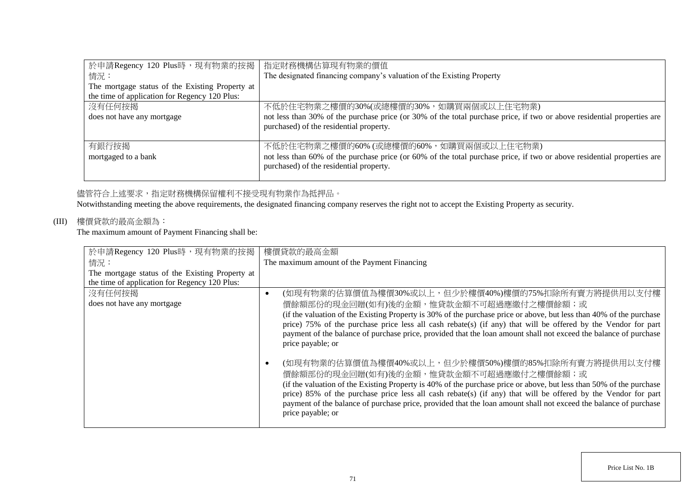| 於申請Regency 120 Plus時,現有物業的按揭                    | 指定財務機構估算現有物業的價值                                                                                                         |
|-------------------------------------------------|-------------------------------------------------------------------------------------------------------------------------|
| 情況:                                             | The designated financing company's valuation of the Existing Property                                                   |
| The mortgage status of the Existing Property at |                                                                                                                         |
| the time of application for Regency 120 Plus:   |                                                                                                                         |
| 沒有任何按揭                                          | 不低於住宅物業之樓價的30%(或總樓價的30%,如購買兩個或以上住宅物業)                                                                                   |
| does not have any mortgage                      | not less than 30% of the purchase price (or 30% of the total purchase price, if two or above residential properties are |
|                                                 | purchased) of the residential property.                                                                                 |
|                                                 |                                                                                                                         |
| 有銀行按揭                                           | 不低於住宅物業之樓價的60% (或總樓價的60%, 如購買兩個或以上住宅物業)                                                                                 |
| mortgaged to a bank                             | not less than 60% of the purchase price (or 60% of the total purchase price, if two or above residential properties are |
|                                                 | purchased) of the residential property.                                                                                 |
|                                                 |                                                                                                                         |

## 儘管符合上述要求,指定財務機構保留權利不接受現有物業作為抵押品。

Notwithstanding meeting the above requirements, the designated financing company reserves the right not to accept the Existing Property as security.

# (III) 樓價貸款的最高金額為:

The maximum amount of Payment Financing shall be:

| 於申請Regency 120 Plus時,現有物業的按揭                    | 樓價貸款的最高金額                                                                                                                                                                                                                                                                                                                                                                                                                                                                     |
|-------------------------------------------------|-------------------------------------------------------------------------------------------------------------------------------------------------------------------------------------------------------------------------------------------------------------------------------------------------------------------------------------------------------------------------------------------------------------------------------------------------------------------------------|
| 情況:                                             | The maximum amount of the Payment Financing                                                                                                                                                                                                                                                                                                                                                                                                                                   |
| The mortgage status of the Existing Property at |                                                                                                                                                                                                                                                                                                                                                                                                                                                                               |
| the time of application for Regency 120 Plus:   |                                                                                                                                                                                                                                                                                                                                                                                                                                                                               |
| 沒有任何按揭                                          | (如現有物業的估算價值為樓價30%或以上,但少於樓價40%)樓價的75%扣除所有賣方將提供用以支付樓                                                                                                                                                                                                                                                                                                                                                                                                                            |
| does not have any mortgage                      | 價餘額部份的現金回贈(如有)後的金額,惟貸款金額不可超過應繳付之樓價餘額;或                                                                                                                                                                                                                                                                                                                                                                                                                                        |
|                                                 | (if the valuation of the Existing Property is 30% of the purchase price or above, but less than 40% of the purchase<br>price) 75% of the purchase price less all cash rebate(s) (if any) that will be offered by the Vendor for part<br>payment of the balance of purchase price, provided that the loan amount shall not exceed the balance of purchase<br>price payable; or                                                                                                 |
|                                                 | (如現有物業的估算價值為樓價40%或以上,但少於樓價50%)樓價的85%扣除所有賣方將提供用以支付樓<br>價餘額部份的現金回贈(如有)後的金額,惟貸款金額不可超過應繳付之樓價餘額;或<br>(if the valuation of the Existing Property is 40% of the purchase price or above, but less than 50% of the purchase<br>price) 85% of the purchase price less all cash rebate(s) (if any) that will be offered by the Vendor for part<br>payment of the balance of purchase price, provided that the loan amount shall not exceed the balance of purchase<br>price payable; or |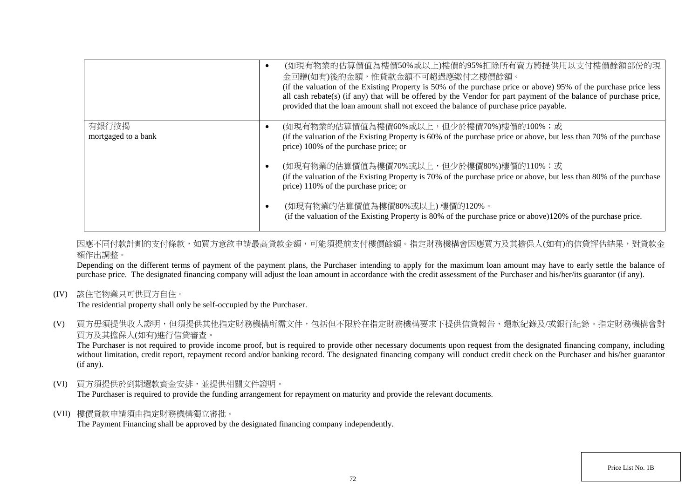|                     | (如現有物業的估算價值為樓價50%或以上)樓價的95%扣除所有賣方將提供用以支付樓價餘額部份的現<br>金回贈(如有)後的金額,惟貸款金額不可超過應繳付之樓價餘額。<br>(if the valuation of the Existing Property is 50% of the purchase price or above) 95% of the purchase price less<br>all cash rebate(s) (if any) that will be offered by the Vendor for part payment of the balance of purchase price,<br>provided that the loan amount shall not exceed the balance of purchase price payable. |
|---------------------|----------------------------------------------------------------------------------------------------------------------------------------------------------------------------------------------------------------------------------------------------------------------------------------------------------------------------------------------------------------------------------------------------------------------|
| 有銀行按揭               | (如現有物業的估算價值為樓價60%或以上,但少於樓價70%)樓價的100%;或                                                                                                                                                                                                                                                                                                                                                                              |
| mortgaged to a bank | (if the valuation of the Existing Property is 60% of the purchase price or above, but less than 70% of the purchase<br>price) 100% of the purchase price; or                                                                                                                                                                                                                                                         |
|                     | (如現有物業的估算價值為樓價70%或以上,但少於樓價80%)樓價的110%;或                                                                                                                                                                                                                                                                                                                                                                              |
|                     | (if the valuation of the Existing Property is 70% of the purchase price or above, but less than 80% of the purchase<br>price) 110% of the purchase price; or                                                                                                                                                                                                                                                         |
|                     | (如現有物業的估算價值為樓價80%或以上)樓價的120%。<br>(if the valuation of the Existing Property is 80% of the purchase price or above)120% of the purchase price.                                                                                                                                                                                                                                                                        |

因應不同付款計劃的支付條款,如買方意欲申請最高貸款金額,可能須提前支付樓價餘額。指定財務機構會因應買方及其擔保人(如有)的信貸評估結果,對貸款金 額作出調整。

Depending on the different terms of payment of the payment plans, the Purchaser intending to apply for the maximum loan amount may have to early settle the balance of purchase price. The designated financing company will adjust the loan amount in accordance with the credit assessment of the Purchaser and his/her/its guarantor (if any).

(IV) 該住宅物業只可供買方自住。

The residential property shall only be self-occupied by the Purchaser.

(V) 買方毋須提供收入證明,但須提供其他指定財務機構所需文件,包括但不限於在指定財務機構要求下提供信貸報告、還款紀錄及/或銀行紀錄。指定財務機構會對 買方及其擔保人(如有)進行信貸審查。

The Purchaser is not required to provide income proof, but is required to provide other necessary documents upon request from the designated financing company, including without limitation, credit report, repayment record and/or banking record. The designated financing company will conduct credit check on the Purchaser and his/her guarantor (if any).

(VI) 買方須提供於到期還款資金安排,並提供相關文件證明。

The Purchaser is required to provide the funding arrangement for repayment on maturity and provide the relevant documents.

(VII) 樓價貸款申請須由指定財務機構獨立審批。

The Payment Financing shall be approved by the designated financing company independently.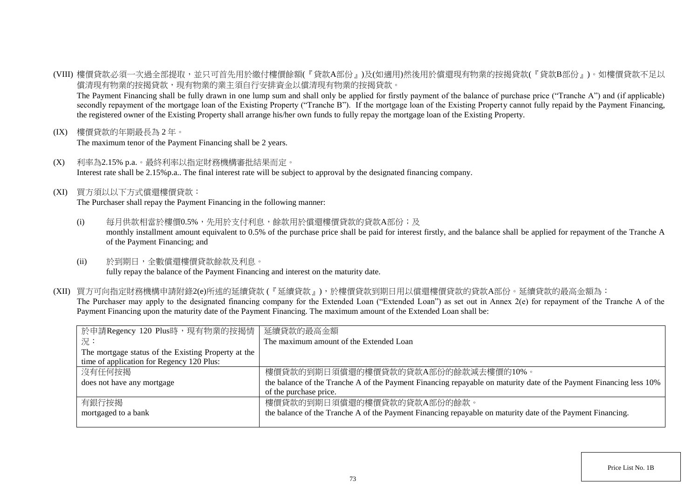(VIII) 樓價貸款必須一次過全部提取,並只可首先用於繳付樓價餘額(『貸款A部份』)及(如適用)然後用於償還現有物業的按揭貸款(『貸款B部份』)。如樓價貸款不足以 償清現有物業的按揭貸款,現有物業的業主須自行安排資金以償清現有物業的按揭貸款。

The Payment Financing shall be fully drawn in one lump sum and shall only be applied for firstly payment of the balance of purchase price ("Tranche A") and (if applicable) secondly repayment of the mortgage loan of the Existing Property ("Tranche B"). If the mortgage loan of the Existing Property cannot fully repaid by the Payment Financing, the registered owner of the Existing Property shall arrange his/her own funds to fully repay the mortgage loan of the Existing Property.

(IX) 樓價貸款的年期最長為 2 年。

The maximum tenor of the Payment Financing shall be 2 years.

- (X) 利率為2.15% p.a.。最終利率以指定財務機構審批結果而定。 Interest rate shall be 2.15%p.a.. The final interest rate will be subject to approval by the designated financing company.
- (XI) 買方須以以下方式償還樓價貸款:

The Purchaser shall repay the Payment Financing in the following manner:

- (i) 每月供款相當於樓價0.5%,先用於支付利息,餘款用於償還樓價貸款的貸款A部份;及 monthly installment amount equivalent to 0.5% of the purchase price shall be paid for interest firstly, and the balance shall be applied for repayment of the Tranche A of the Payment Financing; and
- (ii) 於到期日,全數償還樓價貸款餘款及利息。 fully repay the balance of the Payment Financing and interest on the maturity date.
- (XII) 買方可向指定財務機構申請附錄2(e)所述的延續貸款 (『延續貸款』),於樓價貸款到期日用以償還樓價貸款的貸款A部份。延續貸款的最高金額為: The Purchaser may apply to the designated financing company for the Extended Loan ("Extended Loan") as set out in Annex 2(e) for repayment of the Tranche A of the Payment Financing upon the maturity date of the Payment Financing. The maximum amount of the Extended Loan shall be:

| 於申請Regency 120 Plus時,現有物業的按揭情                       | 延續貸款的最高金額                                                                                                          |
|-----------------------------------------------------|--------------------------------------------------------------------------------------------------------------------|
| 一況:                                                 | The maximum amount of the Extended Loan                                                                            |
| The mortgage status of the Existing Property at the |                                                                                                                    |
| time of application for Regency 120 Plus:           |                                                                                                                    |
| 沒有任何按揭                                              | 樓價貸款的到期日須償還的樓價貸款的貸款A部份的餘款減去樓價的10%。                                                                                 |
| does not have any mortgage                          | the balance of the Tranche A of the Payment Financing repayable on maturity date of the Payment Financing less 10% |
|                                                     | of the purchase price.                                                                                             |
| 有銀行按揭                                               | 樓價貸款的到期日須償還的樓價貸款的貸款A部份的餘款。                                                                                         |
| mortgaged to a bank                                 | the balance of the Tranche A of the Payment Financing repayable on maturity date of the Payment Financing.         |
|                                                     |                                                                                                                    |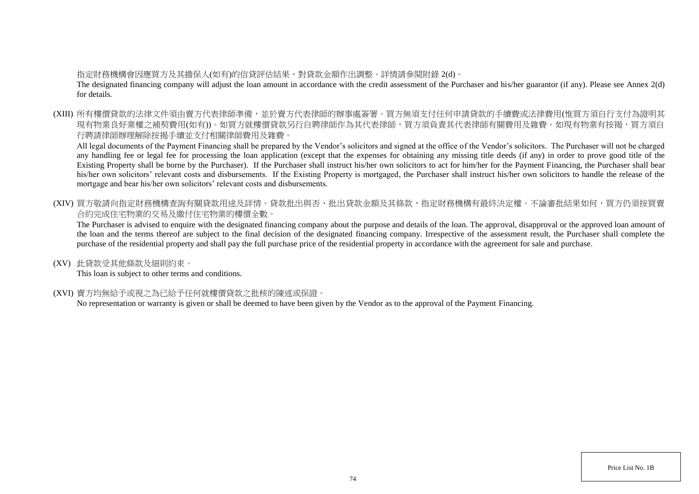## 指定財務機構會因應買方及其擔保人(如有)的信貸評估結果,對貸款金額作出調整。詳情請參閱附錄 2(d)。

The designated financing company will adjust the loan amount in accordance with the credit assessment of the Purchaser and his/her guarantor (if any). Please see Annex 2(d) for details.

(XIII) 所有樓價貸款的法律文件須由賣方代表律師準備,並於賣方代表律師的辦事處簽署。買方無須支付任何申請貸款的手續費或法律費用(惟買方須自行支付為證明其 現有物業良好業權之補契費用(如有))。如買方就樓價貸款另行自聘律師作為其代表律師,買方須負責其代表律師有關費用及雜費。如現有物業有按揭,買方須自 行聘請律師辦理解除按揭手續並支付相關律師費用及雜費。

All legal documents of the Payment Financing shall be prepared by the Vendor's solicitors and signed at the office of the Vendor's solicitors. The Purchaser will not be charged any handling fee or legal fee for processing the loan application (except that the expenses for obtaining any missing title deeds (if any) in order to prove good title of the Existing Property shall be borne by the Purchaser). If the Purchaser shall instruct his/her own solicitors to act for him/her for the Payment Financing, the Purchaser shall bear his/her own solicitors' relevant costs and disbursements. If the Existing Property is mortgaged, the Purchaser shall instruct his/her own solicitors to handle the release of the mortgage and bear his/her own solicitors' relevant costs and disbursements.

(XIV) 買方敬請向指定財務機構查詢有關貸款用途及詳情。貸款批出與否、批出貸款金額及其條款,指定財務機構有最終決定權。不論審批結果如何,買方仍須按買賣 合約完成住宅物業的交易及繳付住宅物業的樓價全數。

The Purchaser is advised to enquire with the designated financing company about the purpose and details of the loan. The approval, disapproval or the approved loan amount of the loan and the terms thereof are subject to the final decision of the designated financing company. Irrespective of the assessment result, the Purchaser shall complete the purchase of the residential property and shall pay the full purchase price of the residential property in accordance with the agreement for sale and purchase.

(XV) 此貸款受其他條款及細則約束。

This loan is subject to other terms and conditions.

(XVI) 賣方均無給予或視之為已給予任何就樓價貸款之批核的陳述或保證。

No representation or warranty is given or shall be deemed to have been given by the Vendor as to the approval of the Payment Financing.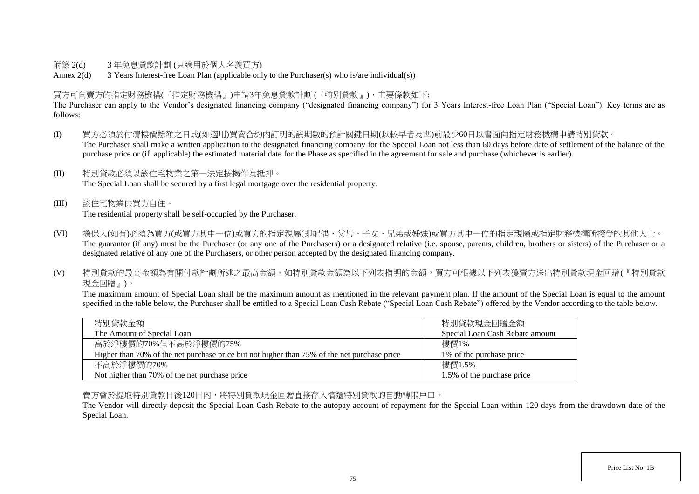## 附錄 2(d) 3 年免息貸款計劃 (只適用於個人名義買方)

Annex 2(d) 3 Years Interest-free Loan Plan (applicable only to the Purchaser(s) who is/are individual(s))

## 買方可向賣方的指定財務機構(『指定財務機構』)申請3年免息貸款計劃 (『特別貸款』),主要條款如下:

The Purchaser can apply to the Vendor's designated financing company ("designated financing company") for 3 Years Interest-free Loan Plan ("Special Loan"). Key terms are as follows:

- (I) 買方必須於付清樓價餘額之日或(如適用)買賣合約內訂明的該期數的預計關鍵日期(以較早者為準)前最少60日以書面向指定財務機構申請特別貸款。 The Purchaser shall make a written application to the designated financing company for the Special Loan not less than 60 days before date of settlement of the balance of the purchase price or (if applicable) the estimated material date for the Phase as specified in the agreement for sale and purchase (whichever is earlier).
- (II) 特別貸款必須以該住宅物業之第一法定按揭作為抵押。 The Special Loan shall be secured by a first legal mortgage over the residential property.
- (III) 該住宅物業供買方自住。 The residential property shall be self-occupied by the Purchaser.
- (VI) 擔保人(如有)必須為買方(或買方其中一位)或買方的指定親屬(即配偶、父母、子女、兄弟或姊妹)或買方其中一位的指定親屬或指定財務機構所接受的其他人士。 The guarantor (if any) must be the Purchaser (or any one of the Purchasers) or a designated relative (i.e. spouse, parents, children, brothers or sisters) of the Purchaser or a designated relative of any one of the Purchasers, or other person accepted by the designated financing company.
- (V) 特別貸款的最高金額為有關付款計劃所述之最高金額。如特別貸款金額為以下列表指明的金額,買方可根據以下列表獲賣方送出特別貸款現金回贈(『特別貸款 現金回贈』)。

The maximum amount of Special Loan shall be the maximum amount as mentioned in the relevant payment plan. If the amount of the Special Loan is equal to the amount specified in the table below, the Purchaser shall be entitled to a Special Loan Cash Rebate ("Special Loan Cash Rebate") offered by the Vendor according to the table below.

| 特別貸款金額                                                                                      | 特別貸款現金回贈金額                      |
|---------------------------------------------------------------------------------------------|---------------------------------|
| The Amount of Special Loan                                                                  | Special Loan Cash Rebate amount |
| 高於淨樓價的70%但不高於淨樓價的75%                                                                        | 樓價1%                            |
| Higher than 70% of the net purchase price but not higher than 75% of the net purchase price | 1\% of the purchase price       |
| 不高於淨樓價的70%                                                                                  | 樓價1.5%                          |
| Not higher than 70% of the net purchase price                                               | 1.5% of the purchase price      |

賣方會於提取特別貸款日後120日內,將特別貸款現金回贈直接存入償還特別貸款的自動轉帳戶口。

The Vendor will directly deposit the Special Loan Cash Rebate to the autopay account of repayment for the Special Loan within 120 days from the drawdown date of the Special Loan.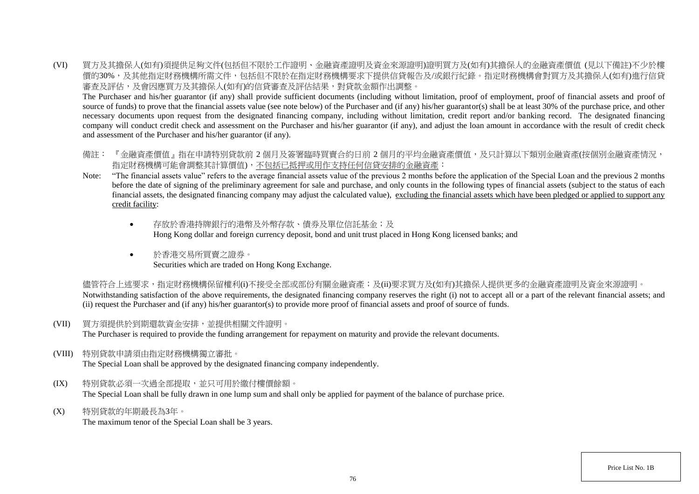(VI) 買方及其擔保人(如有)須提供足夠文件(包括但不限於工作證明、金融資產證明及資金來源證明)證明買方及(如有)其擔保人的金融資產價值 (見以下備註)不少於樓 價的30%,及其他指定財務機構所需文件,包括但不限於在指定財務機構要求下提供信貸報告及/或銀行紀錄。指定財務機構會對買方及其擔保人(如有)進行信貸 審查及評估,及會因應買方及其擔保人(如有)的信貸審查及評估結果,對貸款金額作出調整。

The Purchaser and his/her guarantor (if any) shall provide sufficient documents (including without limitation, proof of employment, proof of financial assets and proof of source of funds) to prove that the financial assets value (see note below) of the Purchaser and (if any) his/her guarantor(s) shall be at least 30% of the purchase price, and other necessary documents upon request from the designated financing company, including without limitation, credit report and/or banking record. The designated financing company will conduct credit check and assessment on the Purchaser and his/her guarantor (if any), and adjust the loan amount in accordance with the result of credit check and assessment of the Purchaser and his/her guarantor (if any).

- 備註: 『金融資產價值』指在申請特別貸款前 2 個月及簽署臨時買賣合約日前 2 個月的平均金融資產價值,及只計算以下類別金融資產(按個別金融資產情況, 指定財務機構可能會調整其計算價值),不包括已抵押或用作支持任何信貸安排的金融資產:
- Note: "The financial assets value" refers to the average financial assets value of the previous 2 months before the application of the Special Loan and the previous 2 months before the date of signing of the preliminary agreement for sale and purchase, and only counts in the following types of financial assets (subject to the status of each financial assets, the designated financing company may adjust the calculated value), excluding the financial assets which have been pledged or applied to support any credit facility:
	- 存放於香港特牌銀行的港幣及外幣存款、債券及單位信託基金;及 Hong Kong dollar and foreign currency deposit, bond and unit trust placed in Hong Kong licensed banks; and
	- 於香港交易所買賣之證券。 Securities which are traded on Hong Kong Exchange.

儘管符合上述要求,指定財務機構保留權利(i)不接受全部或部份有關金融資產;及(ii)要求買方及(如有)其擔保人提供更多的金融資產證明及資金來源證明。 Notwithstanding satisfaction of the above requirements, the designated financing company reserves the right (i) not to accept all or a part of the relevant financial assets; and (ii) request the Purchaser and (if any) his/her guarantor(s) to provide more proof of financial assets and proof of source of funds.

(VII) 買方須提供於到期還款資金安排,並提供相關文件證明。

The Purchaser is required to provide the funding arrangement for repayment on maturity and provide the relevant documents.

(VIII) 特別貸款申請須由指定財務機構獨立審批。

The Special Loan shall be approved by the designated financing company independently.

- (IX) 特別貸款必須一次過全部提取,並只可用於繳付樓價餘額。 The Special Loan shall be fully drawn in one lump sum and shall only be applied for payment of the balance of purchase price.
- (X) 特別貸款的年期最長為3年。

The maximum tenor of the Special Loan shall be 3 years.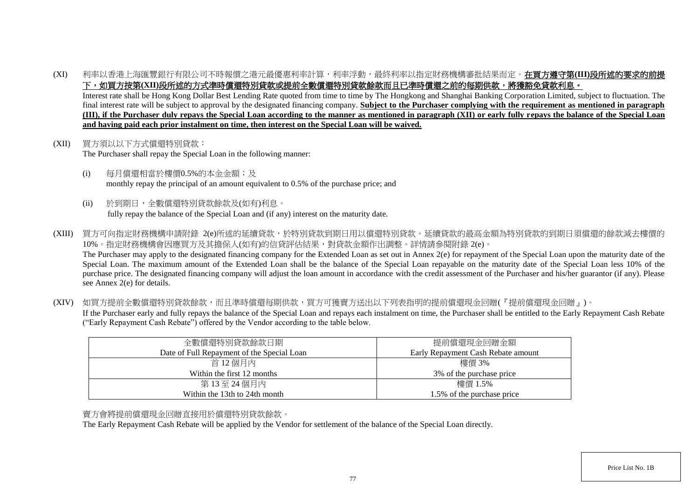(XI) 利率以香港上海匯豐銀行有限公司不時報價之港元最優惠利率計算,利率浮動,最終利率以指定財務機構審批結果而定。在買方遵守第**(III)**段所述的要求的前提 下,如買方按第(XII)段所述的方式準時償還特別貸款或提前全數償還特別貸款餘款而且已準時償還之前的每期供款,將獲豁免貸款利息。

Interest rate shall be Hong Kong Dollar Best Lending Rate quoted from time to time by The Hongkong and Shanghai Banking Corporation Limited, subject to fluctuation. The final interest rate will be subject to approval by the designated financing company. **Subject to the Purchaser complying with the requirement as mentioned in paragraph (III), if the Purchaser duly repays the Special Loan according to the manner as mentioned in paragraph (XII) or early fully repays the balance of the Special Loan and having paid each prior instalment on time, then interest on the Special Loan will be waived.**

- (XII) 買方須以以下方式償還特別貸款: The Purchaser shall repay the Special Loan in the following manner:
	- (i) 每月償還相當於樓價0.5%的本金金額;及 monthly repay the principal of an amount equivalent to 0.5% of the purchase price; and
	- (ii) 於到期日,全數償還特別貸款餘款及(如有)利息。 fully repay the balance of the Special Loan and (if any) interest on the maturity date.
- (XIII) 買方可向指定財務機構申請附錄 2(e)所述的延續貸款,於特別貸款到期日用以償還特別貸款。延續貸款的最高金額為特別貸款的到期日須償還的餘款減去樓價的 10%。指定財務機構會因應買方及其擔保人(如有)的信貸評估結果,對貸款金額作出調整。詳情請參閱附錄 2(e)。 The Purchaser may apply to the designated financing company for the Extended Loan as set out in Annex 2(e) for repayment of the Special Loan upon the maturity date of the Special Loan. The maximum amount of the Extended Loan shall be the balance of the Special Loan repayable on the maturity date of the Special Loan less 10% of the purchase price. The designated financing company will adjust the loan amount in accordance with the credit assessment of the Purchaser and his/her guarantor (if any). Please see Annex 2(e) for details.
- (XIV) 如買方提前全數償還特別貸款餘款,而且準時償還每期供款,買方可獲賣方送出以下列表指明的提前償還現金回贈(『提前償還現金回贈』)。 If the Purchaser early and fully repays the balance of the Special Loan and repays each instalment on time, the Purchaser shall be entitled to the Early Repayment Cash Rebate ("Early Repayment Cash Rebate") offered by the Vendor according to the table below.

| 全數償還特別貸款餘款日期                               | 提前償還現金回贈金額                         |
|--------------------------------------------|------------------------------------|
| Date of Full Repayment of the Special Loan | Early Repayment Cash Rebate amount |
| 首 12 個月內                                   | 樓價 3%                              |
| Within the first 12 months                 | 3% of the purchase price           |
| 第13至24個月內                                  | 樓價 1.5%                            |
| Within the 13th to 24th month              | 1.5% of the purchase price         |

## 賣方會將提前償還現金回贈直接用於償還特別貸款餘款。

The Early Repayment Cash Rebate will be applied by the Vendor for settlement of the balance of the Special Loan directly.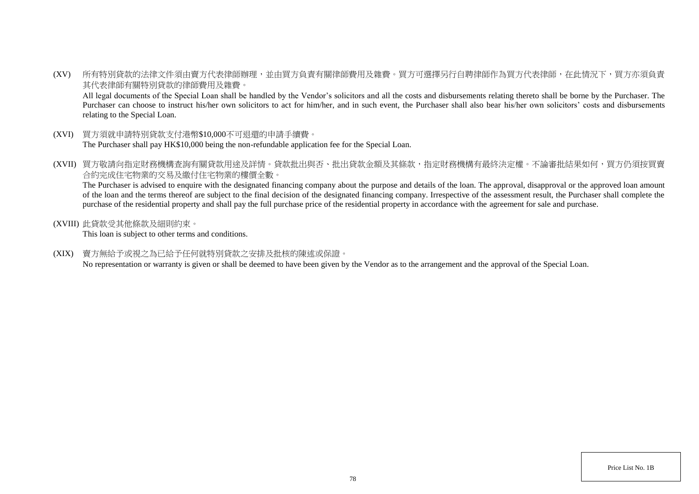(XV) 所有特別貸款的法律文件須由賣方代表律師辦理,並由買方負責有關律師費用及雜費。買方可選擇另行自聘律師作為買方代表律師,在此情況下,買方亦須負責 其代表律師有關特別貸款的律師費用及雜費。

All legal documents of the Special Loan shall be handled by the Vendor's solicitors and all the costs and disbursements relating thereto shall be borne by the Purchaser. The Purchaser can choose to instruct his/her own solicitors to act for him/her, and in such event, the Purchaser shall also bear his/her own solicitors' costs and disbursements relating to the Special Loan.

- (XVI) 買方須就申請特別貸款支付港幣\$10,000不可退還的申請手續費。 The Purchaser shall pay HK\$10,000 being the non-refundable application fee for the Special Loan.
- (XVII) 買方敬請向指定財務機構查詢有關貸款用途及詳情。貸款批出與否、批出貸款金額及其條款,指定財務機構有最終決定權。不論審批結果如何,買方仍須按買賣 合約完成住宅物業的交易及繳付住宅物業的樓價全數。

The Purchaser is advised to enquire with the designated financing company about the purpose and details of the loan. The approval, disapproval or the approved loan amount of the loan and the terms thereof are subject to the final decision of the designated financing company. Irrespective of the assessment result, the Purchaser shall complete the purchase of the residential property and shall pay the full purchase price of the residential property in accordance with the agreement for sale and purchase.

(XVIII) 此貸款受其他條款及細則約束。

This loan is subject to other terms and conditions.

(XIX) 賣方無給予或視之為已給予任何就特別貸款之安排及批核的陳述或保證。

No representation or warranty is given or shall be deemed to have been given by the Vendor as to the arrangement and the approval of the Special Loan.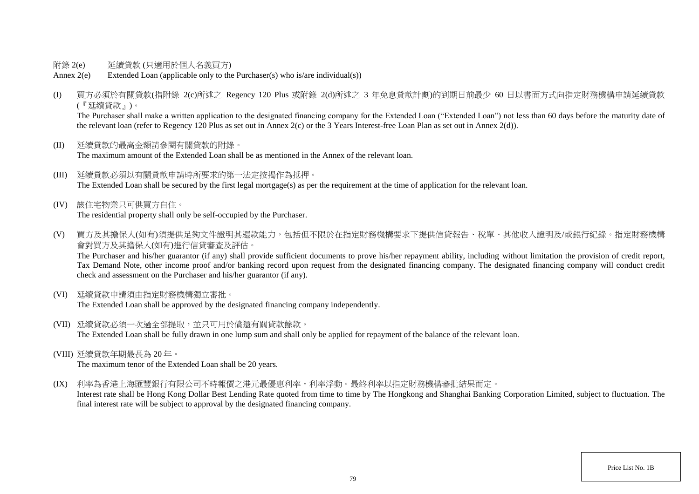- 附錄 2(e) 延續貸款 (只適用於個人名義買方)
- Annex 2(e) Extended Loan (applicable only to the Purchaser(s) who is/are individual(s))
- (I) 買方必須於有關貸款(指附錄 2(c)所述之 Regency 120 Plus 或附錄 2(d)所述之 3 年免息貸款計劃)的到期日前最少 60 日以書面方式向指定財務機構申請延續貸款 (『延續貸款』)。

The Purchaser shall make a written application to the designated financing company for the Extended Loan "Extended Loan") not less than 60 days before the maturity date of the relevant loan (refer to Regency 120 Plus as set out in Annex 2(c) or the 3 Years Interest-free Loan Plan as set out in Annex 2(d)).

- (II) 延續貸款的最高金額請參閱有關貸款的附錄。 The maximum amount of the Extended Loan shall be as mentioned in the Annex of the relevant loan.
- (III) 延續貸款必須以有關貸款申請時所要求的第一法定按揭作為抵押。 The Extended Loan shall be secured by the first legal mortgage(s) as per the requirement at the time of application for the relevant loan.
- (IV) 該住宅物業只可供買方自住。 The residential property shall only be self-occupied by the Purchaser.
- (V) 買方及其擔保人(如有)須提供足夠文件證明其還款能力,包括但不限於在指定財務機構要求下提供信貸報告、稅單、其他收入證明及/或銀行紀錄。指定財務機構 會對買方及其擔保人(如有)進行信貸審查及評估。

The Purchaser and his/her guarantor (if any) shall provide sufficient documents to prove his/her repayment ability, including without limitation the provision of credit report, Tax Demand Note, other income proof and/or banking record upon request from the designated financing company. The designated financing company will conduct credit check and assessment on the Purchaser and his/her guarantor (if any).

(VI) 延續貸款申請須由指定財務機構獨立審批。

The Extended Loan shall be approved by the designated financing company independently.

- (VII) 延續貸款必須一次過全部提取,並只可用於償還有關貸款餘款。 The Extended Loan shall be fully drawn in one lump sum and shall only be applied for repayment of the balance of the relevant loan.
- (VIII) 延續貸款年期最長為 20 年。

The maximum tenor of the Extended Loan shall be 20 years.

(IX) 利率為香港上海匯豐銀行有限公司不時報價之港元最優惠利率,利率浮動。最終利率以指定財務機構審批結果而定。

Interest rate shall be Hong Kong Dollar Best Lending Rate quoted from time to time by The Hongkong and Shanghai Banking Corporation Limited, subject to fluctuation. The final interest rate will be subject to approval by the designated financing company.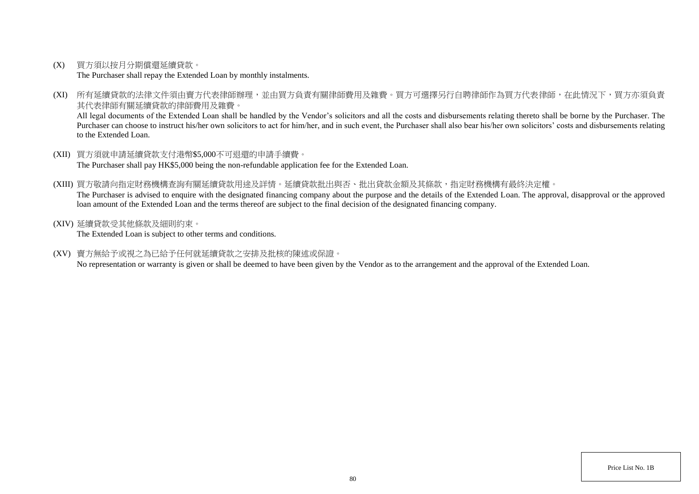(X) 買方須以按月分期償還延續貸款。

The Purchaser shall repay the Extended Loan by monthly instalments.

(XI) 所有延續貸款的法律文件須由賣方代表律師辦理,並由買方負責有關律師費用及雜費。買方可選擇另行自聘律師作為買方代表律師,在此情況下,買方亦須負責 其代表律師有關延續貸款的律師費用及雜費。

All legal documents of the Extended Loan shall be handled by the Vendor's solicitors and all the costs and disbursements relating thereto shall be borne by the Purchaser. The Purchaser can choose to instruct his/her own solicitors to act for him/her, and in such event, the Purchaser shall also bear his/her own solicitors' costs and disbursements relating to the Extended Loan.

- (XII) 買方須就申請延續貸款支付港幣\$5,000不可退還的申請手續費。 The Purchaser shall pay HK\$5,000 being the non-refundable application fee for the Extended Loan.
- (XIII) 買方敬請向指定財務機構查詢有關延續貸款用途及詳情。延續貸款批出與否、批出貸款金額及其條款,指定財務機構有最終決定權。 The Purchaser is advised to enquire with the designated financing company about the purpose and the details of the Extended Loan. The approval, disapproval or the approved loan amount of the Extended Loan and the terms thereof are subject to the final decision of the designated financing company.
- (XIV) 延續貸款受其他條款及細則約束。

The Extended Loan is subject to other terms and conditions.

(XV) 賣方無給予或視之為已給予任何就延續貸款之安排及批核的陳述或保證。

No representation or warranty is given or shall be deemed to have been given by the Vendor as to the arrangement and the approval of the Extended Loan.